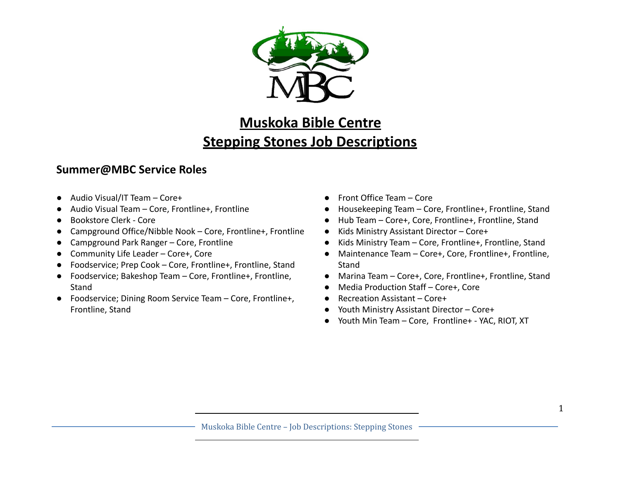

# **Muskoka Bible Centre Stepping Stones Job Descriptions**

# **Summer@MBC Service Roles**

- Audio Visual/IT Team Core+
- Audio Visual Team Core, Frontline+, Frontline
- Bookstore Clerk Core
- Campground Office/Nibble Nook Core, Frontline+, Frontline
- Campground Park Ranger Core, Frontline
- Community Life Leader Core+, Core
- Foodservice; Prep Cook Core, Frontline+, Frontline, Stand
- Foodservice; Bakeshop Team Core, Frontline+, Frontline, **Stand**
- Foodservice; Dining Room Service Team Core, Frontline+, Frontline, Stand
- Front Office Team Core
- Housekeeping Team Core, Frontline+, Frontline, Stand
- Hub Team Core+, Core, Frontline+, Frontline, Stand
- Kids Ministry Assistant Director Core+
- Kids Ministry Team Core, Frontline+, Frontline, Stand
- Maintenance Team Core+, Core, Frontline+, Frontline, Stand
- Marina Team Core+, Core, Frontline+, Frontline, Stand
- Media Production Staff Core+, Core
- Recreation Assistant Core+
- Youth Ministry Assistant Director Core+
- Youth Min Team Core, Frontline+ YAC, RIOT, XT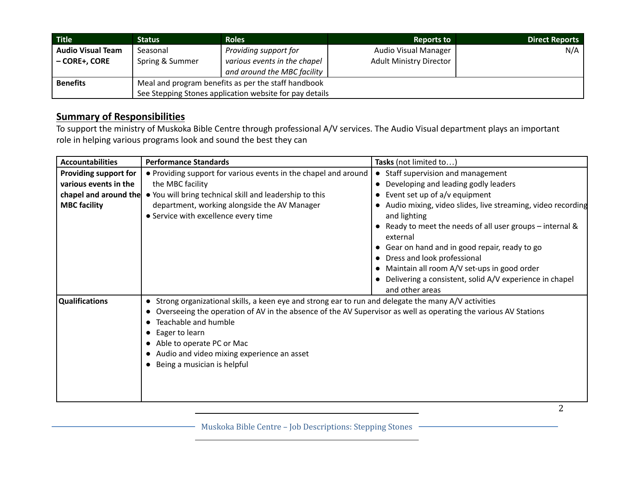| <b>Title</b>             | <b>Status</b>                                           | <b>Roles</b>                 | <b>Reports to</b>              | <b>Direct Reports</b> |
|--------------------------|---------------------------------------------------------|------------------------------|--------------------------------|-----------------------|
| <b>Audio Visual Team</b> | Seasonal                                                | Providing support for        | <b>Audio Visual Manager</b>    | N/A                   |
| - CORE+, CORE            | Spring & Summer                                         | various events in the chapel | <b>Adult Ministry Director</b> |                       |
|                          |                                                         | and around the MBC facility  |                                |                       |
| <b>Benefits</b>          | Meal and program benefits as per the staff handbook     |                              |                                |                       |
|                          | See Stepping Stones application website for pay details |                              |                                |                       |

To support the ministry of Muskoka Bible Centre through professional A/V services. The Audio Visual department plays an important role in helping various programs look and sound the best they can

| <b>Accountabilities</b> | <b>Performance Standards</b>                                                                                      | Tasks (not limited to)                                                |
|-------------------------|-------------------------------------------------------------------------------------------------------------------|-----------------------------------------------------------------------|
| Providing support for   | • Providing support for various events in the chapel and around                                                   | • Staff supervision and management                                    |
| various events in the   | the MBC facility                                                                                                  | Developing and leading godly leaders                                  |
| chapel and around the   | . You will bring technical skill and leadership to this                                                           | Event set up of a/v equipment                                         |
| <b>MBC facility</b>     | department, working alongside the AV Manager                                                                      | Audio mixing, video slides, live streaming, video recording           |
|                         | • Service with excellence every time                                                                              | and lighting                                                          |
|                         |                                                                                                                   | • Ready to meet the needs of all user groups – internal &<br>external |
|                         |                                                                                                                   | • Gear on hand and in good repair, ready to go                        |
|                         |                                                                                                                   | Dress and look professional                                           |
|                         |                                                                                                                   | • Maintain all room A/V set-ups in good order                         |
|                         |                                                                                                                   | Delivering a consistent, solid A/V experience in chapel               |
|                         |                                                                                                                   | and other areas                                                       |
| Qualifications          | • Strong organizational skills, a keen eye and strong ear to run and delegate the many A/V activities             |                                                                       |
|                         | • Overseeing the operation of AV in the absence of the AV Supervisor as well as operating the various AV Stations |                                                                       |
|                         | • Teachable and humble                                                                                            |                                                                       |
|                         | • Eager to learn                                                                                                  |                                                                       |
|                         | • Able to operate PC or Mac                                                                                       |                                                                       |
|                         | • Audio and video mixing experience an asset                                                                      |                                                                       |
|                         | • Being a musician is helpful                                                                                     |                                                                       |
|                         |                                                                                                                   |                                                                       |
|                         |                                                                                                                   |                                                                       |
|                         |                                                                                                                   |                                                                       |

Muskoka Bible Centre – Job Descriptions: Stepping Stones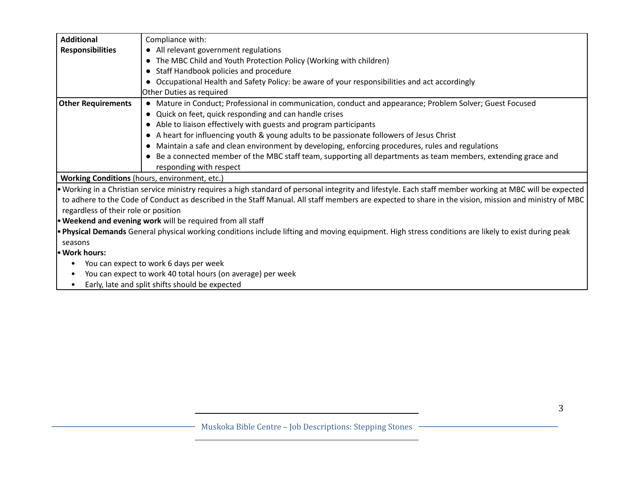| <b>Additional</b>                    | Compliance with:                                                                                                                                          |
|--------------------------------------|-----------------------------------------------------------------------------------------------------------------------------------------------------------|
| <b>Responsibilities</b>              | • All relevant government regulations                                                                                                                     |
|                                      | • The MBC Child and Youth Protection Policy (Working with children)                                                                                       |
|                                      | • Staff Handbook policies and procedure                                                                                                                   |
|                                      | • Occupational Health and Safety Policy: be aware of your responsibilities and act accordingly                                                            |
|                                      | Other Duties as required                                                                                                                                  |
| <b>Other Requirements</b>            | • Mature in Conduct; Professional in communication, conduct and appearance; Problem Solver; Guest Focused                                                 |
|                                      | • Quick on feet, quick responding and can handle crises                                                                                                   |
|                                      | • Able to liaison effectively with guests and program participants                                                                                        |
|                                      | • A heart for influencing youth & young adults to be passionate followers of Jesus Christ                                                                 |
|                                      | • Maintain a safe and clean environment by developing, enforcing procedures, rules and regulations                                                        |
|                                      | • Be a connected member of the MBC staff team, supporting all departments as team members, extending grace and                                            |
|                                      | responding with respect                                                                                                                                   |
|                                      | Working Conditions (hours, environment, etc.)                                                                                                             |
|                                      | • Working in a Christian service ministry requires a high standard of personal integrity and lifestyle. Each staff member working at MBC will be expected |
|                                      | to adhere to the Code of Conduct as described in the Staff Manual. All staff members are expected to share in the vision, mission and ministry of MBC     |
| regardless of their role or position |                                                                                                                                                           |
|                                      | . Weekend and evening work will be required from all staff                                                                                                |
|                                      | . Physical Demands General physical working conditions include lifting and moving equipment. High stress conditions are likely to exist during peak       |
| seasons                              |                                                                                                                                                           |
| · Work hours:                        |                                                                                                                                                           |
|                                      | You can expect to work 6 days per week                                                                                                                    |
| $\bullet$                            | You can expect to work 40 total hours (on average) per week                                                                                               |
| $\bullet$                            | Early, late and split shifts should be expected                                                                                                           |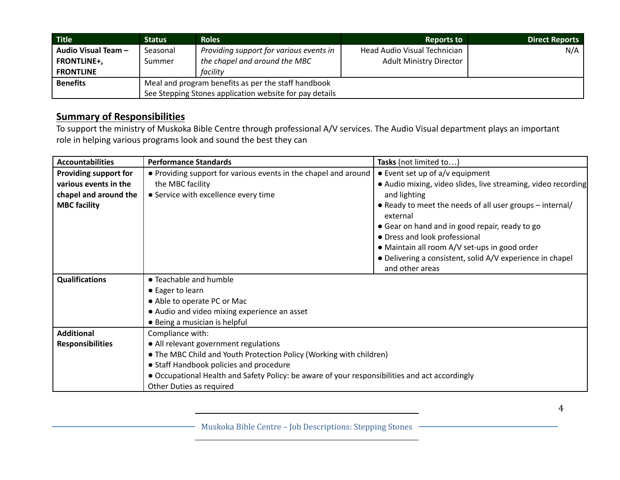| <b>Title</b>        | <b>Status</b>                                           | <b>Roles</b>                            | <b>Reports to</b>              | <b>Direct Reports</b> |
|---------------------|---------------------------------------------------------|-----------------------------------------|--------------------------------|-----------------------|
| Audio Visual Team - | Seasonal                                                | Providing support for various events in | Head Audio Visual Technician   | N/A                   |
| <b>FRONTLINE+,</b>  | Summer                                                  | the chapel and around the MBC           | <b>Adult Ministry Director</b> |                       |
| <b>FRONTLINE</b>    |                                                         | facility                                |                                |                       |
| <b>Benefits</b>     | Meal and program benefits as per the staff handbook     |                                         |                                |                       |
|                     | See Stepping Stones application website for pay details |                                         |                                |                       |

To support the ministry of Muskoka Bible Centre through professional A/V services. The Audio Visual department plays an important role in helping various programs look and sound the best they can

| <b>Accountabilities</b> | <b>Performance Standards</b>                                                                   | Tasks (not limited to                                                |  |
|-------------------------|------------------------------------------------------------------------------------------------|----------------------------------------------------------------------|--|
| Providing support for   | • Providing support for various events in the chapel and around                                | • Event set up of a/v equipment                                      |  |
| various events in the   | the MBC facility                                                                               | • Audio mixing, video slides, live streaming, video recording        |  |
| chapel and around the   | • Service with excellence every time                                                           | and lighting                                                         |  |
| <b>MBC facility</b>     |                                                                                                | • Ready to meet the needs of all user groups - internal/<br>external |  |
|                         |                                                                                                | • Gear on hand and in good repair, ready to go                       |  |
|                         |                                                                                                | • Dress and look professional                                        |  |
|                         |                                                                                                | • Maintain all room A/V set-ups in good order                        |  |
|                         |                                                                                                | • Delivering a consistent, solid A/V experience in chapel            |  |
|                         |                                                                                                | and other areas                                                      |  |
| <b>Qualifications</b>   | • Teachable and humble                                                                         |                                                                      |  |
|                         | • Eager to learn                                                                               |                                                                      |  |
|                         | • Able to operate PC or Mac                                                                    |                                                                      |  |
|                         | • Audio and video mixing experience an asset                                                   |                                                                      |  |
|                         | • Being a musician is helpful                                                                  |                                                                      |  |
| <b>Additional</b>       | Compliance with:                                                                               |                                                                      |  |
| <b>Responsibilities</b> | • All relevant government regulations                                                          |                                                                      |  |
|                         | • The MBC Child and Youth Protection Policy (Working with children)                            |                                                                      |  |
|                         | • Staff Handbook policies and procedure                                                        |                                                                      |  |
|                         | • Occupational Health and Safety Policy: be aware of your responsibilities and act accordingly |                                                                      |  |
|                         | Other Duties as required                                                                       |                                                                      |  |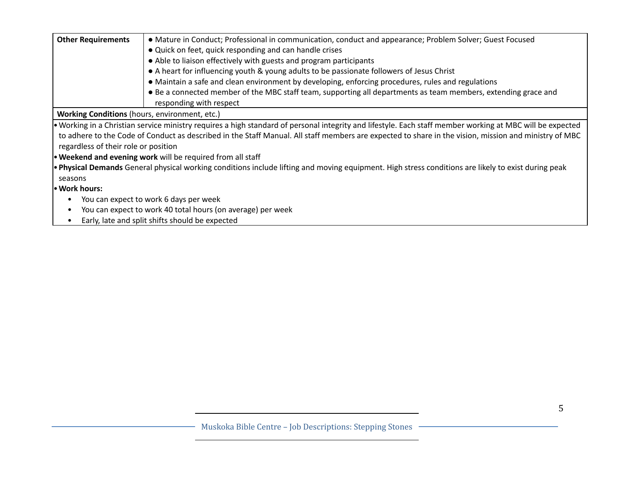| <b>Other Requirements</b><br>• Mature in Conduct; Professional in communication, conduct and appearance; Problem Solver; Guest Focused<br>• Quick on feet, quick responding and can handle crises<br>• Able to liaison effectively with guests and program participants<br>• A heart for influencing youth & young adults to be passionate followers of Jesus Christ<br>• Maintain a safe and clean environment by developing, enforcing procedures, rules and regulations<br>• Be a connected member of the MBC staff team, supporting all departments as team members, extending grace and<br>responding with respect<br><b>Working Conditions</b> (hours, environment, etc.)<br>• Working in a Christian service ministry requires a high standard of personal integrity and lifestyle. Each staff member working at MBC will be expected |  |  |
|----------------------------------------------------------------------------------------------------------------------------------------------------------------------------------------------------------------------------------------------------------------------------------------------------------------------------------------------------------------------------------------------------------------------------------------------------------------------------------------------------------------------------------------------------------------------------------------------------------------------------------------------------------------------------------------------------------------------------------------------------------------------------------------------------------------------------------------------|--|--|
|                                                                                                                                                                                                                                                                                                                                                                                                                                                                                                                                                                                                                                                                                                                                                                                                                                              |  |  |
|                                                                                                                                                                                                                                                                                                                                                                                                                                                                                                                                                                                                                                                                                                                                                                                                                                              |  |  |
|                                                                                                                                                                                                                                                                                                                                                                                                                                                                                                                                                                                                                                                                                                                                                                                                                                              |  |  |
|                                                                                                                                                                                                                                                                                                                                                                                                                                                                                                                                                                                                                                                                                                                                                                                                                                              |  |  |
|                                                                                                                                                                                                                                                                                                                                                                                                                                                                                                                                                                                                                                                                                                                                                                                                                                              |  |  |
|                                                                                                                                                                                                                                                                                                                                                                                                                                                                                                                                                                                                                                                                                                                                                                                                                                              |  |  |
|                                                                                                                                                                                                                                                                                                                                                                                                                                                                                                                                                                                                                                                                                                                                                                                                                                              |  |  |
|                                                                                                                                                                                                                                                                                                                                                                                                                                                                                                                                                                                                                                                                                                                                                                                                                                              |  |  |
| to adhere to the Code of Conduct as described in the Staff Manual. All staff members are expected to share in the vision, mission and ministry of MBC                                                                                                                                                                                                                                                                                                                                                                                                                                                                                                                                                                                                                                                                                        |  |  |
| regardless of their role or position                                                                                                                                                                                                                                                                                                                                                                                                                                                                                                                                                                                                                                                                                                                                                                                                         |  |  |
| <b>• Weekend and evening work</b> will be required from all staff                                                                                                                                                                                                                                                                                                                                                                                                                                                                                                                                                                                                                                                                                                                                                                            |  |  |
| <b>• Physical Demands</b> General physical working conditions include lifting and moving equipment. High stress conditions are likely to exist during peak                                                                                                                                                                                                                                                                                                                                                                                                                                                                                                                                                                                                                                                                                   |  |  |
| seasons                                                                                                                                                                                                                                                                                                                                                                                                                                                                                                                                                                                                                                                                                                                                                                                                                                      |  |  |
| • Work hours:                                                                                                                                                                                                                                                                                                                                                                                                                                                                                                                                                                                                                                                                                                                                                                                                                                |  |  |
| You can expect to work 6 days per week                                                                                                                                                                                                                                                                                                                                                                                                                                                                                                                                                                                                                                                                                                                                                                                                       |  |  |
| You can expect to work 40 total hours (on average) per week                                                                                                                                                                                                                                                                                                                                                                                                                                                                                                                                                                                                                                                                                                                                                                                  |  |  |
| Early, late and split shifts should be expected<br>$\bullet$                                                                                                                                                                                                                                                                                                                                                                                                                                                                                                                                                                                                                                                                                                                                                                                 |  |  |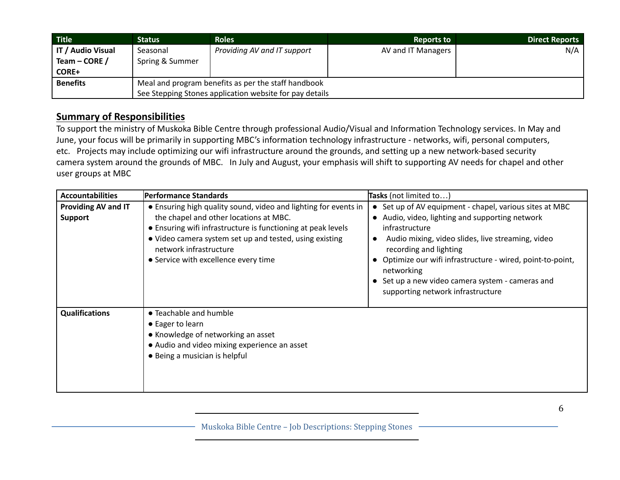| <b>Title</b>      | <b>Status</b>                                           | <b>Roles</b>                | <b>Reports to</b>  | Direct Reports |
|-------------------|---------------------------------------------------------|-----------------------------|--------------------|----------------|
| IT / Audio Visual | Seasonal                                                | Providing AV and IT support | AV and IT Managers | N/A            |
| Team – CORE /     | Spring & Summer                                         |                             |                    |                |
| <b>CORE+</b>      |                                                         |                             |                    |                |
| <b>Benefits</b>   | Meal and program benefits as per the staff handbook     |                             |                    |                |
|                   | See Stepping Stones application website for pay details |                             |                    |                |

To support the ministry of Muskoka Bible Centre through professional Audio/Visual and Information Technology services. In May and June, your focus will be primarily in supporting MBC's information technology infrastructure - networks, wifi, personal computers, etc. Projects may include optimizing our wifi infrastructure around the grounds, and setting up a new network-based security camera system around the grounds of MBC. In July and August, your emphasis will shift to supporting AV needs for chapel and other user groups at MBC

| <b>Accountabilities</b>               | Performance Standards                                                                                                                                                                                                                                                                                  | <b>Tasks</b> (not limited to)                                                                                                                                                                                                                                                                                                                                                     |
|---------------------------------------|--------------------------------------------------------------------------------------------------------------------------------------------------------------------------------------------------------------------------------------------------------------------------------------------------------|-----------------------------------------------------------------------------------------------------------------------------------------------------------------------------------------------------------------------------------------------------------------------------------------------------------------------------------------------------------------------------------|
| Providing AV and IT<br><b>Support</b> | • Ensuring high quality sound, video and lighting for events in<br>the chapel and other locations at MBC.<br>• Ensuring wifi infrastructure is functioning at peak levels<br>• Video camera system set up and tested, using existing<br>network infrastructure<br>• Service with excellence every time | • Set up of AV equipment - chapel, various sites at MBC<br>• Audio, video, lighting and supporting network<br>infrastructure<br>Audio mixing, video slides, live streaming, video<br>recording and lighting<br>• Optimize our wifi infrastructure - wired, point-to-point,<br>networking<br>• Set up a new video camera system - cameras and<br>supporting network infrastructure |
| <b>Qualifications</b>                 | • Teachable and humble<br>• Eager to learn<br>• Knowledge of networking an asset<br>• Audio and video mixing experience an asset<br>• Being a musician is helpful                                                                                                                                      |                                                                                                                                                                                                                                                                                                                                                                                   |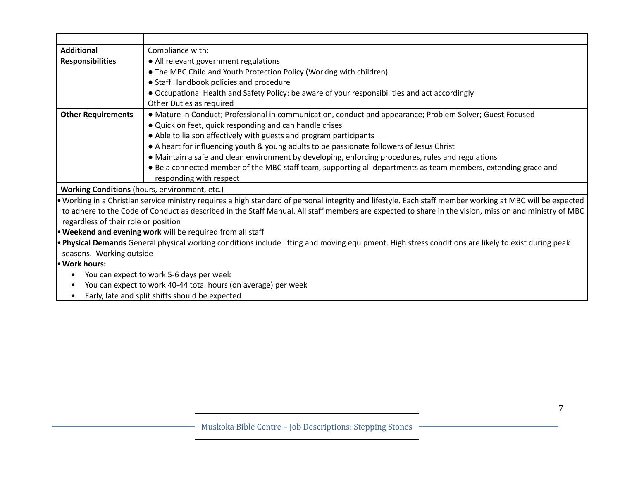| <b>Additional</b>                                          | Compliance with:                                                                                                                                          |  |  |
|------------------------------------------------------------|-----------------------------------------------------------------------------------------------------------------------------------------------------------|--|--|
| <b>Responsibilities</b>                                    | • All relevant government regulations                                                                                                                     |  |  |
|                                                            | • The MBC Child and Youth Protection Policy (Working with children)                                                                                       |  |  |
|                                                            | • Staff Handbook policies and procedure                                                                                                                   |  |  |
|                                                            | • Occupational Health and Safety Policy: be aware of your responsibilities and act accordingly                                                            |  |  |
|                                                            | Other Duties as required                                                                                                                                  |  |  |
| <b>Other Requirements</b>                                  | • Mature in Conduct; Professional in communication, conduct and appearance; Problem Solver; Guest Focused                                                 |  |  |
|                                                            | • Quick on feet, quick responding and can handle crises                                                                                                   |  |  |
|                                                            | • Able to liaison effectively with guests and program participants                                                                                        |  |  |
|                                                            | • A heart for influencing youth & young adults to be passionate followers of Jesus Christ                                                                 |  |  |
|                                                            | • Maintain a safe and clean environment by developing, enforcing procedures, rules and regulations                                                        |  |  |
|                                                            | • Be a connected member of the MBC staff team, supporting all departments as team members, extending grace and                                            |  |  |
|                                                            | responding with respect                                                                                                                                   |  |  |
|                                                            | Working Conditions (hours, environment, etc.)                                                                                                             |  |  |
|                                                            | • Working in a Christian service ministry requires a high standard of personal integrity and lifestyle. Each staff member working at MBC will be expected |  |  |
|                                                            | to adhere to the Code of Conduct as described in the Staff Manual. All staff members are expected to share in the vision, mission and ministry of MBC     |  |  |
|                                                            | regardless of their role or position                                                                                                                      |  |  |
| • Weekend and evening work will be required from all staff |                                                                                                                                                           |  |  |
|                                                            | . Physical Demands General physical working conditions include lifting and moving equipment. High stress conditions are likely to exist during peak       |  |  |
|                                                            | seasons. Working outside                                                                                                                                  |  |  |
| • Work hours:                                              |                                                                                                                                                           |  |  |
|                                                            | You can expect to work 5-6 days per week                                                                                                                  |  |  |
| $\bullet$                                                  | You can expect to work 40-44 total hours (on average) per week                                                                                            |  |  |
| $\bullet$                                                  | Early, late and split shifts should be expected                                                                                                           |  |  |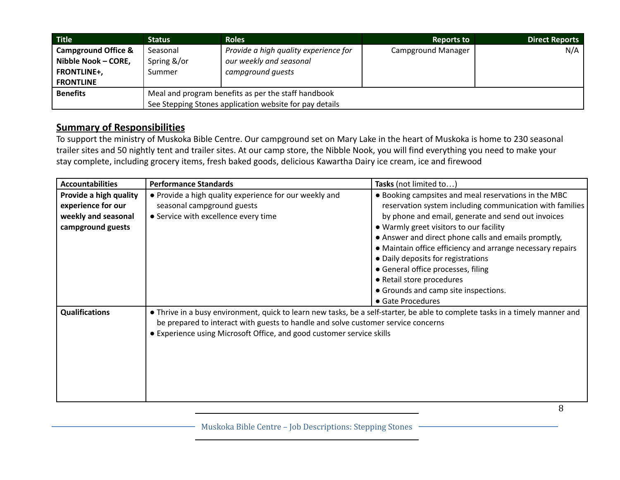| <b>Title</b>                   | <b>Status</b>                                           | <b>Roles</b>                          | <b>Reports to</b>         | <b>Direct Reports</b> |
|--------------------------------|---------------------------------------------------------|---------------------------------------|---------------------------|-----------------------|
| <b>Campground Office &amp;</b> | Seasonal                                                | Provide a high quality experience for | <b>Campground Manager</b> | N/A                   |
| Nibble Nook - CORE,            | Spring &/or                                             | our weekly and seasonal               |                           |                       |
| <b>FRONTLINE+,</b>             | Summer                                                  | campground quests                     |                           |                       |
| <b>FRONTLINE</b>               |                                                         |                                       |                           |                       |
| <b>Benefits</b>                | Meal and program benefits as per the staff handbook     |                                       |                           |                       |
|                                | See Stepping Stones application website for pay details |                                       |                           |                       |

To support the ministry of Muskoka Bible Centre. Our campground set on Mary Lake in the heart of Muskoka is home to 230 seasonal trailer sites and 50 nightly tent and trailer sites. At our camp store, the Nibble Nook, you will find everything you need to make your stay complete, including grocery items, fresh baked goods, delicious Kawartha Dairy ice cream, ice and firewood

| <b>Accountabilities</b>                      | <b>Performance Standards</b>                                                                                                                                                                                                                                                                                     | Tasks (not limited to)                                                                                                                                                                                                                                                                                                                                               |
|----------------------------------------------|------------------------------------------------------------------------------------------------------------------------------------------------------------------------------------------------------------------------------------------------------------------------------------------------------------------|----------------------------------------------------------------------------------------------------------------------------------------------------------------------------------------------------------------------------------------------------------------------------------------------------------------------------------------------------------------------|
| Provide a high quality<br>experience for our | • Provide a high quality experience for our weekly and<br>seasonal campground guests                                                                                                                                                                                                                             | . Booking campsites and meal reservations in the MBC<br>reservation system including communication with families                                                                                                                                                                                                                                                     |
| weekly and seasonal<br>campground guests     | • Service with excellence every time                                                                                                                                                                                                                                                                             | by phone and email, generate and send out invoices<br>• Warmly greet visitors to our facility<br>• Answer and direct phone calls and emails promptly,<br>• Maintain office efficiency and arrange necessary repairs<br>• Daily deposits for registrations<br>• General office processes, filing<br>• Retail store procedures<br>• Grounds and camp site inspections. |
| <b>Qualifications</b>                        | • Gate Procedures<br>• Thrive in a busy environment, quick to learn new tasks, be a self-starter, be able to complete tasks in a timely manner and<br>be prepared to interact with guests to handle and solve customer service concerns<br>• Experience using Microsoft Office, and good customer service skills |                                                                                                                                                                                                                                                                                                                                                                      |

Muskoka Bible Centre – Job Descriptions: Stepping Stones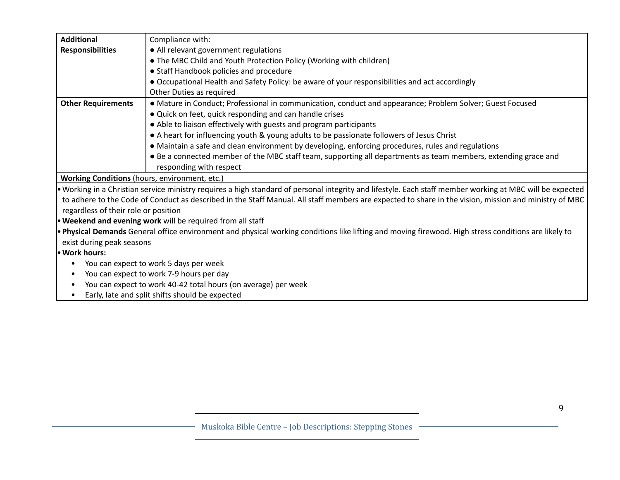| <b>Additional</b>                                                                                                                                    | Compliance with:                                                                                                                                          |  |  |
|------------------------------------------------------------------------------------------------------------------------------------------------------|-----------------------------------------------------------------------------------------------------------------------------------------------------------|--|--|
|                                                                                                                                                      |                                                                                                                                                           |  |  |
| <b>Responsibilities</b>                                                                                                                              | • All relevant government regulations                                                                                                                     |  |  |
|                                                                                                                                                      | • The MBC Child and Youth Protection Policy (Working with children)                                                                                       |  |  |
|                                                                                                                                                      | • Staff Handbook policies and procedure                                                                                                                   |  |  |
|                                                                                                                                                      | • Occupational Health and Safety Policy: be aware of your responsibilities and act accordingly                                                            |  |  |
|                                                                                                                                                      | Other Duties as required                                                                                                                                  |  |  |
| <b>Other Requirements</b>                                                                                                                            | • Mature in Conduct; Professional in communication, conduct and appearance; Problem Solver; Guest Focused                                                 |  |  |
|                                                                                                                                                      | • Quick on feet, quick responding and can handle crises                                                                                                   |  |  |
|                                                                                                                                                      | • Able to liaison effectively with guests and program participants                                                                                        |  |  |
|                                                                                                                                                      | • A heart for influencing youth & young adults to be passionate followers of Jesus Christ                                                                 |  |  |
|                                                                                                                                                      | • Maintain a safe and clean environment by developing, enforcing procedures, rules and regulations                                                        |  |  |
|                                                                                                                                                      | • Be a connected member of the MBC staff team, supporting all departments as team members, extending grace and                                            |  |  |
|                                                                                                                                                      | responding with respect                                                                                                                                   |  |  |
| Working Conditions (hours, environment, etc.)                                                                                                        |                                                                                                                                                           |  |  |
|                                                                                                                                                      | . Working in a Christian service ministry requires a high standard of personal integrity and lifestyle. Each staff member working at MBC will be expected |  |  |
|                                                                                                                                                      | to adhere to the Code of Conduct as described in the Staff Manual. All staff members are expected to share in the vision, mission and ministry of MBC     |  |  |
| regardless of their role or position                                                                                                                 |                                                                                                                                                           |  |  |
|                                                                                                                                                      | . Weekend and evening work will be required from all staff                                                                                                |  |  |
| . Physical Demands General office environment and physical working conditions like lifting and moving firewood. High stress conditions are likely to |                                                                                                                                                           |  |  |
| exist during peak seasons                                                                                                                            |                                                                                                                                                           |  |  |
| · Work hours:                                                                                                                                        |                                                                                                                                                           |  |  |
| You can expect to work 5 days per week                                                                                                               |                                                                                                                                                           |  |  |
| $\bullet$                                                                                                                                            | You can expect to work 7-9 hours per day                                                                                                                  |  |  |
|                                                                                                                                                      | You can expect to work 40-42 total hours (on average) per week                                                                                            |  |  |
|                                                                                                                                                      | Early, late and split shifts should be expected                                                                                                           |  |  |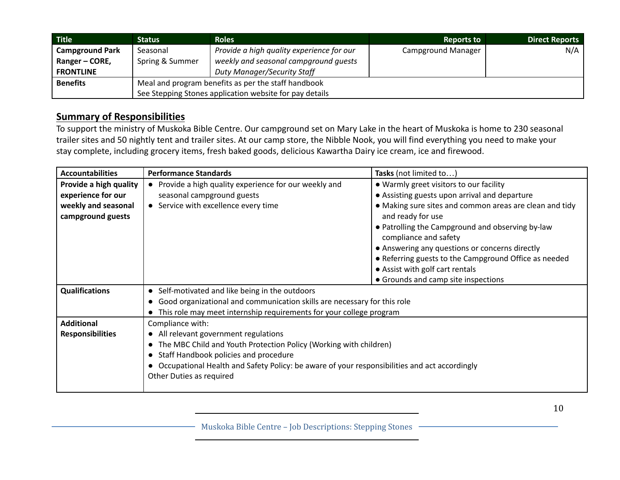| <b>Title</b>           | <b>Status</b>                                           | <b>Roles</b>                              | <b>Reports to</b>         | <b>Direct Reports</b> |
|------------------------|---------------------------------------------------------|-------------------------------------------|---------------------------|-----------------------|
| <b>Campground Park</b> | Seasonal                                                | Provide a high quality experience for our | <b>Campground Manager</b> | N/A                   |
| Ranger – CORE,         | Spring & Summer                                         | weekly and seasonal campground quests     |                           |                       |
| <b>FRONTLINE</b>       |                                                         | <b>Duty Manager/Security Staff</b>        |                           |                       |
| <b>Benefits</b>        | Meal and program benefits as per the staff handbook     |                                           |                           |                       |
|                        | See Stepping Stones application website for pay details |                                           |                           |                       |

To support the ministry of Muskoka Bible Centre. Our campground set on Mary Lake in the heart of Muskoka is home to 230 seasonal trailer sites and 50 nightly tent and trailer sites. At our camp store, the Nibble Nook, you will find everything you need to make your stay complete, including grocery items, fresh baked goods, delicious Kawartha Dairy ice cream, ice and firewood.

| <b>Accountabilities</b>                  | <b>Performance Standards</b>                                                                 | Tasks (not limited to)                                                       |  |
|------------------------------------------|----------------------------------------------------------------------------------------------|------------------------------------------------------------------------------|--|
| Provide a high quality                   | • Provide a high quality experience for our weekly and                                       | • Warmly greet visitors to our facility                                      |  |
| experience for our                       | seasonal campground guests                                                                   | • Assisting guests upon arrival and departure                                |  |
| weekly and seasonal<br>campground guests | • Service with excellence every time                                                         | • Making sure sites and common areas are clean and tidy<br>and ready for use |  |
|                                          |                                                                                              | • Patrolling the Campground and observing by-law<br>compliance and safety    |  |
|                                          |                                                                                              | • Answering any questions or concerns directly                               |  |
|                                          |                                                                                              | • Referring guests to the Campground Office as needed                        |  |
|                                          |                                                                                              | • Assist with golf cart rentals                                              |  |
|                                          |                                                                                              | • Grounds and camp site inspections                                          |  |
| <b>Qualifications</b>                    | Self-motivated and like being in the outdoors<br>$\bullet$                                   |                                                                              |  |
|                                          | Good organizational and communication skills are necessary for this role                     |                                                                              |  |
|                                          | This role may meet internship requirements for your college program                          |                                                                              |  |
| <b>Additional</b>                        | Compliance with:                                                                             |                                                                              |  |
| <b>Responsibilities</b>                  | • All relevant government regulations                                                        |                                                                              |  |
|                                          | The MBC Child and Youth Protection Policy (Working with children)<br>$\bullet$               |                                                                              |  |
|                                          | Staff Handbook policies and procedure                                                        |                                                                              |  |
|                                          | Occupational Health and Safety Policy: be aware of your responsibilities and act accordingly |                                                                              |  |
|                                          | Other Duties as required                                                                     |                                                                              |  |
|                                          |                                                                                              |                                                                              |  |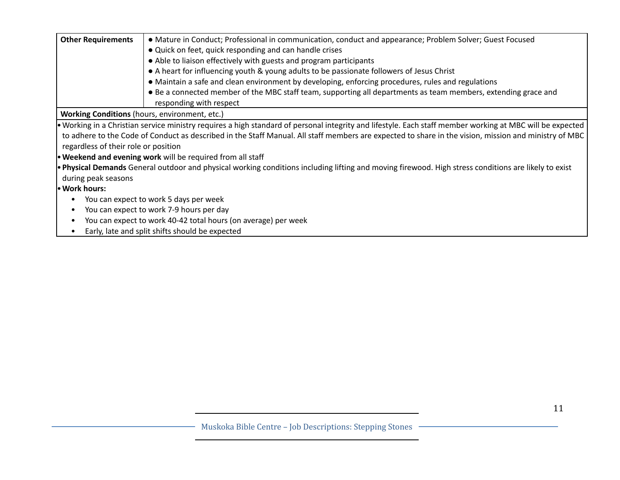| <b>Other Requirements</b>                                                   | • Mature in Conduct; Professional in communication, conduct and appearance; Problem Solver; Guest Focused                                                 |  |  |
|-----------------------------------------------------------------------------|-----------------------------------------------------------------------------------------------------------------------------------------------------------|--|--|
|                                                                             | • Quick on feet, quick responding and can handle crises                                                                                                   |  |  |
|                                                                             | • Able to liaison effectively with guests and program participants                                                                                        |  |  |
|                                                                             | • A heart for influencing youth & young adults to be passionate followers of Jesus Christ                                                                 |  |  |
|                                                                             | • Maintain a safe and clean environment by developing, enforcing procedures, rules and regulations                                                        |  |  |
|                                                                             | • Be a connected member of the MBC staff team, supporting all departments as team members, extending grace and                                            |  |  |
|                                                                             | responding with respect                                                                                                                                   |  |  |
|                                                                             | Working Conditions (hours, environment, etc.)                                                                                                             |  |  |
|                                                                             | • Working in a Christian service ministry requires a high standard of personal integrity and lifestyle. Each staff member working at MBC will be expected |  |  |
|                                                                             | to adhere to the Code of Conduct as described in the Staff Manual. All staff members are expected to share in the vision, mission and ministry of MBC     |  |  |
|                                                                             | regardless of their role or position                                                                                                                      |  |  |
|                                                                             | • Weekend and evening work will be required from all staff                                                                                                |  |  |
|                                                                             | . Physical Demands General outdoor and physical working conditions including lifting and moving firewood. High stress conditions are likely to exist      |  |  |
| during peak seasons                                                         |                                                                                                                                                           |  |  |
| • Work hours:                                                               |                                                                                                                                                           |  |  |
| You can expect to work 5 days per week                                      |                                                                                                                                                           |  |  |
| You can expect to work 7-9 hours per day<br>$\bullet$                       |                                                                                                                                                           |  |  |
| You can expect to work 40-42 total hours (on average) per week<br>$\bullet$ |                                                                                                                                                           |  |  |
| $\bullet$                                                                   | Early, late and split shifts should be expected                                                                                                           |  |  |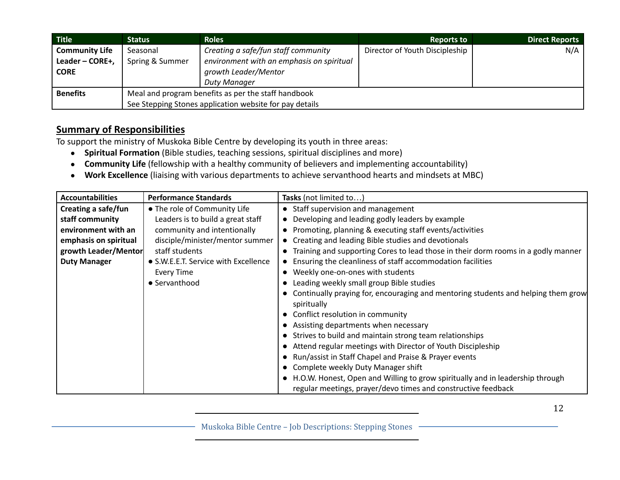| Title <sup>1</sup>    | Status                                                  | <b>Roles</b>                              | <b>Reports to</b>              | <b>Direct Reports</b> |
|-----------------------|---------------------------------------------------------|-------------------------------------------|--------------------------------|-----------------------|
| <b>Community Life</b> | Seasonal                                                | Creating a safe/fun staff community       | Director of Youth Discipleship | N/A                   |
| Leader - CORE+,       | Spring & Summer                                         | environment with an emphasis on spiritual |                                |                       |
| <b>CORE</b>           |                                                         | growth Leader/Mentor                      |                                |                       |
|                       |                                                         | Duty Manager                              |                                |                       |
| <b>Benefits</b>       | Meal and program benefits as per the staff handbook     |                                           |                                |                       |
|                       | See Stepping Stones application website for pay details |                                           |                                |                       |

To support the ministry of Muskoka Bible Centre by developing its youth in three areas:

- **Spiritual Formation** (Bible studies, teaching sessions, spiritual disciplines and more)
- **Community Life** (fellowship with a healthy community of believers and implementing accountability)
- **Work Excellence** (liaising with various departments to achieve servanthood hearts and mindsets at MBC)

| <b>Accountabilities</b> | <b>Performance Standards</b>         | Tasks (not limited to)                                                            |
|-------------------------|--------------------------------------|-----------------------------------------------------------------------------------|
| Creating a safe/fun     | • The role of Community Life         | • Staff supervision and management                                                |
| staff community         | Leaders is to build a great staff    | Developing and leading godly leaders by example                                   |
| environment with an     | community and intentionally          | Promoting, planning & executing staff events/activities                           |
| emphasis on spiritual   | disciple/minister/mentor summer      | • Creating and leading Bible studies and devotionals                              |
| growth Leader/Mentor    | staff students                       | Training and supporting Cores to lead those in their dorm rooms in a godly manner |
| <b>Duty Manager</b>     | • S.W.E.E.T. Service with Excellence | Ensuring the cleanliness of staff accommodation facilities                        |
|                         | <b>Every Time</b>                    | Weekly one-on-ones with students                                                  |
|                         | • Servanthood                        | Leading weekly small group Bible studies                                          |
|                         |                                      | Continually praying for, encouraging and mentoring students and helping them grow |
|                         |                                      | spiritually                                                                       |
|                         |                                      | • Conflict resolution in community                                                |
|                         |                                      | • Assisting departments when necessary                                            |
|                         |                                      | • Strives to build and maintain strong team relationships                         |
|                         |                                      | • Attend regular meetings with Director of Youth Discipleship                     |
|                         |                                      | • Run/assist in Staff Chapel and Praise & Prayer events                           |
|                         |                                      | Complete weekly Duty Manager shift                                                |
|                         |                                      | • H.O.W. Honest, Open and Willing to grow spiritually and in leadership through   |
|                         |                                      | regular meetings, prayer/devo times and constructive feedback                     |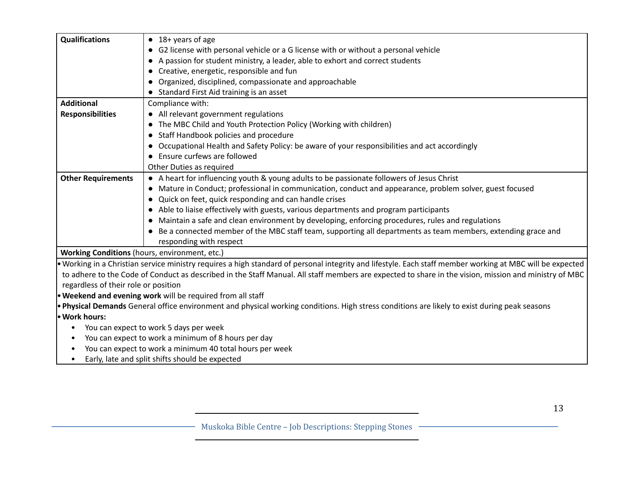| <b>Qualifications</b>                         | $\bullet$ 18+ years of age                                                                                                                                |  |  |
|-----------------------------------------------|-----------------------------------------------------------------------------------------------------------------------------------------------------------|--|--|
|                                               | • G2 license with personal vehicle or a G license with or without a personal vehicle                                                                      |  |  |
|                                               | A passion for student ministry, a leader, able to exhort and correct students<br>$\bullet$                                                                |  |  |
|                                               | Creative, energetic, responsible and fun<br>$\bullet$                                                                                                     |  |  |
|                                               | Organized, disciplined, compassionate and approachable                                                                                                    |  |  |
|                                               | • Standard First Aid training is an asset                                                                                                                 |  |  |
| <b>Additional</b>                             | Compliance with:                                                                                                                                          |  |  |
| <b>Responsibilities</b>                       | • All relevant government regulations                                                                                                                     |  |  |
|                                               | The MBC Child and Youth Protection Policy (Working with children)                                                                                         |  |  |
|                                               | • Staff Handbook policies and procedure                                                                                                                   |  |  |
|                                               | Occupational Health and Safety Policy: be aware of your responsibilities and act accordingly                                                              |  |  |
|                                               | Ensure curfews are followed<br>$\bullet$                                                                                                                  |  |  |
|                                               | Other Duties as required                                                                                                                                  |  |  |
| <b>Other Requirements</b>                     | • A heart for influencing youth & young adults to be passionate followers of Jesus Christ                                                                 |  |  |
|                                               | • Mature in Conduct; professional in communication, conduct and appearance, problem solver, guest focused                                                 |  |  |
|                                               | • Quick on feet, quick responding and can handle crises                                                                                                   |  |  |
|                                               | • Able to liaise effectively with guests, various departments and program participants                                                                    |  |  |
|                                               | Maintain a safe and clean environment by developing, enforcing procedures, rules and regulations<br>$\bullet$                                             |  |  |
|                                               | Be a connected member of the MBC staff team, supporting all departments as team members, extending grace and                                              |  |  |
|                                               | responding with respect                                                                                                                                   |  |  |
| Working Conditions (hours, environment, etc.) |                                                                                                                                                           |  |  |
|                                               | . Working in a Christian service ministry requires a high standard of personal integrity and lifestyle. Each staff member working at MBC will be expected |  |  |
|                                               | to adhere to the Code of Conduct as described in the Staff Manual. All staff members are expected to share in the vision, mission and ministry of MBC     |  |  |
| regardless of their role or position          |                                                                                                                                                           |  |  |
|                                               | . Weekend and evening work will be required from all staff                                                                                                |  |  |
|                                               | . Physical Demands General office environment and physical working conditions. High stress conditions are likely to exist during peak seasons             |  |  |
| · Work hours:                                 |                                                                                                                                                           |  |  |
| ٠                                             | You can expect to work 5 days per week                                                                                                                    |  |  |
| $\bullet$                                     | You can expect to work a minimum of 8 hours per day                                                                                                       |  |  |
|                                               | You can expect to work a minimum 40 total hours per week                                                                                                  |  |  |
| $\bullet$                                     | Early, late and split shifts should be expected                                                                                                           |  |  |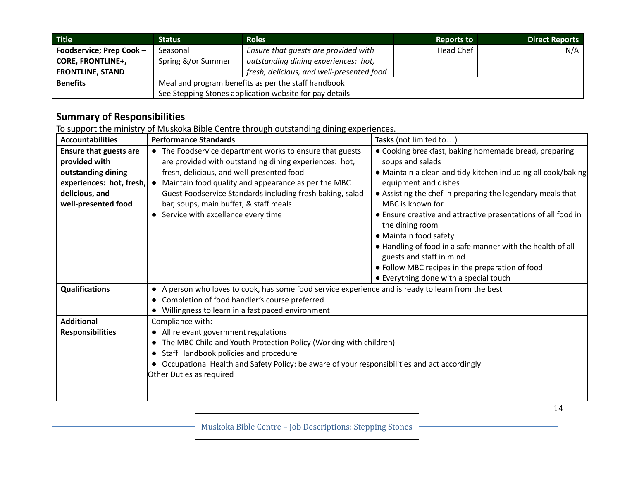| Title                    | <b>Status</b>                                           | <b>Roles</b>                              | <b>Reports to</b> | <b>Direct Reports</b> |
|--------------------------|---------------------------------------------------------|-------------------------------------------|-------------------|-----------------------|
| Foodservice; Prep Cook - | Seasonal                                                | Ensure that guests are provided with      | Head Chef         | N/A                   |
| <b>CORE, FRONTLINE+,</b> | Spring &/or Summer                                      | outstanding dining experiences: hot,      |                   |                       |
| <b>FRONTLINE, STAND</b>  |                                                         | fresh, delicious, and well-presented food |                   |                       |
| <b>Benefits</b>          | Meal and program benefits as per the staff handbook     |                                           |                   |                       |
|                          | See Stepping Stones application website for pay details |                                           |                   |                       |

To support the ministry of Muskoka Bible Centre through outstanding dining experiences.

| <b>Accountabilities</b>                                                                                       | <b>Performance Standards</b>                                                                                                                                                                                                                                                                                                                                                                                               | Tasks (not limited to)                                                                                                                                                                                                                                                                                                                                                                                                                                       |
|---------------------------------------------------------------------------------------------------------------|----------------------------------------------------------------------------------------------------------------------------------------------------------------------------------------------------------------------------------------------------------------------------------------------------------------------------------------------------------------------------------------------------------------------------|--------------------------------------------------------------------------------------------------------------------------------------------------------------------------------------------------------------------------------------------------------------------------------------------------------------------------------------------------------------------------------------------------------------------------------------------------------------|
| <b>Ensure that guests are</b><br>provided with<br>outstanding dining<br>delicious, and<br>well-presented food | • The Foodservice department works to ensure that guests<br>are provided with outstanding dining experiences: hot,<br>fresh, delicious, and well-presented food<br><b>experiences: hot, fresh, <math>\bullet</math></b> Maintain food quality and appearance as per the MBC<br>Guest Foodservice Standards including fresh baking, salad<br>bar, soups, main buffet, & staff meals<br>• Service with excellence every time | • Cooking breakfast, baking homemade bread, preparing<br>soups and salads<br>• Maintain a clean and tidy kitchen including all cook/baking<br>equipment and dishes<br>• Assisting the chef in preparing the legendary meals that<br>MBC is known for<br>• Ensure creative and attractive presentations of all food in<br>the dining room<br>• Maintain food safety<br>• Handling of food in a safe manner with the health of all<br>guests and staff in mind |
|                                                                                                               |                                                                                                                                                                                                                                                                                                                                                                                                                            | • Follow MBC recipes in the preparation of food<br>• Everything done with a special touch                                                                                                                                                                                                                                                                                                                                                                    |
| <b>Qualifications</b>                                                                                         | • A person who loves to cook, has some food service experience and is ready to learn from the best<br>• Completion of food handler's course preferred<br>• Willingness to learn in a fast paced environment                                                                                                                                                                                                                |                                                                                                                                                                                                                                                                                                                                                                                                                                                              |
| <b>Additional</b><br><b>Responsibilities</b>                                                                  | Compliance with:<br>• All relevant government regulations<br>• The MBC Child and Youth Protection Policy (Working with children)<br>Staff Handbook policies and procedure<br>Occupational Health and Safety Policy: be aware of your responsibilities and act accordingly<br>Other Duties as required                                                                                                                      |                                                                                                                                                                                                                                                                                                                                                                                                                                                              |

Muskoka Bible Centre – Job Descriptions: Stepping Stones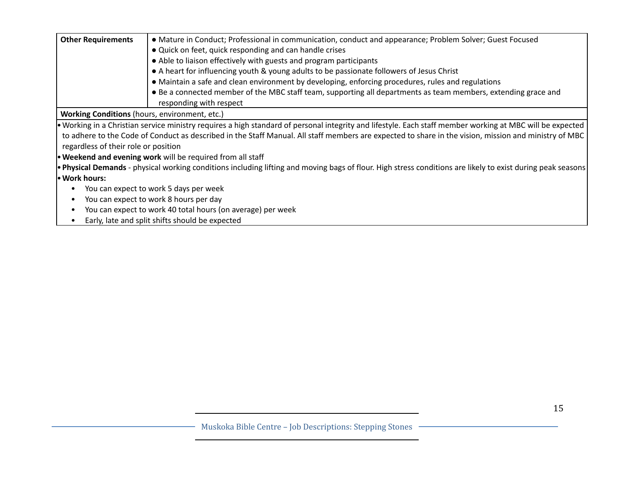| <b>Other Requirements</b>                     | • Mature in Conduct; Professional in communication, conduct and appearance; Problem Solver; Guest Focused                                                   |  |
|-----------------------------------------------|-------------------------------------------------------------------------------------------------------------------------------------------------------------|--|
|                                               | • Quick on feet, quick responding and can handle crises                                                                                                     |  |
|                                               | • Able to liaison effectively with guests and program participants                                                                                          |  |
|                                               | • A heart for influencing youth & young adults to be passionate followers of Jesus Christ                                                                   |  |
|                                               | • Maintain a safe and clean environment by developing, enforcing procedures, rules and regulations                                                          |  |
|                                               | • Be a connected member of the MBC staff team, supporting all departments as team members, extending grace and                                              |  |
|                                               | responding with respect                                                                                                                                     |  |
| Working Conditions (hours, environment, etc.) |                                                                                                                                                             |  |
|                                               | • Working in a Christian service ministry requires a high standard of personal integrity and lifestyle. Each staff member working at MBC will be expected   |  |
|                                               | to adhere to the Code of Conduct as described in the Staff Manual. All staff members are expected to share in the vision, mission and ministry of MBC       |  |
| regardless of their role or position          |                                                                                                                                                             |  |
|                                               | <b>• Weekend and evening work</b> will be required from all staff                                                                                           |  |
|                                               | • Physical Demands - physical working conditions including lifting and moving bags of flour. High stress conditions are likely to exist during peak seasons |  |
| • Work hours:                                 |                                                                                                                                                             |  |
|                                               | You can expect to work 5 days per week                                                                                                                      |  |
| You can expect to work 8 hours per day        |                                                                                                                                                             |  |
| ٠                                             | You can expect to work 40 total hours (on average) per week                                                                                                 |  |
| ٠                                             | Early, late and split shifts should be expected                                                                                                             |  |
|                                               |                                                                                                                                                             |  |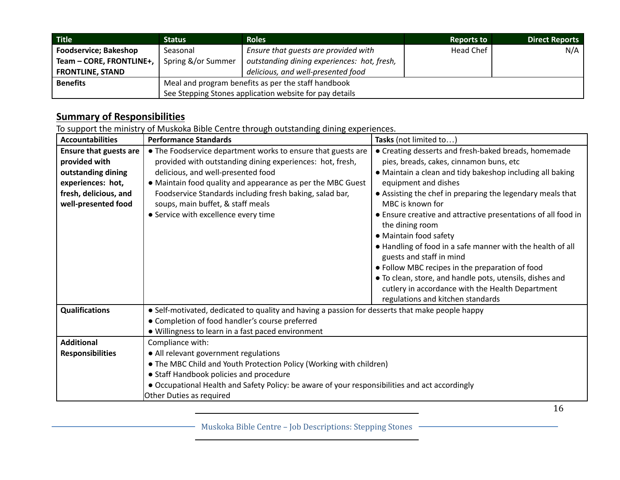| <b>Title</b>                 | <b>Status</b>                                           | <b>Roles</b>                                | <b>Reports to</b> | <b>Direct Reports</b> |
|------------------------------|---------------------------------------------------------|---------------------------------------------|-------------------|-----------------------|
| <b>Foodservice; Bakeshop</b> | Seasonal                                                | Ensure that guests are provided with        | Head Chef         | N/A                   |
| Team - CORE, FRONTLINE+,     | Spring &/or Summer                                      | outstanding dining experiences: hot, fresh, |                   |                       |
| <b>FRONTLINE, STAND</b>      |                                                         | delicious, and well-presented food          |                   |                       |
| <b>Benefits</b>              | Meal and program benefits as per the staff handbook     |                                             |                   |                       |
|                              | See Stepping Stones application website for pay details |                                             |                   |                       |

To support the ministry of Muskoka Bible Centre through outstanding dining experiences.

| • The Foodservice department works to ensure that guests are<br>• Creating desserts and fresh-baked breads, homemade<br><b>Ensure that guests are</b><br>provided with outstanding dining experiences: hot, fresh,<br>pies, breads, cakes, cinnamon buns, etc<br>provided with<br>delicious, and well-presented food<br>outstanding dining<br>• Maintain a clean and tidy bakeshop including all baking<br>experiences: hot,<br>• Maintain food quality and appearance as per the MBC Guest<br>equipment and dishes<br>Foodservice Standards including fresh baking, salad bar,<br>fresh, delicious, and<br>• Assisting the chef in preparing the legendary meals that<br>MBC is known for<br>well-presented food<br>soups, main buffet, & staff meals<br>• Service with excellence every time<br>• Ensure creative and attractive presentations of all food in<br>the dining room<br>• Maintain food safety<br>• Handling of food in a safe manner with the health of all<br>guests and staff in mind<br>• Follow MBC recipes in the preparation of food<br>• To clean, store, and handle pots, utensils, dishes and<br>cutlery in accordance with the Health Department<br>regulations and kitchen standards<br>• Self-motivated, dedicated to quality and having a passion for desserts that make people happy<br><b>Qualifications</b><br>• Completion of food handler's course preferred<br>• Willingness to learn in a fast paced environment<br><b>Additional</b><br>Compliance with:<br>• All relevant government regulations<br><b>Responsibilities</b><br>• The MBC Child and Youth Protection Policy (Working with children)<br>• Staff Handbook policies and procedure<br>• Occupational Health and Safety Policy: be aware of your responsibilities and act accordingly | <b>Accountabilities</b> | <b>Performance Standards</b> | Tasks (not limited to) |  |
|--------------------------------------------------------------------------------------------------------------------------------------------------------------------------------------------------------------------------------------------------------------------------------------------------------------------------------------------------------------------------------------------------------------------------------------------------------------------------------------------------------------------------------------------------------------------------------------------------------------------------------------------------------------------------------------------------------------------------------------------------------------------------------------------------------------------------------------------------------------------------------------------------------------------------------------------------------------------------------------------------------------------------------------------------------------------------------------------------------------------------------------------------------------------------------------------------------------------------------------------------------------------------------------------------------------------------------------------------------------------------------------------------------------------------------------------------------------------------------------------------------------------------------------------------------------------------------------------------------------------------------------------------------------------------------------------------------------------------------------------------------------------------------------|-------------------------|------------------------------|------------------------|--|
|                                                                                                                                                                                                                                                                                                                                                                                                                                                                                                                                                                                                                                                                                                                                                                                                                                                                                                                                                                                                                                                                                                                                                                                                                                                                                                                                                                                                                                                                                                                                                                                                                                                                                                                                                                                      |                         |                              |                        |  |
|                                                                                                                                                                                                                                                                                                                                                                                                                                                                                                                                                                                                                                                                                                                                                                                                                                                                                                                                                                                                                                                                                                                                                                                                                                                                                                                                                                                                                                                                                                                                                                                                                                                                                                                                                                                      |                         |                              |                        |  |
|                                                                                                                                                                                                                                                                                                                                                                                                                                                                                                                                                                                                                                                                                                                                                                                                                                                                                                                                                                                                                                                                                                                                                                                                                                                                                                                                                                                                                                                                                                                                                                                                                                                                                                                                                                                      |                         |                              |                        |  |
|                                                                                                                                                                                                                                                                                                                                                                                                                                                                                                                                                                                                                                                                                                                                                                                                                                                                                                                                                                                                                                                                                                                                                                                                                                                                                                                                                                                                                                                                                                                                                                                                                                                                                                                                                                                      |                         |                              |                        |  |
|                                                                                                                                                                                                                                                                                                                                                                                                                                                                                                                                                                                                                                                                                                                                                                                                                                                                                                                                                                                                                                                                                                                                                                                                                                                                                                                                                                                                                                                                                                                                                                                                                                                                                                                                                                                      |                         |                              |                        |  |
|                                                                                                                                                                                                                                                                                                                                                                                                                                                                                                                                                                                                                                                                                                                                                                                                                                                                                                                                                                                                                                                                                                                                                                                                                                                                                                                                                                                                                                                                                                                                                                                                                                                                                                                                                                                      |                         |                              |                        |  |
|                                                                                                                                                                                                                                                                                                                                                                                                                                                                                                                                                                                                                                                                                                                                                                                                                                                                                                                                                                                                                                                                                                                                                                                                                                                                                                                                                                                                                                                                                                                                                                                                                                                                                                                                                                                      |                         |                              |                        |  |
|                                                                                                                                                                                                                                                                                                                                                                                                                                                                                                                                                                                                                                                                                                                                                                                                                                                                                                                                                                                                                                                                                                                                                                                                                                                                                                                                                                                                                                                                                                                                                                                                                                                                                                                                                                                      |                         |                              |                        |  |
|                                                                                                                                                                                                                                                                                                                                                                                                                                                                                                                                                                                                                                                                                                                                                                                                                                                                                                                                                                                                                                                                                                                                                                                                                                                                                                                                                                                                                                                                                                                                                                                                                                                                                                                                                                                      |                         |                              |                        |  |
|                                                                                                                                                                                                                                                                                                                                                                                                                                                                                                                                                                                                                                                                                                                                                                                                                                                                                                                                                                                                                                                                                                                                                                                                                                                                                                                                                                                                                                                                                                                                                                                                                                                                                                                                                                                      |                         |                              |                        |  |
|                                                                                                                                                                                                                                                                                                                                                                                                                                                                                                                                                                                                                                                                                                                                                                                                                                                                                                                                                                                                                                                                                                                                                                                                                                                                                                                                                                                                                                                                                                                                                                                                                                                                                                                                                                                      |                         |                              |                        |  |
|                                                                                                                                                                                                                                                                                                                                                                                                                                                                                                                                                                                                                                                                                                                                                                                                                                                                                                                                                                                                                                                                                                                                                                                                                                                                                                                                                                                                                                                                                                                                                                                                                                                                                                                                                                                      |                         |                              |                        |  |
|                                                                                                                                                                                                                                                                                                                                                                                                                                                                                                                                                                                                                                                                                                                                                                                                                                                                                                                                                                                                                                                                                                                                                                                                                                                                                                                                                                                                                                                                                                                                                                                                                                                                                                                                                                                      |                         |                              |                        |  |
|                                                                                                                                                                                                                                                                                                                                                                                                                                                                                                                                                                                                                                                                                                                                                                                                                                                                                                                                                                                                                                                                                                                                                                                                                                                                                                                                                                                                                                                                                                                                                                                                                                                                                                                                                                                      |                         |                              |                        |  |
|                                                                                                                                                                                                                                                                                                                                                                                                                                                                                                                                                                                                                                                                                                                                                                                                                                                                                                                                                                                                                                                                                                                                                                                                                                                                                                                                                                                                                                                                                                                                                                                                                                                                                                                                                                                      |                         |                              |                        |  |
|                                                                                                                                                                                                                                                                                                                                                                                                                                                                                                                                                                                                                                                                                                                                                                                                                                                                                                                                                                                                                                                                                                                                                                                                                                                                                                                                                                                                                                                                                                                                                                                                                                                                                                                                                                                      |                         |                              |                        |  |
|                                                                                                                                                                                                                                                                                                                                                                                                                                                                                                                                                                                                                                                                                                                                                                                                                                                                                                                                                                                                                                                                                                                                                                                                                                                                                                                                                                                                                                                                                                                                                                                                                                                                                                                                                                                      |                         |                              |                        |  |
|                                                                                                                                                                                                                                                                                                                                                                                                                                                                                                                                                                                                                                                                                                                                                                                                                                                                                                                                                                                                                                                                                                                                                                                                                                                                                                                                                                                                                                                                                                                                                                                                                                                                                                                                                                                      |                         |                              |                        |  |
|                                                                                                                                                                                                                                                                                                                                                                                                                                                                                                                                                                                                                                                                                                                                                                                                                                                                                                                                                                                                                                                                                                                                                                                                                                                                                                                                                                                                                                                                                                                                                                                                                                                                                                                                                                                      |                         |                              |                        |  |
|                                                                                                                                                                                                                                                                                                                                                                                                                                                                                                                                                                                                                                                                                                                                                                                                                                                                                                                                                                                                                                                                                                                                                                                                                                                                                                                                                                                                                                                                                                                                                                                                                                                                                                                                                                                      |                         |                              |                        |  |
|                                                                                                                                                                                                                                                                                                                                                                                                                                                                                                                                                                                                                                                                                                                                                                                                                                                                                                                                                                                                                                                                                                                                                                                                                                                                                                                                                                                                                                                                                                                                                                                                                                                                                                                                                                                      |                         |                              |                        |  |
|                                                                                                                                                                                                                                                                                                                                                                                                                                                                                                                                                                                                                                                                                                                                                                                                                                                                                                                                                                                                                                                                                                                                                                                                                                                                                                                                                                                                                                                                                                                                                                                                                                                                                                                                                                                      |                         |                              |                        |  |
|                                                                                                                                                                                                                                                                                                                                                                                                                                                                                                                                                                                                                                                                                                                                                                                                                                                                                                                                                                                                                                                                                                                                                                                                                                                                                                                                                                                                                                                                                                                                                                                                                                                                                                                                                                                      |                         |                              |                        |  |
|                                                                                                                                                                                                                                                                                                                                                                                                                                                                                                                                                                                                                                                                                                                                                                                                                                                                                                                                                                                                                                                                                                                                                                                                                                                                                                                                                                                                                                                                                                                                                                                                                                                                                                                                                                                      |                         | Other Duties as required     |                        |  |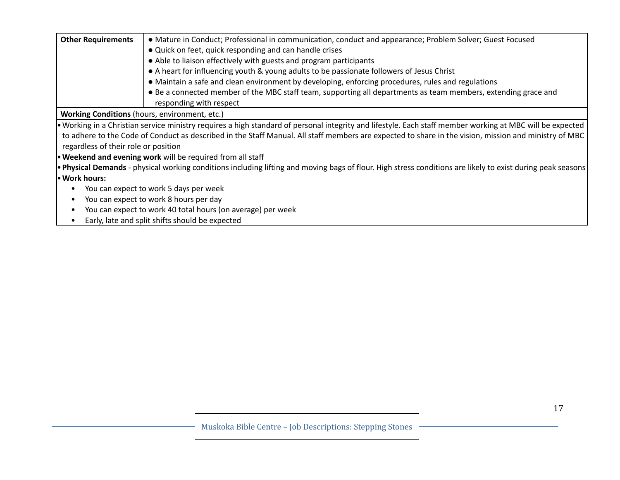| <b>Other Requirements</b>                            | • Mature in Conduct; Professional in communication, conduct and appearance; Problem Solver; Guest Focused<br>• Quick on feet, quick responding and can handle crises |  |  |
|------------------------------------------------------|----------------------------------------------------------------------------------------------------------------------------------------------------------------------|--|--|
|                                                      |                                                                                                                                                                      |  |  |
|                                                      | • Able to liaison effectively with guests and program participants                                                                                                   |  |  |
|                                                      | • A heart for influencing youth & young adults to be passionate followers of Jesus Christ                                                                            |  |  |
|                                                      | • Maintain a safe and clean environment by developing, enforcing procedures, rules and regulations                                                                   |  |  |
|                                                      | • Be a connected member of the MBC staff team, supporting all departments as team members, extending grace and                                                       |  |  |
|                                                      | responding with respect                                                                                                                                              |  |  |
| <b>Working Conditions</b> (hours, environment, etc.) |                                                                                                                                                                      |  |  |
|                                                      | • Working in a Christian service ministry requires a high standard of personal integrity and lifestyle. Each staff member working at MBC will be expected            |  |  |
|                                                      | to adhere to the Code of Conduct as described in the Staff Manual. All staff members are expected to share in the vision, mission and ministry of MBC                |  |  |
| regardless of their role or position                 |                                                                                                                                                                      |  |  |
|                                                      | <b>• Weekend and evening work</b> will be required from all staff                                                                                                    |  |  |
|                                                      | • Physical Demands - physical working conditions including lifting and moving bags of flour. High stress conditions are likely to exist during peak seasons          |  |  |
| • Work hours:                                        |                                                                                                                                                                      |  |  |
|                                                      | You can expect to work 5 days per week                                                                                                                               |  |  |
| You can expect to work 8 hours per day               |                                                                                                                                                                      |  |  |
|                                                      | You can expect to work 40 total hours (on average) per week                                                                                                          |  |  |
| $\bullet$                                            | Early, late and split shifts should be expected                                                                                                                      |  |  |
|                                                      |                                                                                                                                                                      |  |  |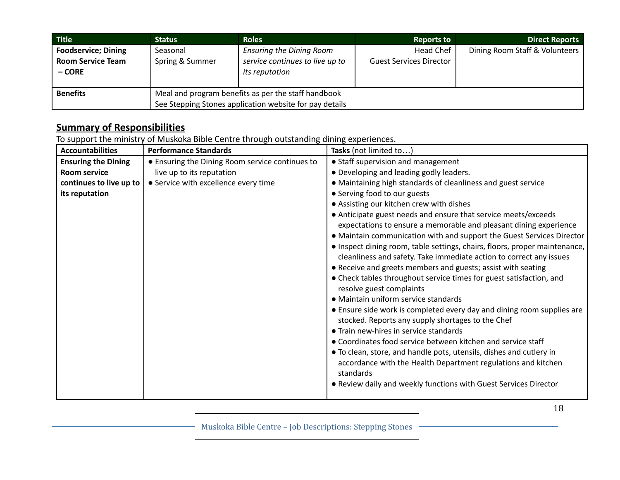| Title <sup>1</sup>                                               | <b>Status</b>                                                                                                  | <b>Roles</b>                                                                         | <b>Reports to</b>                           | <b>Direct Reports</b>          |
|------------------------------------------------------------------|----------------------------------------------------------------------------------------------------------------|--------------------------------------------------------------------------------------|---------------------------------------------|--------------------------------|
| <b>Foodservice; Dining</b><br><b>Room Service Team</b><br>– CORE | Seasonal<br>Spring & Summer                                                                                    | <b>Ensuring the Dining Room</b><br>service continues to live up to<br>its reputation | Head Chef<br><b>Guest Services Director</b> | Dining Room Staff & Volunteers |
| <b>Benefits</b>                                                  | Meal and program benefits as per the staff handbook<br>See Stepping Stones application website for pay details |                                                                                      |                                             |                                |

To support the ministry of Muskoka Bible Centre through outstanding dining experiences.

| <b>Accountabilities</b>    | <b>Performance Standards</b>                    | Tasks (not limited to)                                                     |
|----------------------------|-------------------------------------------------|----------------------------------------------------------------------------|
| <b>Ensuring the Dining</b> | • Ensuring the Dining Room service continues to | • Staff supervision and management                                         |
| <b>Room service</b>        | live up to its reputation                       | • Developing and leading godly leaders.                                    |
| continues to live up to    | • Service with excellence every time            | • Maintaining high standards of cleanliness and guest service              |
| its reputation             |                                                 | • Serving food to our guests                                               |
|                            |                                                 | • Assisting our kitchen crew with dishes                                   |
|                            |                                                 | • Anticipate guest needs and ensure that service meets/exceeds             |
|                            |                                                 | expectations to ensure a memorable and pleasant dining experience          |
|                            |                                                 | • Maintain communication with and support the Guest Services Director      |
|                            |                                                 | • Inspect dining room, table settings, chairs, floors, proper maintenance, |
|                            |                                                 | cleanliness and safety. Take immediate action to correct any issues        |
|                            |                                                 | • Receive and greets members and guests; assist with seating               |
|                            |                                                 | • Check tables throughout service times for guest satisfaction, and        |
|                            |                                                 | resolve guest complaints                                                   |
|                            |                                                 | • Maintain uniform service standards                                       |
|                            |                                                 | • Ensure side work is completed every day and dining room supplies are     |
|                            |                                                 | stocked. Reports any supply shortages to the Chef                          |
|                            |                                                 | • Train new-hires in service standards                                     |
|                            |                                                 | • Coordinates food service between kitchen and service staff               |
|                            |                                                 | • To clean, store, and handle pots, utensils, dishes and cutlery in        |
|                            |                                                 | accordance with the Health Department regulations and kitchen              |
|                            |                                                 | standards                                                                  |
|                            |                                                 | . Review daily and weekly functions with Guest Services Director           |
|                            |                                                 |                                                                            |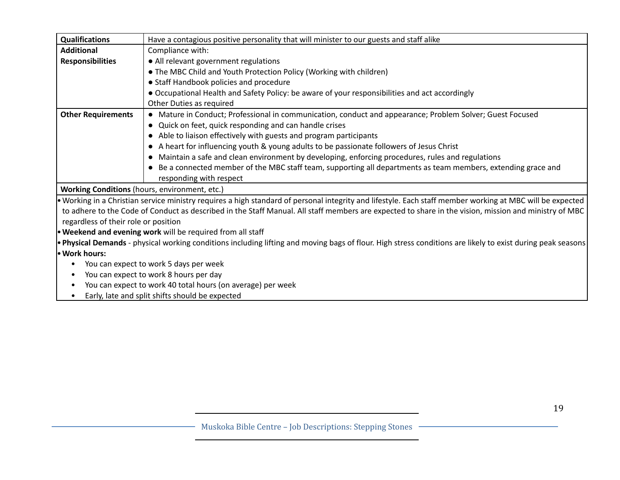| <b>Qualifications</b>                                | Have a contagious positive personality that will minister to our guests and staff alike                                                                     |  |
|------------------------------------------------------|-------------------------------------------------------------------------------------------------------------------------------------------------------------|--|
| <b>Additional</b>                                    | Compliance with:                                                                                                                                            |  |
| <b>Responsibilities</b>                              | • All relevant government regulations                                                                                                                       |  |
|                                                      | • The MBC Child and Youth Protection Policy (Working with children)                                                                                         |  |
|                                                      | • Staff Handbook policies and procedure                                                                                                                     |  |
|                                                      | • Occupational Health and Safety Policy: be aware of your responsibilities and act accordingly                                                              |  |
|                                                      | Other Duties as required                                                                                                                                    |  |
| <b>Other Requirements</b>                            | • Mature in Conduct; Professional in communication, conduct and appearance; Problem Solver; Guest Focused                                                   |  |
|                                                      | • Quick on feet, quick responding and can handle crises                                                                                                     |  |
|                                                      | • Able to liaison effectively with guests and program participants                                                                                          |  |
|                                                      | • A heart for influencing youth & young adults to be passionate followers of Jesus Christ                                                                   |  |
|                                                      | Maintain a safe and clean environment by developing, enforcing procedures, rules and regulations                                                            |  |
|                                                      | Be a connected member of the MBC staff team, supporting all departments as team members, extending grace and<br>responding with respect                     |  |
| <b>Working Conditions</b> (hours, environment, etc.) |                                                                                                                                                             |  |
|                                                      | • Working in a Christian service ministry requires a high standard of personal integrity and lifestyle. Each staff member working at MBC will be expected   |  |
|                                                      | to adhere to the Code of Conduct as described in the Staff Manual. All staff members are expected to share in the vision, mission and ministry of MBC       |  |
| regardless of their role or position                 |                                                                                                                                                             |  |
|                                                      | . Weekend and evening work will be required from all staff                                                                                                  |  |
|                                                      | • Physical Demands - physical working conditions including lifting and moving bags of flour. High stress conditions are likely to exist during peak seasons |  |
| • Work hours:                                        |                                                                                                                                                             |  |
|                                                      | You can expect to work 5 days per week                                                                                                                      |  |
| You can expect to work 8 hours per day<br>$\bullet$  |                                                                                                                                                             |  |
| $\bullet$                                            | You can expect to work 40 total hours (on average) per week                                                                                                 |  |
|                                                      | Early, late and split shifts should be expected                                                                                                             |  |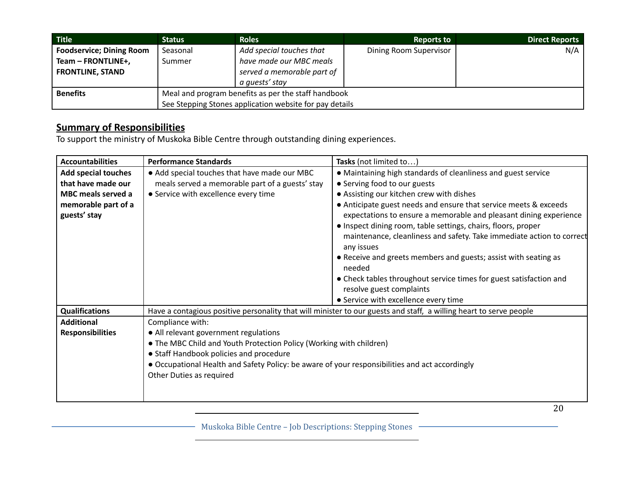| Title                           | <b>Status</b>                                           | <b>Roles</b>               | <b>Reports to</b>      | <b>Direct Reports</b> |
|---------------------------------|---------------------------------------------------------|----------------------------|------------------------|-----------------------|
| <b>Foodservice; Dining Room</b> | Seasonal                                                | Add special touches that   | Dining Room Supervisor | N/A                   |
| Team - FRONTLINE+,              | Summer                                                  | have made our MBC meals    |                        |                       |
| <b>FRONTLINE, STAND</b>         |                                                         | served a memorable part of |                        |                       |
|                                 |                                                         | a quests' stay             |                        |                       |
| <b>Benefits</b>                 | Meal and program benefits as per the staff handbook     |                            |                        |                       |
|                                 | See Stepping Stones application website for pay details |                            |                        |                       |

To support the ministry of Muskoka Bible Centre through outstanding dining experiences.

| <b>Accountabilities</b>    | <b>Performance Standards</b>                                                                   | Tasks (not limited to)                                                                                             |  |
|----------------------------|------------------------------------------------------------------------------------------------|--------------------------------------------------------------------------------------------------------------------|--|
| <b>Add special touches</b> | • Add special touches that have made our MBC                                                   | • Maintaining high standards of cleanliness and guest service                                                      |  |
| that have made our         | meals served a memorable part of a guests' stay                                                | • Serving food to our guests                                                                                       |  |
| <b>MBC</b> meals served a  | • Service with excellence every time                                                           | • Assisting our kitchen crew with dishes                                                                           |  |
| memorable part of a        |                                                                                                | • Anticipate guest needs and ensure that service meets & exceeds                                                   |  |
| guests' stay               |                                                                                                | expectations to ensure a memorable and pleasant dining experience                                                  |  |
|                            |                                                                                                | • Inspect dining room, table settings, chairs, floors, proper                                                      |  |
|                            |                                                                                                | maintenance, cleanliness and safety. Take immediate action to correct<br>any issues                                |  |
|                            |                                                                                                | • Receive and greets members and guests; assist with seating as<br>needed                                          |  |
|                            |                                                                                                | • Check tables throughout service times for guest satisfaction and                                                 |  |
|                            |                                                                                                | resolve guest complaints                                                                                           |  |
|                            |                                                                                                | • Service with excellence every time                                                                               |  |
| <b>Qualifications</b>      |                                                                                                | Have a contagious positive personality that will minister to our guests and staff, a willing heart to serve people |  |
| <b>Additional</b>          | Compliance with:                                                                               |                                                                                                                    |  |
| <b>Responsibilities</b>    | • All relevant government regulations                                                          |                                                                                                                    |  |
|                            | • The MBC Child and Youth Protection Policy (Working with children)                            |                                                                                                                    |  |
|                            | • Staff Handbook policies and procedure                                                        |                                                                                                                    |  |
|                            | • Occupational Health and Safety Policy: be aware of your responsibilities and act accordingly |                                                                                                                    |  |
|                            | Other Duties as required                                                                       |                                                                                                                    |  |
|                            |                                                                                                |                                                                                                                    |  |
|                            |                                                                                                |                                                                                                                    |  |

- Muskoka Bible Centre - Job Descriptions: Stepping Stones -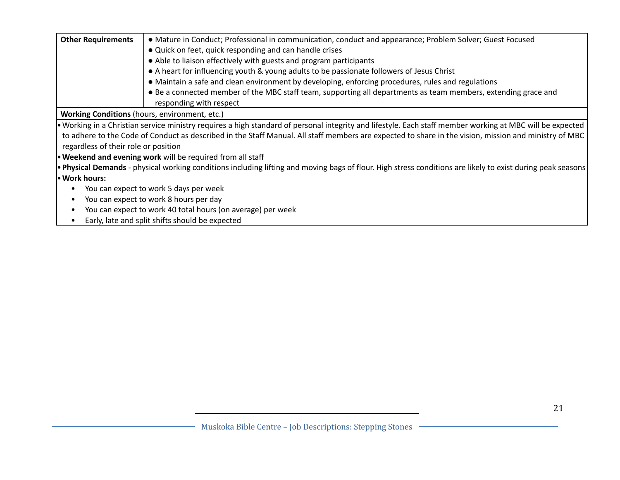| <b>Other Requirements</b>                                   | • Mature in Conduct; Professional in communication, conduct and appearance; Problem Solver; Guest Focused<br>• Quick on feet, quick responding and can handle crises |  |  |
|-------------------------------------------------------------|----------------------------------------------------------------------------------------------------------------------------------------------------------------------|--|--|
|                                                             |                                                                                                                                                                      |  |  |
|                                                             | • Able to liaison effectively with guests and program participants                                                                                                   |  |  |
|                                                             | • A heart for influencing youth & young adults to be passionate followers of Jesus Christ                                                                            |  |  |
|                                                             | • Maintain a safe and clean environment by developing, enforcing procedures, rules and regulations                                                                   |  |  |
|                                                             | • Be a connected member of the MBC staff team, supporting all departments as team members, extending grace and                                                       |  |  |
|                                                             | responding with respect                                                                                                                                              |  |  |
| <b>Working Conditions</b> (hours, environment, etc.)        |                                                                                                                                                                      |  |  |
|                                                             | • Working in a Christian service ministry requires a high standard of personal integrity and lifestyle. Each staff member working at MBC will be expected            |  |  |
|                                                             | to adhere to the Code of Conduct as described in the Staff Manual. All staff members are expected to share in the vision, mission and ministry of MBC                |  |  |
| regardless of their role or position                        |                                                                                                                                                                      |  |  |
|                                                             | <b>• Weekend and evening work</b> will be required from all staff                                                                                                    |  |  |
|                                                             | • Physical Demands - physical working conditions including lifting and moving bags of flour. High stress conditions are likely to exist during peak seasons          |  |  |
| • Work hours:                                               |                                                                                                                                                                      |  |  |
|                                                             | You can expect to work 5 days per week                                                                                                                               |  |  |
| You can expect to work 8 hours per day                      |                                                                                                                                                                      |  |  |
| You can expect to work 40 total hours (on average) per week |                                                                                                                                                                      |  |  |
| $\bullet$                                                   | Early, late and split shifts should be expected                                                                                                                      |  |  |
|                                                             |                                                                                                                                                                      |  |  |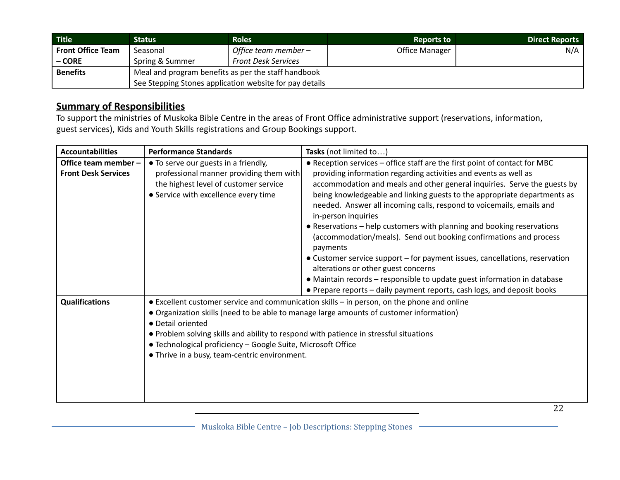| <b>Title</b>             | <b>Status</b>                                           | <b>Roles</b>               | <b>Reports to</b> | Direct Reports |
|--------------------------|---------------------------------------------------------|----------------------------|-------------------|----------------|
| <b>Front Office Team</b> | Seasonal                                                | Office team member –       | Office Manager    | N/A            |
| $-CORE$                  | Spring & Summer                                         | <b>Front Desk Services</b> |                   |                |
| <b>Benefits</b>          | Meal and program benefits as per the staff handbook     |                            |                   |                |
|                          | See Stepping Stones application website for pay details |                            |                   |                |

To support the ministries of Muskoka Bible Centre in the areas of Front Office administrative support (reservations, information, guest services), Kids and Youth Skills registrations and Group Bookings support.

| <b>Accountabilities</b>    | <b>Performance Standards</b>                                                          | Tasks (not limited to)                                                                     |
|----------------------------|---------------------------------------------------------------------------------------|--------------------------------------------------------------------------------------------|
| Office team member -       | • To serve our guests in a friendly,                                                  | • Reception services – office staff are the first point of contact for MBC                 |
| <b>Front Desk Services</b> | professional manner providing them with                                               | providing information regarding activities and events as well as                           |
|                            | the highest level of customer service                                                 | accommodation and meals and other general inquiries. Serve the guests by                   |
|                            | • Service with excellence every time                                                  | being knowledgeable and linking guests to the appropriate departments as                   |
|                            |                                                                                       | needed. Answer all incoming calls, respond to voicemails, emails and                       |
|                            |                                                                                       | in-person inquiries                                                                        |
|                            |                                                                                       | • Reservations – help customers with planning and booking reservations                     |
|                            |                                                                                       | (accommodation/meals). Send out booking confirmations and process                          |
|                            |                                                                                       | payments                                                                                   |
|                            |                                                                                       | • Customer service support - for payment issues, cancellations, reservation                |
|                            |                                                                                       | alterations or other guest concerns                                                        |
|                            |                                                                                       | • Maintain records – responsible to update guest information in database                   |
|                            |                                                                                       | • Prepare reports - daily payment reports, cash logs, and deposit books                    |
| <b>Qualifications</b>      |                                                                                       | • Excellent customer service and communication skills - in person, on the phone and online |
|                            |                                                                                       | • Organization skills (need to be able to manage large amounts of customer information)    |
|                            | • Detail oriented                                                                     |                                                                                            |
|                            | . Problem solving skills and ability to respond with patience in stressful situations |                                                                                            |
|                            | • Technological proficiency - Google Suite, Microsoft Office                          |                                                                                            |
|                            | • Thrive in a busy, team-centric environment.                                         |                                                                                            |
|                            |                                                                                       |                                                                                            |
|                            |                                                                                       |                                                                                            |
|                            |                                                                                       |                                                                                            |
|                            |                                                                                       |                                                                                            |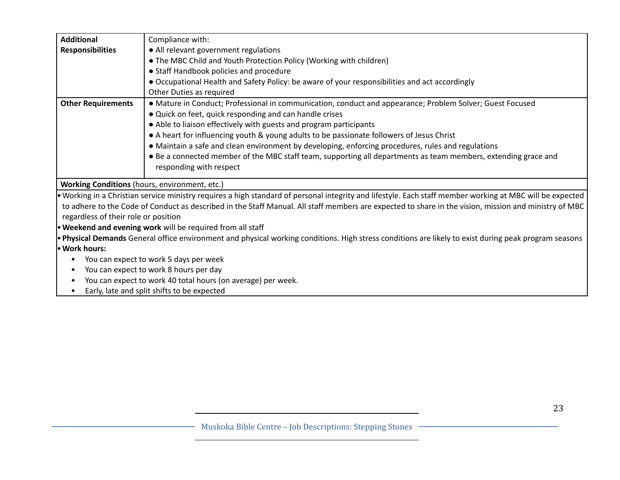| <b>Additional</b>                             |                                                                                                                                                           |  |  |
|-----------------------------------------------|-----------------------------------------------------------------------------------------------------------------------------------------------------------|--|--|
|                                               | Compliance with:                                                                                                                                          |  |  |
| <b>Responsibilities</b>                       | • All relevant government regulations                                                                                                                     |  |  |
|                                               | • The MBC Child and Youth Protection Policy (Working with children)                                                                                       |  |  |
|                                               | • Staff Handbook policies and procedure                                                                                                                   |  |  |
|                                               | • Occupational Health and Safety Policy: be aware of your responsibilities and act accordingly                                                            |  |  |
|                                               | Other Duties as required                                                                                                                                  |  |  |
| <b>Other Requirements</b>                     | • Mature in Conduct; Professional in communication, conduct and appearance; Problem Solver; Guest Focused                                                 |  |  |
|                                               | • Quick on feet, quick responding and can handle crises                                                                                                   |  |  |
|                                               | • Able to liaison effectively with guests and program participants                                                                                        |  |  |
|                                               | • A heart for influencing youth & young adults to be passionate followers of Jesus Christ                                                                 |  |  |
|                                               | • Maintain a safe and clean environment by developing, enforcing procedures, rules and regulations                                                        |  |  |
|                                               | • Be a connected member of the MBC staff team, supporting all departments as team members, extending grace and                                            |  |  |
|                                               | responding with respect                                                                                                                                   |  |  |
| Working Conditions (hours, environment, etc.) |                                                                                                                                                           |  |  |
|                                               | • Working in a Christian service ministry requires a high standard of personal integrity and lifestyle. Each staff member working at MBC will be expected |  |  |
|                                               | to adhere to the Code of Conduct as described in the Staff Manual. All staff members are expected to share in the vision, mission and ministry of MBC     |  |  |
| regardless of their role or position          |                                                                                                                                                           |  |  |
|                                               | . Weekend and evening work will be required from all staff                                                                                                |  |  |
|                                               | . Physical Demands General office environment and physical working conditions. High stress conditions are likely to exist during peak program seasons     |  |  |
| • Work hours:                                 |                                                                                                                                                           |  |  |
|                                               | You can expect to work 5 days per week                                                                                                                    |  |  |
|                                               | You can expect to work 8 hours per day                                                                                                                    |  |  |
| ٠                                             | You can expect to work 40 total hours (on average) per week.                                                                                              |  |  |
|                                               | Early, late and split shifts to be expected                                                                                                               |  |  |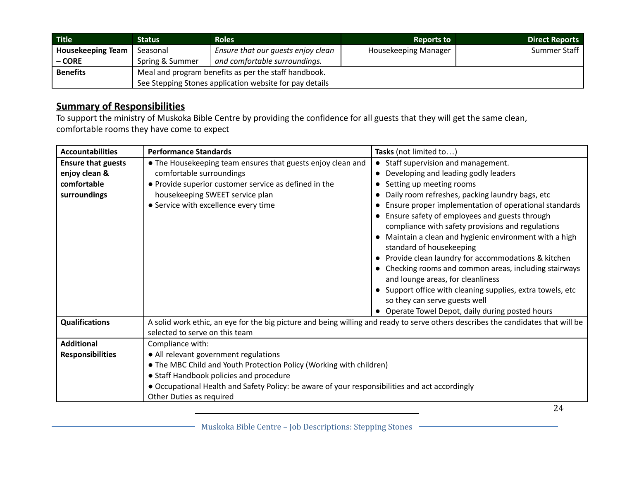| <b>Title</b>             | <b>Status</b>                                           | <b>Roles</b>                       | <b>Reports to</b>    | <b>Direct Reports</b> |
|--------------------------|---------------------------------------------------------|------------------------------------|----------------------|-----------------------|
| <b>Housekeeping Team</b> | Seasonal                                                | Ensure that our guests enjoy clean | Housekeeping Manager | Summer Staff          |
| $-CORE$                  | Spring & Summer                                         | and comfortable surroundings.      |                      |                       |
| <b>Benefits</b>          | Meal and program benefits as per the staff handbook.    |                                    |                      |                       |
|                          | See Stepping Stones application website for pay details |                                    |                      |                       |

To support the ministry of Muskoka Bible Centre by providing the confidence for all guests that they will get the same clean, comfortable rooms they have come to expect

| <b>Accountabilities</b>   | <b>Performance Standards</b>                                                                                                     | Tasks (not limited to)                                       |  |
|---------------------------|----------------------------------------------------------------------------------------------------------------------------------|--------------------------------------------------------------|--|
| <b>Ensure that guests</b> | • The Housekeeping team ensures that guests enjoy clean and                                                                      | • Staff supervision and management.                          |  |
| enjoy clean &             | comfortable surroundings                                                                                                         | Developing and leading godly leaders<br>$\bullet$            |  |
| comfortable               | • Provide superior customer service as defined in the                                                                            | Setting up meeting rooms<br>$\bullet$                        |  |
| surroundings              | housekeeping SWEET service plan                                                                                                  | Daily room refreshes, packing laundry bags, etc<br>$\bullet$ |  |
|                           | • Service with excellence every time                                                                                             | Ensure proper implementation of operational standards        |  |
|                           |                                                                                                                                  | Ensure safety of employees and guests through<br>$\bullet$   |  |
|                           |                                                                                                                                  | compliance with safety provisions and regulations            |  |
|                           |                                                                                                                                  | • Maintain a clean and hygienic environment with a high      |  |
|                           |                                                                                                                                  | standard of housekeeping                                     |  |
|                           |                                                                                                                                  | • Provide clean laundry for accommodations & kitchen         |  |
|                           |                                                                                                                                  | • Checking rooms and common areas, including stairways       |  |
|                           |                                                                                                                                  | and lounge areas, for cleanliness                            |  |
|                           |                                                                                                                                  | • Support office with cleaning supplies, extra towels, etc   |  |
|                           |                                                                                                                                  | so they can serve guests well                                |  |
|                           |                                                                                                                                  | • Operate Towel Depot, daily during posted hours             |  |
| <b>Qualifications</b>     | A solid work ethic, an eye for the big picture and being willing and ready to serve others describes the candidates that will be |                                                              |  |
|                           | selected to serve on this team                                                                                                   |                                                              |  |
| <b>Additional</b>         | Compliance with:                                                                                                                 |                                                              |  |
| <b>Responsibilities</b>   | • All relevant government regulations                                                                                            |                                                              |  |
|                           | • The MBC Child and Youth Protection Policy (Working with children)                                                              |                                                              |  |
|                           | • Staff Handbook policies and procedure                                                                                          |                                                              |  |
|                           | • Occupational Health and Safety Policy: be aware of your responsibilities and act accordingly                                   |                                                              |  |
|                           | Other Duties as required                                                                                                         |                                                              |  |

Muskoka Bible Centre – Job Descriptions: Stepping Stones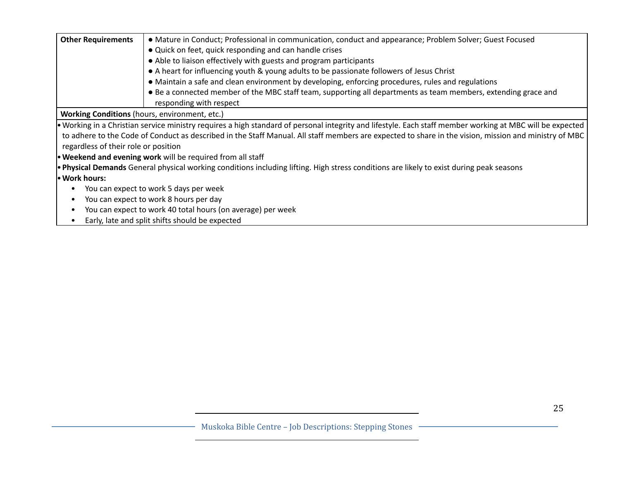| <b>Other Requirements</b>                                   | • Mature in Conduct; Professional in communication, conduct and appearance; Problem Solver; Guest Focused                                                 |  |
|-------------------------------------------------------------|-----------------------------------------------------------------------------------------------------------------------------------------------------------|--|
|                                                             | • Quick on feet, quick responding and can handle crises                                                                                                   |  |
|                                                             | • Able to liaison effectively with guests and program participants                                                                                        |  |
|                                                             | • A heart for influencing youth & young adults to be passionate followers of Jesus Christ                                                                 |  |
|                                                             | • Maintain a safe and clean environment by developing, enforcing procedures, rules and regulations                                                        |  |
|                                                             | • Be a connected member of the MBC staff team, supporting all departments as team members, extending grace and                                            |  |
|                                                             | responding with respect                                                                                                                                   |  |
| Working Conditions (hours, environment, etc.)               |                                                                                                                                                           |  |
|                                                             | . Working in a Christian service ministry requires a high standard of personal integrity and lifestyle. Each staff member working at MBC will be expected |  |
| regardless of their role or position                        | to adhere to the Code of Conduct as described in the Staff Manual. All staff members are expected to share in the vision, mission and ministry of MBC     |  |
|                                                             | . Weekend and evening work will be required from all staff                                                                                                |  |
|                                                             | . Physical Demands General physical working conditions including lifting. High stress conditions are likely to exist during peak seasons                  |  |
| • Work hours:                                               |                                                                                                                                                           |  |
|                                                             | You can expect to work 5 days per week                                                                                                                    |  |
| You can expect to work 8 hours per day                      |                                                                                                                                                           |  |
| You can expect to work 40 total hours (on average) per week |                                                                                                                                                           |  |
|                                                             | Early, late and split shifts should be expected                                                                                                           |  |
|                                                             |                                                                                                                                                           |  |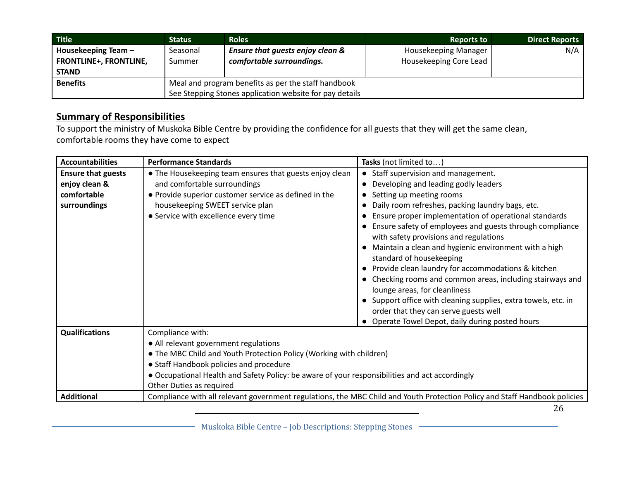| <b>Title</b>                  | Status                                              | <b>Roles</b>                                            | <b>Reports to</b>      | <b>Direct Reports</b> |
|-------------------------------|-----------------------------------------------------|---------------------------------------------------------|------------------------|-----------------------|
| Housekeeping Team -           | Seasonal                                            | Ensure that guests enjoy clean &                        | Housekeeping Manager   | N/A                   |
| <b>FRONTLINE+, FRONTLINE,</b> | Summer                                              | comfortable surroundings.                               | Housekeeping Core Lead |                       |
| <b>STAND</b>                  |                                                     |                                                         |                        |                       |
| <b>Benefits</b>               | Meal and program benefits as per the staff handbook |                                                         |                        |                       |
|                               |                                                     | See Stepping Stones application website for pay details |                        |                       |

To support the ministry of Muskoka Bible Centre by providing the confidence for all guests that they will get the same clean, comfortable rooms they have come to expect

| <b>Accountabilities</b>   | <b>Performance Standards</b>                                                                   | Tasks (not limited to)                                                                                                     |  |
|---------------------------|------------------------------------------------------------------------------------------------|----------------------------------------------------------------------------------------------------------------------------|--|
| <b>Ensure that guests</b> | • The Housekeeping team ensures that guests enjoy clean                                        | Staff supervision and management.                                                                                          |  |
| enjoy clean &             | and comfortable surroundings                                                                   | Developing and leading godly leaders                                                                                       |  |
| comfortable               | • Provide superior customer service as defined in the                                          | Setting up meeting rooms<br>$\bullet$                                                                                      |  |
| surroundings              | housekeeping SWEET service plan                                                                | Daily room refreshes, packing laundry bags, etc.<br>$\bullet$                                                              |  |
|                           | • Service with excellence every time                                                           | Ensure proper implementation of operational standards                                                                      |  |
|                           |                                                                                                | Ensure safety of employees and guests through compliance                                                                   |  |
|                           |                                                                                                | with safety provisions and regulations                                                                                     |  |
|                           |                                                                                                | Maintain a clean and hygienic environment with a high                                                                      |  |
|                           |                                                                                                | standard of housekeeping                                                                                                   |  |
|                           |                                                                                                | Provide clean laundry for accommodations & kitchen                                                                         |  |
|                           |                                                                                                | Checking rooms and common areas, including stairways and                                                                   |  |
|                           |                                                                                                | lounge areas, for cleanliness                                                                                              |  |
|                           |                                                                                                | • Support office with cleaning supplies, extra towels, etc. in                                                             |  |
|                           |                                                                                                | order that they can serve guests well                                                                                      |  |
|                           |                                                                                                | Operate Towel Depot, daily during posted hours                                                                             |  |
| <b>Qualifications</b>     | Compliance with:                                                                               |                                                                                                                            |  |
|                           | • All relevant government regulations                                                          |                                                                                                                            |  |
|                           | • The MBC Child and Youth Protection Policy (Working with children)                            |                                                                                                                            |  |
|                           | • Staff Handbook policies and procedure                                                        |                                                                                                                            |  |
|                           | • Occupational Health and Safety Policy: be aware of your responsibilities and act accordingly |                                                                                                                            |  |
|                           | Other Duties as required                                                                       |                                                                                                                            |  |
| <b>Additional</b>         |                                                                                                | Compliance with all relevant government regulations, the MBC Child and Youth Protection Policy and Staff Handbook policies |  |

26

Muskoka Bible Centre – Job Descriptions: Stepping Stones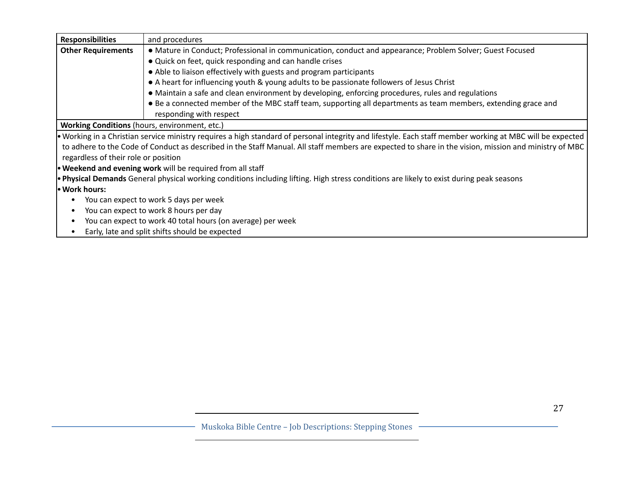| <b>Responsibilities</b>                       | and procedures                                                                                                                                            |  |
|-----------------------------------------------|-----------------------------------------------------------------------------------------------------------------------------------------------------------|--|
| <b>Other Requirements</b>                     | • Mature in Conduct; Professional in communication, conduct and appearance; Problem Solver; Guest Focused                                                 |  |
|                                               | • Quick on feet, quick responding and can handle crises                                                                                                   |  |
|                                               | • Able to liaison effectively with guests and program participants                                                                                        |  |
|                                               | • A heart for influencing youth & young adults to be passionate followers of Jesus Christ                                                                 |  |
|                                               | • Maintain a safe and clean environment by developing, enforcing procedures, rules and regulations                                                        |  |
|                                               | • Be a connected member of the MBC staff team, supporting all departments as team members, extending grace and                                            |  |
|                                               | responding with respect                                                                                                                                   |  |
| Working Conditions (hours, environment, etc.) |                                                                                                                                                           |  |
|                                               | • Working in a Christian service ministry requires a high standard of personal integrity and lifestyle. Each staff member working at MBC will be expected |  |
|                                               | to adhere to the Code of Conduct as described in the Staff Manual. All staff members are expected to share in the vision, mission and ministry of MBC     |  |
| regardless of their role or position          |                                                                                                                                                           |  |
|                                               | . Weekend and evening work will be required from all staff                                                                                                |  |
|                                               | . Physical Demands General physical working conditions including lifting. High stress conditions are likely to exist during peak seasons                  |  |
| · Work hours:                                 |                                                                                                                                                           |  |
|                                               | You can expect to work 5 days per week                                                                                                                    |  |
|                                               | You can expect to work 8 hours per day                                                                                                                    |  |
|                                               | You can expect to work 40 total hours (on average) per week                                                                                               |  |
|                                               | Early, late and split shifts should be expected                                                                                                           |  |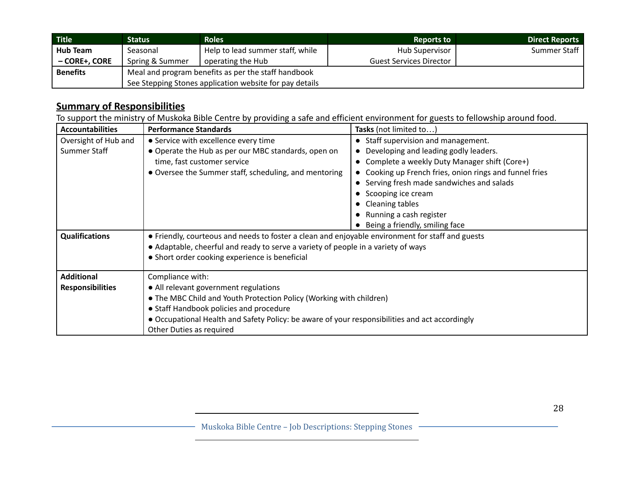| <b>Title</b>    | Status                                                  | <b>Roles</b>                     | <b>Reports to</b>              | <b>Direct Reports</b> |
|-----------------|---------------------------------------------------------|----------------------------------|--------------------------------|-----------------------|
| <b>Hub Team</b> | Seasonal                                                | Help to lead summer staff, while | Hub Supervisor                 | Summer Staff          |
| - CORE+, CORE   | Spring & Summer                                         | operating the Hub                | <b>Guest Services Director</b> |                       |
| <b>Benefits</b> | Meal and program benefits as per the staff handbook     |                                  |                                |                       |
|                 | See Stepping Stones application website for pay details |                                  |                                |                       |

To support the ministry of Muskoka Bible Centre by providing a safe and efficient environment for guests to fellowship around food.

| <b>Accountabilities</b> | <b>Performance Standards</b>                                                                     | Tasks (not limited to)                                             |  |
|-------------------------|--------------------------------------------------------------------------------------------------|--------------------------------------------------------------------|--|
| Oversight of Hub and    | • Service with excellence every time                                                             | • Staff supervision and management.                                |  |
| Summer Staff            | • Operate the Hub as per our MBC standards, open on                                              | Developing and leading godly leaders.<br>$\bullet$                 |  |
|                         | time, fast customer service                                                                      | Complete a weekly Duty Manager shift (Core+)<br>$\bullet$          |  |
|                         | • Oversee the Summer staff, scheduling, and mentoring                                            | Cooking up French fries, onion rings and funnel fries<br>$\bullet$ |  |
|                         |                                                                                                  | Serving fresh made sandwiches and salads<br>$\bullet$              |  |
|                         |                                                                                                  | Scooping ice cream                                                 |  |
|                         |                                                                                                  | <b>Cleaning tables</b>                                             |  |
|                         |                                                                                                  | Running a cash register                                            |  |
|                         |                                                                                                  | Being a friendly, smiling face                                     |  |
| <b>Qualifications</b>   | • Friendly, courteous and needs to foster a clean and enjoyable environment for staff and guests |                                                                    |  |
|                         | • Adaptable, cheerful and ready to serve a variety of people in a variety of ways                |                                                                    |  |
|                         | • Short order cooking experience is beneficial                                                   |                                                                    |  |
|                         |                                                                                                  |                                                                    |  |
| <b>Additional</b>       | Compliance with:                                                                                 |                                                                    |  |
| <b>Responsibilities</b> | • All relevant government regulations                                                            |                                                                    |  |
|                         | • The MBC Child and Youth Protection Policy (Working with children)                              |                                                                    |  |
|                         | • Staff Handbook policies and procedure                                                          |                                                                    |  |
|                         | • Occupational Health and Safety Policy: be aware of your responsibilities and act accordingly   |                                                                    |  |
|                         | Other Duties as required                                                                         |                                                                    |  |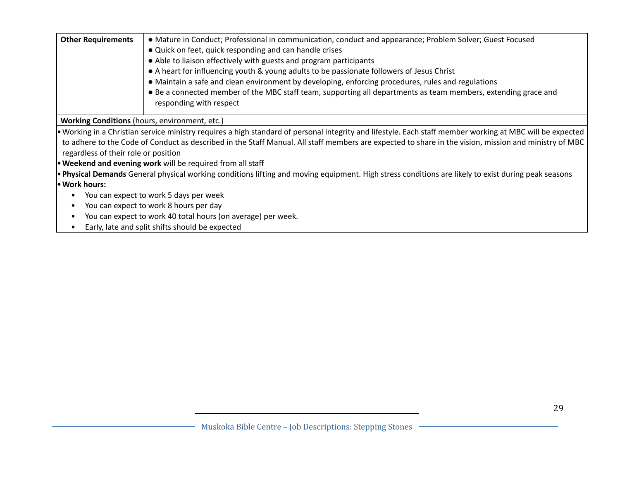| <b>Other Requirements</b>                                    | • Mature in Conduct; Professional in communication, conduct and appearance; Problem Solver; Guest Focused<br>• Quick on feet, quick responding and can handle crises<br>• Able to liaison effectively with guests and program participants<br>• A heart for influencing youth & young adults to be passionate followers of Jesus Christ<br>• Maintain a safe and clean environment by developing, enforcing procedures, rules and regulations<br>• Be a connected member of the MBC staff team, supporting all departments as team members, extending grace and<br>responding with respect |  |
|--------------------------------------------------------------|--------------------------------------------------------------------------------------------------------------------------------------------------------------------------------------------------------------------------------------------------------------------------------------------------------------------------------------------------------------------------------------------------------------------------------------------------------------------------------------------------------------------------------------------------------------------------------------------|--|
| Working Conditions (hours, environment, etc.)                |                                                                                                                                                                                                                                                                                                                                                                                                                                                                                                                                                                                            |  |
| regardless of their role or position                         | • Working in a Christian service ministry requires a high standard of personal integrity and lifestyle. Each staff member working at MBC will be expected<br>to adhere to the Code of Conduct as described in the Staff Manual. All staff members are expected to share in the vision, mission and ministry of MBC<br>• Weekend and evening work will be required from all staff                                                                                                                                                                                                           |  |
|                                                              | • Physical Demands General physical working conditions lifting and moving equipment. High stress conditions are likely to exist during peak seasons                                                                                                                                                                                                                                                                                                                                                                                                                                        |  |
| • Work hours:                                                |                                                                                                                                                                                                                                                                                                                                                                                                                                                                                                                                                                                            |  |
| You can expect to work 5 days per week                       |                                                                                                                                                                                                                                                                                                                                                                                                                                                                                                                                                                                            |  |
| You can expect to work 8 hours per day                       |                                                                                                                                                                                                                                                                                                                                                                                                                                                                                                                                                                                            |  |
| You can expect to work 40 total hours (on average) per week. |                                                                                                                                                                                                                                                                                                                                                                                                                                                                                                                                                                                            |  |
|                                                              | Early, late and split shifts should be expected                                                                                                                                                                                                                                                                                                                                                                                                                                                                                                                                            |  |
|                                                              |                                                                                                                                                                                                                                                                                                                                                                                                                                                                                                                                                                                            |  |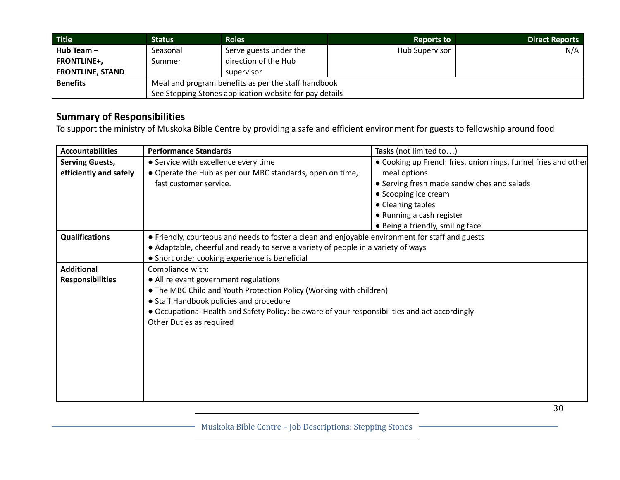| <b>Title</b>            | <b>Status</b>                                           | <b>Roles</b>           | <b>Reports to</b>     | <b>Direct Reports</b> |
|-------------------------|---------------------------------------------------------|------------------------|-----------------------|-----------------------|
| Hub Team $-$            | Seasonal                                                | Serve guests under the | <b>Hub Supervisor</b> | N/A                   |
| <b>FRONTLINE+,</b>      | Summer                                                  | direction of the Hub   |                       |                       |
| <b>FRONTLINE, STAND</b> |                                                         | supervisor             |                       |                       |
| <b>Benefits</b>         | Meal and program benefits as per the staff handbook     |                        |                       |                       |
|                         | See Stepping Stones application website for pay details |                        |                       |                       |

To support the ministry of Muskoka Bible Centre by providing a safe and efficient environment for guests to fellowship around food

| <b>Accountabilities</b> | <b>Performance Standards</b>                                                                     | Tasks (not limited to)                                         |  |
|-------------------------|--------------------------------------------------------------------------------------------------|----------------------------------------------------------------|--|
| <b>Serving Guests,</b>  | • Service with excellence every time                                                             | . Cooking up French fries, onion rings, funnel fries and other |  |
| efficiently and safely  | • Operate the Hub as per our MBC standards, open on time,                                        | meal options                                                   |  |
|                         | fast customer service.                                                                           | • Serving fresh made sandwiches and salads                     |  |
|                         |                                                                                                  | • Scooping ice cream                                           |  |
|                         |                                                                                                  | • Cleaning tables                                              |  |
|                         |                                                                                                  | • Running a cash register                                      |  |
|                         |                                                                                                  | • Being a friendly, smiling face                               |  |
| <b>Qualifications</b>   | • Friendly, courteous and needs to foster a clean and enjoyable environment for staff and guests |                                                                |  |
|                         | • Adaptable, cheerful and ready to serve a variety of people in a variety of ways                |                                                                |  |
|                         | • Short order cooking experience is beneficial                                                   |                                                                |  |
| <b>Additional</b>       | Compliance with:                                                                                 |                                                                |  |
| <b>Responsibilities</b> | • All relevant government regulations                                                            |                                                                |  |
|                         | . The MBC Child and Youth Protection Policy (Working with children)                              |                                                                |  |
|                         | • Staff Handbook policies and procedure                                                          |                                                                |  |
|                         | • Occupational Health and Safety Policy: be aware of your responsibilities and act accordingly   |                                                                |  |
|                         | Other Duties as required                                                                         |                                                                |  |
|                         |                                                                                                  |                                                                |  |
|                         |                                                                                                  |                                                                |  |
|                         |                                                                                                  |                                                                |  |
|                         |                                                                                                  |                                                                |  |
|                         |                                                                                                  |                                                                |  |
|                         |                                                                                                  |                                                                |  |
|                         |                                                                                                  |                                                                |  |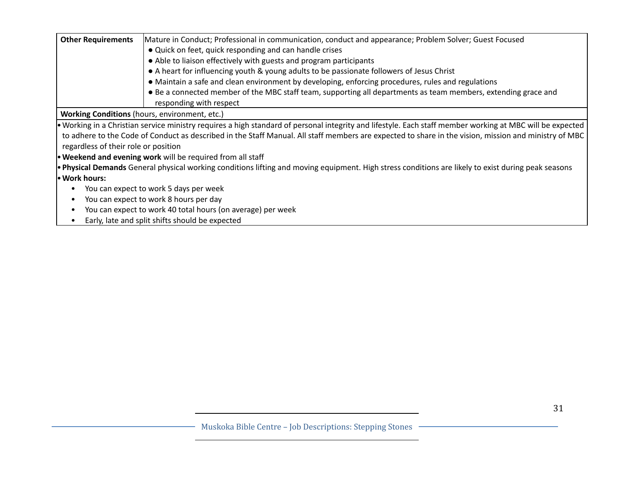| <b>Other Requirements</b>                                                | Mature in Conduct; Professional in communication, conduct and appearance; Problem Solver; Guest Focused                                                    |  |
|--------------------------------------------------------------------------|------------------------------------------------------------------------------------------------------------------------------------------------------------|--|
|                                                                          | • Quick on feet, quick responding and can handle crises                                                                                                    |  |
|                                                                          | • Able to liaison effectively with guests and program participants                                                                                         |  |
|                                                                          | • A heart for influencing youth & young adults to be passionate followers of Jesus Christ                                                                  |  |
|                                                                          | • Maintain a safe and clean environment by developing, enforcing procedures, rules and regulations                                                         |  |
|                                                                          | • Be a connected member of the MBC staff team, supporting all departments as team members, extending grace and                                             |  |
|                                                                          | responding with respect                                                                                                                                    |  |
|                                                                          | <b>Working Conditions</b> (hours, environment, etc.)                                                                                                       |  |
|                                                                          | • Working in a Christian service ministry requires a high standard of personal integrity and lifestyle. Each staff member working at MBC will be expected  |  |
|                                                                          | to adhere to the Code of Conduct as described in the Staff Manual. All staff members are expected to share in the vision, mission and ministry of MBC      |  |
| regardless of their role or position                                     |                                                                                                                                                            |  |
|                                                                          | <b>• Weekend and evening work</b> will be required from all staff                                                                                          |  |
|                                                                          | <b>• Physical Demands</b> General physical working conditions lifting and moving equipment. High stress conditions are likely to exist during peak seasons |  |
| l. Work hours:                                                           |                                                                                                                                                            |  |
|                                                                          | You can expect to work 5 days per week                                                                                                                     |  |
|                                                                          | You can expect to work 8 hours per day                                                                                                                     |  |
| You can expect to work 40 total hours (on average) per week<br>$\bullet$ |                                                                                                                                                            |  |
| $\bullet$                                                                | Early, late and split shifts should be expected                                                                                                            |  |
|                                                                          |                                                                                                                                                            |  |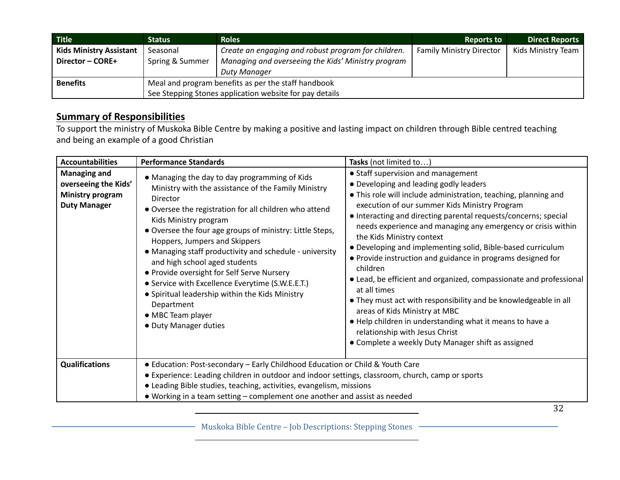| <b>Title</b>                   | <b>Status</b>                                           | <b>Roles</b>                                        | <b>Reports to</b>               | <b>Direct Reports</b> |
|--------------------------------|---------------------------------------------------------|-----------------------------------------------------|---------------------------------|-----------------------|
| <b>Kids Ministry Assistant</b> | Seasonal                                                | Create an engaging and robust program for children. | <b>Family Ministry Director</b> | Kids Ministry Team    |
| Director - CORE+               | Spring & Summer                                         | Managing and overseeing the Kids' Ministry program  |                                 |                       |
|                                |                                                         | Duty Manager                                        |                                 |                       |
| <b>Benefits</b>                | Meal and program benefits as per the staff handbook     |                                                     |                                 |                       |
|                                | See Stepping Stones application website for pay details |                                                     |                                 |                       |

To support the ministry of Muskoka Bible Centre by making a positive and lasting impact on children through Bible centred teaching and being an example of a good Christian

| <b>Accountabilities</b>                                                                       | <b>Performance Standards</b>                                                                                                                                                                                                                                                                                                                                                                                                                                                                                                                                                                                  | Tasks (not limited to)                                                                                                                                                                                                                                                                                                                                                                                                                                                                                                                                                                                                                                                                                                                                                                                                                                   |
|-----------------------------------------------------------------------------------------------|---------------------------------------------------------------------------------------------------------------------------------------------------------------------------------------------------------------------------------------------------------------------------------------------------------------------------------------------------------------------------------------------------------------------------------------------------------------------------------------------------------------------------------------------------------------------------------------------------------------|----------------------------------------------------------------------------------------------------------------------------------------------------------------------------------------------------------------------------------------------------------------------------------------------------------------------------------------------------------------------------------------------------------------------------------------------------------------------------------------------------------------------------------------------------------------------------------------------------------------------------------------------------------------------------------------------------------------------------------------------------------------------------------------------------------------------------------------------------------|
| <b>Managing and</b><br>overseeing the Kids'<br><b>Ministry program</b><br><b>Duty Manager</b> | • Managing the day to day programming of Kids<br>Ministry with the assistance of the Family Ministry<br>Director<br>• Oversee the registration for all children who attend<br>Kids Ministry program<br>• Oversee the four age groups of ministry: Little Steps,<br>Hoppers, Jumpers and Skippers<br>• Managing staff productivity and schedule - university<br>and high school aged students<br>• Provide oversight for Self Serve Nursery<br>• Service with Excellence Everytime (S.W.E.E.T.)<br>• Spiritual leadership within the Kids Ministry<br>Department<br>• MBC Team player<br>• Duty Manager duties | • Staff supervision and management<br>• Developing and leading godly leaders<br>• This role will include administration, teaching, planning and<br>execution of our summer Kids Ministry Program<br>• Interacting and directing parental requests/concerns; special<br>needs experience and managing any emergency or crisis within<br>the Kids Ministry context<br>• Developing and implementing solid, Bible-based curriculum<br>• Provide instruction and guidance in programs designed for<br>children<br>• Lead, be efficient and organized, compassionate and professional<br>at all times<br>• They must act with responsibility and be knowledgeable in all<br>areas of Kids Ministry at MBC<br>. Help children in understanding what it means to have a<br>relationship with Jesus Christ<br>• Complete a weekly Duty Manager shift as assigned |
| <b>Qualifications</b>                                                                         | • Education: Post-secondary - Early Childhood Education or Child & Youth Care<br>• Experience: Leading children in outdoor and indoor settings, classroom, church, camp or sports<br>• Leading Bible studies, teaching, activities, evangelism, missions<br>• Working in a team setting – complement one another and assist as needed                                                                                                                                                                                                                                                                         |                                                                                                                                                                                                                                                                                                                                                                                                                                                                                                                                                                                                                                                                                                                                                                                                                                                          |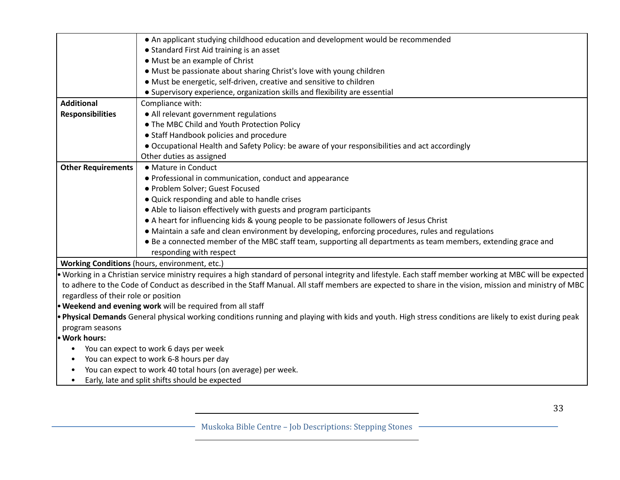|                                          | • An applicant studying childhood education and development would be recommended                                                                          |  |  |
|------------------------------------------|-----------------------------------------------------------------------------------------------------------------------------------------------------------|--|--|
|                                          | • Standard First Aid training is an asset                                                                                                                 |  |  |
|                                          | • Must be an example of Christ                                                                                                                            |  |  |
|                                          | • Must be passionate about sharing Christ's love with young children                                                                                      |  |  |
|                                          | • Must be energetic, self-driven, creative and sensitive to children                                                                                      |  |  |
|                                          | • Supervisory experience, organization skills and flexibility are essential                                                                               |  |  |
| <b>Additional</b>                        | Compliance with:                                                                                                                                          |  |  |
| <b>Responsibilities</b>                  | • All relevant government regulations                                                                                                                     |  |  |
|                                          | • The MBC Child and Youth Protection Policy                                                                                                               |  |  |
|                                          | • Staff Handbook policies and procedure                                                                                                                   |  |  |
|                                          | • Occupational Health and Safety Policy: be aware of your responsibilities and act accordingly                                                            |  |  |
|                                          | Other duties as assigned                                                                                                                                  |  |  |
| <b>Other Requirements</b>                | • Mature in Conduct                                                                                                                                       |  |  |
|                                          | • Professional in communication, conduct and appearance                                                                                                   |  |  |
|                                          | · Problem Solver; Guest Focused                                                                                                                           |  |  |
|                                          | . Quick responding and able to handle crises                                                                                                              |  |  |
|                                          | • Able to liaison effectively with guests and program participants                                                                                        |  |  |
|                                          | • A heart for influencing kids & young people to be passionate followers of Jesus Christ                                                                  |  |  |
|                                          | • Maintain a safe and clean environment by developing, enforcing procedures, rules and regulations                                                        |  |  |
|                                          | • Be a connected member of the MBC staff team, supporting all departments as team members, extending grace and                                            |  |  |
|                                          | responding with respect                                                                                                                                   |  |  |
|                                          | Working Conditions (hours, environment, etc.)                                                                                                             |  |  |
|                                          | . Working in a Christian service ministry requires a high standard of personal integrity and lifestyle. Each staff member working at MBC will be expected |  |  |
|                                          | to adhere to the Code of Conduct as described in the Staff Manual. All staff members are expected to share in the vision, mission and ministry of MBC     |  |  |
| regardless of their role or position     |                                                                                                                                                           |  |  |
|                                          | . Weekend and evening work will be required from all staff                                                                                                |  |  |
|                                          | . Physical Demands General physical working conditions running and playing with kids and youth. High stress conditions are likely to exist during peak    |  |  |
| program seasons                          |                                                                                                                                                           |  |  |
| • Work hours:                            |                                                                                                                                                           |  |  |
| $\bullet$                                | You can expect to work 6 days per week                                                                                                                    |  |  |
| You can expect to work 6-8 hours per day |                                                                                                                                                           |  |  |
|                                          | You can expect to work 40 total hours (on average) per week.                                                                                              |  |  |
|                                          | Early, late and split shifts should be expected                                                                                                           |  |  |
|                                          |                                                                                                                                                           |  |  |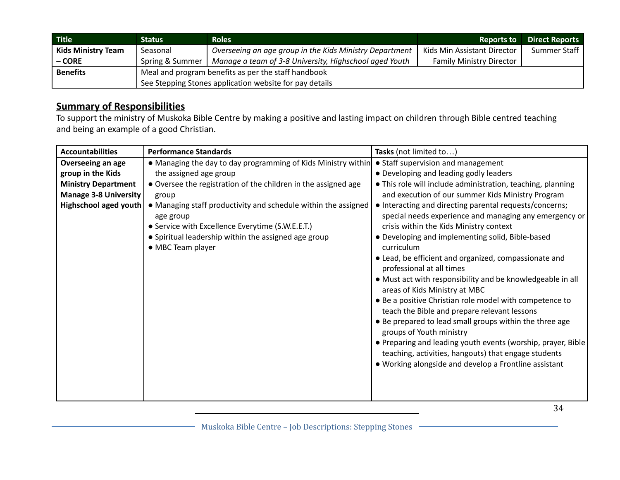| <b>Title</b>              | Status                                                  | <b>Roles</b>                                            | <b>Reports to</b>               | <b>Direct Reports</b> |
|---------------------------|---------------------------------------------------------|---------------------------------------------------------|---------------------------------|-----------------------|
| <b>Kids Ministry Team</b> | Seasonal                                                | Overseeing an age group in the Kids Ministry Department | Kids Min Assistant Director     | Summer Staff          |
| – CORE                    | Spring & Summer                                         | Manage a team of 3-8 University, Highschool aged Youth  | <b>Family Ministry Director</b> |                       |
| <b>Benefits</b>           | Meal and program benefits as per the staff handbook     |                                                         |                                 |                       |
|                           | See Stepping Stones application website for pay details |                                                         |                                 |                       |

To support the ministry of Muskoka Bible Centre by making a positive and lasting impact on children through Bible centred teaching and being an example of a good Christian.

| <b>Accountabilities</b>      | <b>Performance Standards</b>                                   | Tasks (not limited to)                                                                                               |
|------------------------------|----------------------------------------------------------------|----------------------------------------------------------------------------------------------------------------------|
| Overseeing an age            | • Managing the day to day programming of Kids Ministry within  | • Staff supervision and management                                                                                   |
| group in the Kids            | the assigned age group                                         | • Developing and leading godly leaders                                                                               |
| <b>Ministry Department</b>   | • Oversee the registration of the children in the assigned age | . This role will include administration, teaching, planning                                                          |
| <b>Manage 3-8 University</b> | group                                                          | and execution of our summer Kids Ministry Program                                                                    |
| <b>Highschool aged youth</b> | • Managing staff productivity and schedule within the assigned | • Interacting and directing parental requests/concerns;                                                              |
|                              | age group                                                      | special needs experience and managing any emergency or                                                               |
|                              | • Service with Excellence Everytime (S.W.E.E.T.)               | crisis within the Kids Ministry context                                                                              |
|                              | • Spiritual leadership within the assigned age group           | • Developing and implementing solid, Bible-based                                                                     |
|                              | • MBC Team player                                              | curriculum                                                                                                           |
|                              |                                                                | • Lead, be efficient and organized, compassionate and                                                                |
|                              |                                                                | professional at all times                                                                                            |
|                              |                                                                | • Must act with responsibility and be knowledgeable in all<br>areas of Kids Ministry at MBC                          |
|                              |                                                                | • Be a positive Christian role model with competence to<br>teach the Bible and prepare relevant lessons              |
|                              |                                                                | • Be prepared to lead small groups within the three age<br>groups of Youth ministry                                  |
|                              |                                                                | • Preparing and leading youth events (worship, prayer, Bible<br>teaching, activities, hangouts) that engage students |
|                              |                                                                | . Working alongside and develop a Frontline assistant                                                                |
|                              |                                                                |                                                                                                                      |
|                              |                                                                |                                                                                                                      |
|                              |                                                                |                                                                                                                      |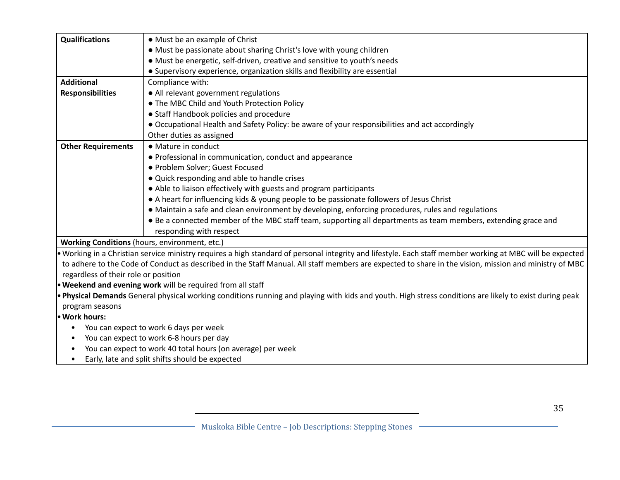| <b>Qualifications</b>                         | • Must be an example of Christ                                                                                                                            |  |  |
|-----------------------------------------------|-----------------------------------------------------------------------------------------------------------------------------------------------------------|--|--|
|                                               | • Must be passionate about sharing Christ's love with young children                                                                                      |  |  |
|                                               | • Must be energetic, self-driven, creative and sensitive to youth's needs                                                                                 |  |  |
|                                               | • Supervisory experience, organization skills and flexibility are essential                                                                               |  |  |
| <b>Additional</b>                             | Compliance with:                                                                                                                                          |  |  |
|                                               |                                                                                                                                                           |  |  |
| <b>Responsibilities</b>                       | • All relevant government regulations                                                                                                                     |  |  |
|                                               | • The MBC Child and Youth Protection Policy                                                                                                               |  |  |
|                                               | • Staff Handbook policies and procedure                                                                                                                   |  |  |
|                                               | • Occupational Health and Safety Policy: be aware of your responsibilities and act accordingly                                                            |  |  |
|                                               | Other duties as assigned                                                                                                                                  |  |  |
| <b>Other Requirements</b>                     | • Mature in conduct                                                                                                                                       |  |  |
|                                               | • Professional in communication, conduct and appearance                                                                                                   |  |  |
|                                               | · Problem Solver; Guest Focused                                                                                                                           |  |  |
|                                               | • Quick responding and able to handle crises                                                                                                              |  |  |
|                                               | • Able to liaison effectively with guests and program participants                                                                                        |  |  |
|                                               | • A heart for influencing kids & young people to be passionate followers of Jesus Christ                                                                  |  |  |
|                                               | • Maintain a safe and clean environment by developing, enforcing procedures, rules and regulations                                                        |  |  |
|                                               | • Be a connected member of the MBC staff team, supporting all departments as team members, extending grace and                                            |  |  |
|                                               | responding with respect                                                                                                                                   |  |  |
| Working Conditions (hours, environment, etc.) |                                                                                                                                                           |  |  |
|                                               | • Working in a Christian service ministry requires a high standard of personal integrity and lifestyle. Each staff member working at MBC will be expected |  |  |
|                                               | to adhere to the Code of Conduct as described in the Staff Manual. All staff members are expected to share in the vision, mission and ministry of MBC     |  |  |
| regardless of their role or position          |                                                                                                                                                           |  |  |
|                                               | <b>• Weekend and evening work</b> will be required from all staff                                                                                         |  |  |
|                                               | . Physical Demands General physical working conditions running and playing with kids and youth. High stress conditions are likely to exist during peak    |  |  |
| program seasons                               |                                                                                                                                                           |  |  |
| • Work hours:                                 |                                                                                                                                                           |  |  |
| You can expect to work 6 days per week        |                                                                                                                                                           |  |  |
| $\bullet$                                     | You can expect to work 6-8 hours per day                                                                                                                  |  |  |
|                                               | You can expect to work 40 total hours (on average) per week                                                                                               |  |  |
| $\bullet$                                     | Early, late and split shifts should be expected                                                                                                           |  |  |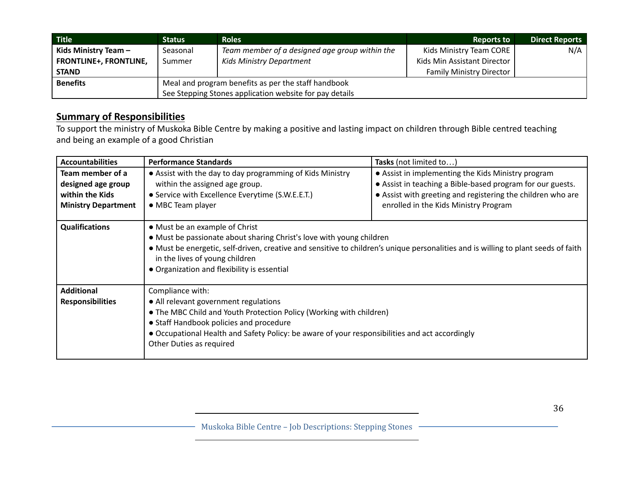| <b>Title</b>                  | <b>Status</b>                                           | <b>Roles</b>                                        | <b>Reports to</b>               | <b>Direct Reports</b> |
|-------------------------------|---------------------------------------------------------|-----------------------------------------------------|---------------------------------|-----------------------|
| Kids Ministry Team -          | Seasonal                                                | Team member of a designed age group within the      | Kids Ministry Team CORE         | N/A                   |
| <b>FRONTLINE+, FRONTLINE,</b> | Summer                                                  | <b>Kids Ministry Department</b>                     | Kids Min Assistant Director     |                       |
| <b>STAND</b>                  |                                                         |                                                     | <b>Family Ministry Director</b> |                       |
| <b>Benefits</b>               |                                                         | Meal and program benefits as per the staff handbook |                                 |                       |
|                               | See Stepping Stones application website for pay details |                                                     |                                 |                       |

To support the ministry of Muskoka Bible Centre by making a positive and lasting impact on children through Bible centred teaching and being an example of a good Christian

| <b>Accountabilities</b>                                                                 | <b>Performance Standards</b>                                                                                                                                                                                                                                                                                                  | Tasks (not limited to)                                                                                                                                                                                                   |  |
|-----------------------------------------------------------------------------------------|-------------------------------------------------------------------------------------------------------------------------------------------------------------------------------------------------------------------------------------------------------------------------------------------------------------------------------|--------------------------------------------------------------------------------------------------------------------------------------------------------------------------------------------------------------------------|--|
| Team member of a<br>designed age group<br>within the Kids<br><b>Ministry Department</b> | • Assist with the day to day programming of Kids Ministry<br>within the assigned age group.<br>• Service with Excellence Everytime (S.W.E.E.T.)<br>• MBC Team player                                                                                                                                                          | • Assist in implementing the Kids Ministry program<br>• Assist in teaching a Bible-based program for our guests.<br>• Assist with greeting and registering the children who are<br>enrolled in the Kids Ministry Program |  |
| <b>Qualifications</b>                                                                   | • Must be an example of Christ<br>• Must be passionate about sharing Christ's love with young children<br>• Must be energetic, self-driven, creative and sensitive to children's unique personalities and is willing to plant seeds of faith<br>in the lives of young children<br>• Organization and flexibility is essential |                                                                                                                                                                                                                          |  |
| <b>Additional</b><br><b>Responsibilities</b>                                            | Compliance with:<br>• All relevant government regulations<br>• The MBC Child and Youth Protection Policy (Working with children)<br>• Staff Handbook policies and procedure<br>• Occupational Health and Safety Policy: be aware of your responsibilities and act accordingly<br>Other Duties as required                     |                                                                                                                                                                                                                          |  |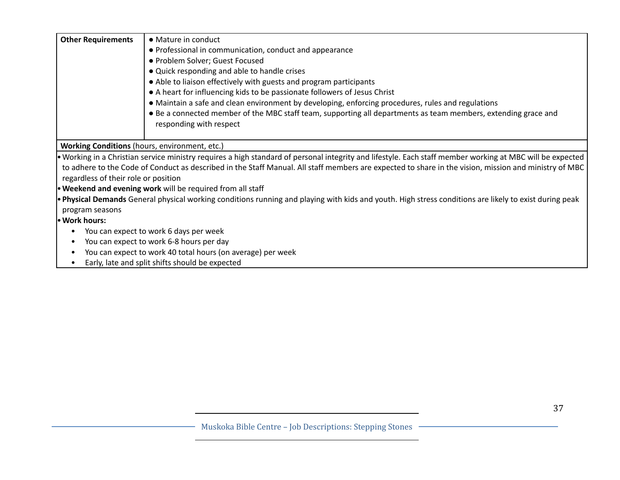| <b>Other Requirements</b>                     | • Mature in conduct                                                                                                                                       |
|-----------------------------------------------|-----------------------------------------------------------------------------------------------------------------------------------------------------------|
|                                               | • Professional in communication, conduct and appearance                                                                                                   |
|                                               | • Problem Solver; Guest Focused                                                                                                                           |
|                                               | • Quick responding and able to handle crises                                                                                                              |
|                                               | • Able to liaison effectively with guests and program participants                                                                                        |
|                                               | • A heart for influencing kids to be passionate followers of Jesus Christ                                                                                 |
|                                               | • Maintain a safe and clean environment by developing, enforcing procedures, rules and regulations                                                        |
|                                               | • Be a connected member of the MBC staff team, supporting all departments as team members, extending grace and<br>responding with respect                 |
| Working Conditions (hours, environment, etc.) |                                                                                                                                                           |
|                                               | • Working in a Christian service ministry requires a high standard of personal integrity and lifestyle. Each staff member working at MBC will be expected |
| regardless of their role or position          | to adhere to the Code of Conduct as described in the Staff Manual. All staff members are expected to share in the vision, mission and ministry of MBC     |
|                                               | <b>• Weekend and evening work</b> will be required from all staff                                                                                         |
|                                               | • Physical Demands General physical working conditions running and playing with kids and youth. High stress conditions are likely to exist during peak    |
| program seasons                               |                                                                                                                                                           |
| • Work hours:                                 |                                                                                                                                                           |
|                                               | You can expect to work 6 days per week                                                                                                                    |
|                                               | You can expect to work 6-8 hours per day                                                                                                                  |
|                                               | You can expect to work 40 total hours (on average) per week                                                                                               |
| ٠                                             | Early, late and split shifts should be expected                                                                                                           |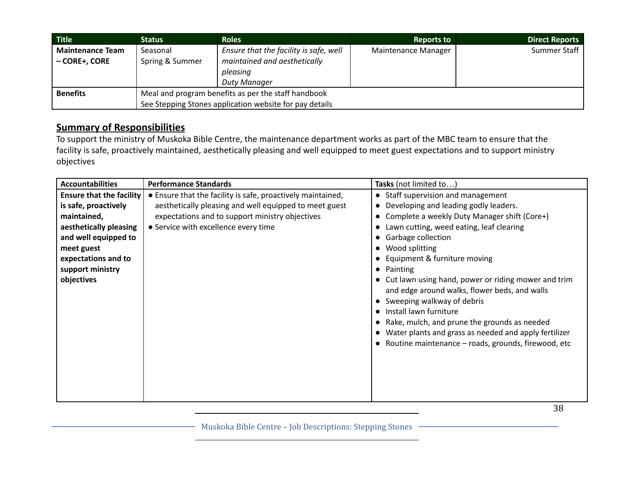| Title                   | <b>Status</b>                                           | <b>Roles</b>                           | <b>Reports to</b>   | <b>Direct Reports</b> |
|-------------------------|---------------------------------------------------------|----------------------------------------|---------------------|-----------------------|
| <b>Maintenance Team</b> | Seasonal                                                | Ensure that the facility is safe, well | Maintenance Manager | Summer Staff          |
| – CORE+, CORE           | Spring & Summer                                         | maintained and aesthetically           |                     |                       |
|                         |                                                         | pleasing                               |                     |                       |
|                         |                                                         | Duty Manager                           |                     |                       |
| <b>Benefits</b>         | Meal and program benefits as per the staff handbook     |                                        |                     |                       |
|                         | See Stepping Stones application website for pay details |                                        |                     |                       |

To support the ministry of Muskoka Bible Centre, the maintenance department works as part of the MBC team to ensure that the facility is safe, proactively maintained, aesthetically pleasing and well equipped to meet guest expectations and to support ministry objectives

| <b>Accountabilities</b>         | <b>Performance Standards</b>                                | Tasks (not limited to)                                                                                                                                                                                                                                                                                                                        |
|---------------------------------|-------------------------------------------------------------|-----------------------------------------------------------------------------------------------------------------------------------------------------------------------------------------------------------------------------------------------------------------------------------------------------------------------------------------------|
| <b>Ensure that the facility</b> | • Ensure that the facility is safe, proactively maintained, | • Staff supervision and management                                                                                                                                                                                                                                                                                                            |
| is safe, proactively            | aesthetically pleasing and well equipped to meet guest      | Developing and leading godly leaders.<br>$\bullet$                                                                                                                                                                                                                                                                                            |
| maintained,                     | expectations and to support ministry objectives             | Complete a weekly Duty Manager shift (Core+)                                                                                                                                                                                                                                                                                                  |
| aesthetically pleasing          | • Service with excellence every time                        | Lawn cutting, weed eating, leaf clearing<br>$\bullet$                                                                                                                                                                                                                                                                                         |
| and well equipped to            |                                                             | <b>Garbage collection</b>                                                                                                                                                                                                                                                                                                                     |
| meet guest                      |                                                             | Wood splitting                                                                                                                                                                                                                                                                                                                                |
| expectations and to             |                                                             | Equipment & furniture moving                                                                                                                                                                                                                                                                                                                  |
| support ministry                |                                                             | Painting<br>$\bullet$                                                                                                                                                                                                                                                                                                                         |
| objectives                      |                                                             | • Cut lawn using hand, power or riding mower and trim<br>and edge around walks, flower beds, and walls<br>Sweeping walkway of debris<br>Install lawn furniture<br>$\bullet$<br>Rake, mulch, and prune the grounds as needed<br>Water plants and grass as needed and apply fertilizer<br>• Routine maintenance – roads, grounds, firewood, etc |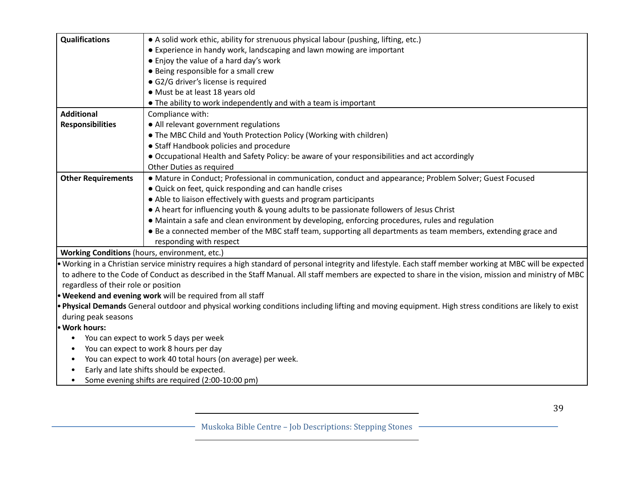| <b>Qualifications</b>                | • A solid work ethic, ability for strenuous physical labour (pushing, lifting, etc.)                                                                      |
|--------------------------------------|-----------------------------------------------------------------------------------------------------------------------------------------------------------|
|                                      | • Experience in handy work, landscaping and lawn mowing are important                                                                                     |
|                                      | • Enjoy the value of a hard day's work                                                                                                                    |
|                                      | • Being responsible for a small crew                                                                                                                      |
|                                      | · G2/G driver's license is required                                                                                                                       |
|                                      | • Must be at least 18 years old                                                                                                                           |
|                                      | . The ability to work independently and with a team is important                                                                                          |
| <b>Additional</b>                    | Compliance with:                                                                                                                                          |
| <b>Responsibilities</b>              | • All relevant government regulations                                                                                                                     |
|                                      | • The MBC Child and Youth Protection Policy (Working with children)                                                                                       |
|                                      | • Staff Handbook policies and procedure                                                                                                                   |
|                                      | • Occupational Health and Safety Policy: be aware of your responsibilities and act accordingly                                                            |
|                                      | Other Duties as required                                                                                                                                  |
| <b>Other Requirements</b>            | • Mature in Conduct; Professional in communication, conduct and appearance; Problem Solver; Guest Focused                                                 |
|                                      | . Quick on feet, quick responding and can handle crises                                                                                                   |
|                                      | • Able to liaison effectively with guests and program participants                                                                                        |
|                                      | • A heart for influencing youth & young adults to be passionate followers of Jesus Christ                                                                 |
|                                      | • Maintain a safe and clean environment by developing, enforcing procedures, rules and regulation                                                         |
|                                      | • Be a connected member of the MBC staff team, supporting all departments as team members, extending grace and                                            |
|                                      | responding with respect                                                                                                                                   |
|                                      | Working Conditions (hours, environment, etc.)                                                                                                             |
|                                      | • Working in a Christian service ministry requires a high standard of personal integrity and lifestyle. Each staff member working at MBC will be expected |
|                                      | to adhere to the Code of Conduct as described in the Staff Manual. All staff members are expected to share in the vision, mission and ministry of MBC     |
| regardless of their role or position |                                                                                                                                                           |
|                                      | • Weekend and evening work will be required from all staff                                                                                                |
|                                      | . Physical Demands General outdoor and physical working conditions including lifting and moving equipment. High stress conditions are likely to exist     |
| during peak seasons                  |                                                                                                                                                           |
| • Work hours:                        |                                                                                                                                                           |
| $\bullet$                            | You can expect to work 5 days per week                                                                                                                    |
| $\bullet$                            | You can expect to work 8 hours per day                                                                                                                    |
| $\bullet$                            | You can expect to work 40 total hours (on average) per week.                                                                                              |
| $\bullet$                            | Early and late shifts should be expected.                                                                                                                 |
| $\bullet$                            | Some evening shifts are required (2:00-10:00 pm)                                                                                                          |
|                                      |                                                                                                                                                           |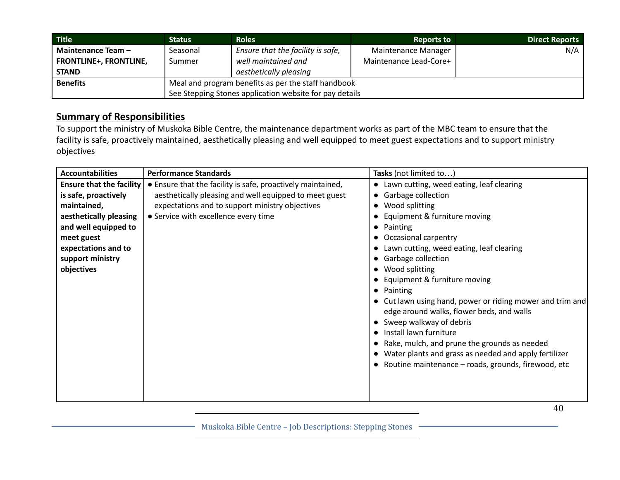| <b>Title</b>                  | Status                                                  | <b>Roles</b>                      | <b>Reports to</b>      | <b>Direct Reports</b> |
|-------------------------------|---------------------------------------------------------|-----------------------------------|------------------------|-----------------------|
| Maintenance Team -            | Seasonal                                                | Ensure that the facility is safe, | Maintenance Manager    | N/A                   |
| <b>FRONTLINE+, FRONTLINE,</b> | Summer                                                  | well maintained and               | Maintenance Lead-Core+ |                       |
| <b>STAND</b>                  |                                                         | aesthetically pleasing            |                        |                       |
| <b>Benefits</b>               | Meal and program benefits as per the staff handbook     |                                   |                        |                       |
|                               | See Stepping Stones application website for pay details |                                   |                        |                       |

To support the ministry of Muskoka Bible Centre, the maintenance department works as part of the MBC team to ensure that the facility is safe, proactively maintained, aesthetically pleasing and well equipped to meet guest expectations and to support ministry objectives

| <b>Accountabilities</b>                                                                                                                                                                         | <b>Performance Standards</b>                                                                                                                                                                                     | Tasks (not limited to)                                                                                                                                                                                                                                                                                                                                                                                                                                                                                                                                                                                                                     |
|-------------------------------------------------------------------------------------------------------------------------------------------------------------------------------------------------|------------------------------------------------------------------------------------------------------------------------------------------------------------------------------------------------------------------|--------------------------------------------------------------------------------------------------------------------------------------------------------------------------------------------------------------------------------------------------------------------------------------------------------------------------------------------------------------------------------------------------------------------------------------------------------------------------------------------------------------------------------------------------------------------------------------------------------------------------------------------|
| <b>Ensure that the facility</b><br>is safe, proactively<br>maintained,<br>aesthetically pleasing<br>and well equipped to<br>meet guest<br>expectations and to<br>support ministry<br>objectives | • Ensure that the facility is safe, proactively maintained,<br>aesthetically pleasing and well equipped to meet guest<br>expectations and to support ministry objectives<br>• Service with excellence every time | • Lawn cutting, weed eating, leaf clearing<br>• Garbage collection<br>Wood splitting<br>Equipment & furniture moving<br>Painting<br>Occasional carpentry<br>Lawn cutting, weed eating, leaf clearing<br>• Garbage collection<br>Wood splitting<br>Equipment & furniture moving<br>Painting<br>$\bullet$<br>• Cut lawn using hand, power or riding mower and trim and<br>edge around walks, flower beds, and walls<br>• Sweep walkway of debris<br>Install lawn furniture<br>Rake, mulch, and prune the grounds as needed<br>Water plants and grass as needed and apply fertilizer<br>• Routine maintenance – roads, grounds, firewood, etc |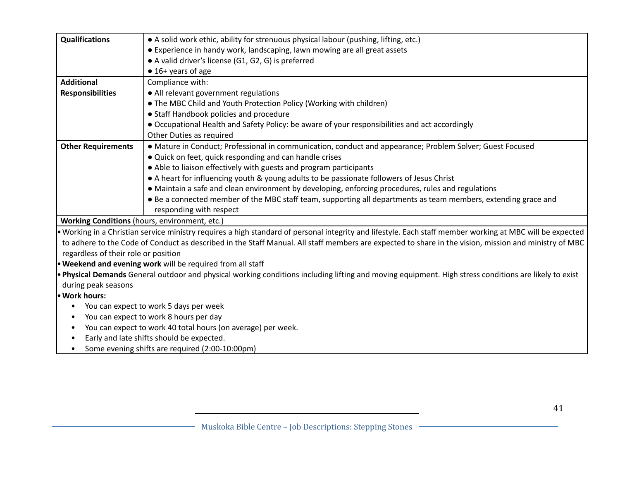| <b>Qualifications</b>                         | • A solid work ethic, ability for strenuous physical labour (pushing, lifting, etc.)                                                                      |  |  |
|-----------------------------------------------|-----------------------------------------------------------------------------------------------------------------------------------------------------------|--|--|
|                                               | • Experience in handy work, landscaping, lawn mowing are all great assets                                                                                 |  |  |
|                                               | • A valid driver's license (G1, G2, G) is preferred                                                                                                       |  |  |
|                                               | $\bullet$ 16+ years of age                                                                                                                                |  |  |
| <b>Additional</b>                             | Compliance with:                                                                                                                                          |  |  |
| <b>Responsibilities</b>                       | • All relevant government regulations                                                                                                                     |  |  |
|                                               | • The MBC Child and Youth Protection Policy (Working with children)                                                                                       |  |  |
|                                               | • Staff Handbook policies and procedure                                                                                                                   |  |  |
|                                               | • Occupational Health and Safety Policy: be aware of your responsibilities and act accordingly                                                            |  |  |
|                                               | Other Duties as required                                                                                                                                  |  |  |
| <b>Other Requirements</b>                     | · Mature in Conduct; Professional in communication, conduct and appearance; Problem Solver; Guest Focused                                                 |  |  |
|                                               | . Quick on feet, quick responding and can handle crises                                                                                                   |  |  |
|                                               | • Able to liaison effectively with guests and program participants                                                                                        |  |  |
|                                               | • A heart for influencing youth & young adults to be passionate followers of Jesus Christ                                                                 |  |  |
|                                               | • Maintain a safe and clean environment by developing, enforcing procedures, rules and regulations                                                        |  |  |
|                                               | • Be a connected member of the MBC staff team, supporting all departments as team members, extending grace and                                            |  |  |
|                                               | responding with respect                                                                                                                                   |  |  |
| Working Conditions (hours, environment, etc.) |                                                                                                                                                           |  |  |
|                                               | . Working in a Christian service ministry requires a high standard of personal integrity and lifestyle. Each staff member working at MBC will be expected |  |  |
|                                               | to adhere to the Code of Conduct as described in the Staff Manual. All staff members are expected to share in the vision, mission and ministry of MBC     |  |  |
| regardless of their role or position          |                                                                                                                                                           |  |  |
|                                               | . Weekend and evening work will be required from all staff                                                                                                |  |  |
|                                               | . Physical Demands General outdoor and physical working conditions including lifting and moving equipment. High stress conditions are likely to exist     |  |  |
| during peak seasons                           |                                                                                                                                                           |  |  |
| · Work hours:                                 |                                                                                                                                                           |  |  |
|                                               | You can expect to work 5 days per week                                                                                                                    |  |  |
|                                               | You can expect to work 8 hours per day                                                                                                                    |  |  |
| $\bullet$                                     | You can expect to work 40 total hours (on average) per week.                                                                                              |  |  |
|                                               | Early and late shifts should be expected.                                                                                                                 |  |  |
| $\bullet$                                     | Some evening shifts are required (2:00-10:00pm)                                                                                                           |  |  |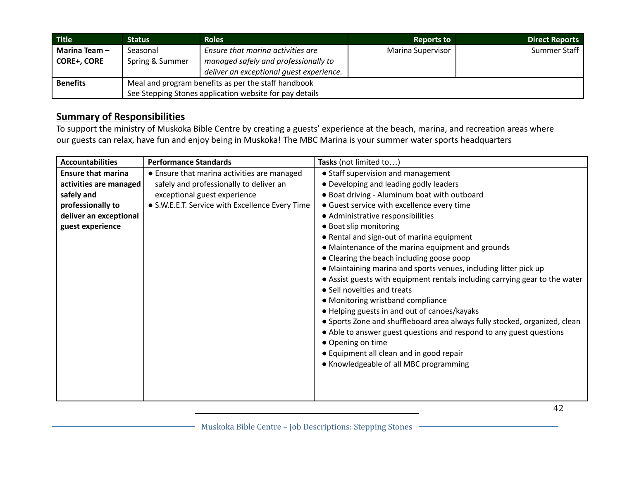| <b>Title</b>       | Status                                                  | <b>Roles</b>                             | <b>Reports to</b>        | <b>Direct Reports</b> |
|--------------------|---------------------------------------------------------|------------------------------------------|--------------------------|-----------------------|
| Marina Team-       | Seasonal                                                | Ensure that marina activities are        | <b>Marina Supervisor</b> | Summer Staff          |
| <b>CORE+, CORE</b> | Spring & Summer                                         | managed safely and professionally to     |                          |                       |
|                    |                                                         | deliver an exceptional quest experience. |                          |                       |
| <b>Benefits</b>    | Meal and program benefits as per the staff handbook     |                                          |                          |                       |
|                    | See Stepping Stones application website for pay details |                                          |                          |                       |

To support the ministry of Muskoka Bible Centre by creating a guests' experience at the beach, marina, and recreation areas where our guests can relax, have fun and enjoy being in Muskoka! The MBC Marina is your summer water sports headquarters

| <b>Accountabilities</b>   | <b>Performance Standards</b>                    | Tasks (not limited to)                                                      |
|---------------------------|-------------------------------------------------|-----------------------------------------------------------------------------|
| <b>Ensure that marina</b> | • Ensure that marina activities are managed     | • Staff supervision and management                                          |
| activities are managed    | safely and professionally to deliver an         | • Developing and leading godly leaders                                      |
| safely and                | exceptional guest experience                    | . Boat driving - Aluminum boat with outboard                                |
| professionally to         | • S.W.E.E.T. Service with Excellence Every Time | • Guest service with excellence every time                                  |
| deliver an exceptional    |                                                 | • Administrative responsibilities                                           |
| guest experience          |                                                 | • Boat slip monitoring                                                      |
|                           |                                                 | • Rental and sign-out of marina equipment                                   |
|                           |                                                 | • Maintenance of the marina equipment and grounds                           |
|                           |                                                 | • Clearing the beach including goose poop                                   |
|                           |                                                 | • Maintaining marina and sports venues, including litter pick up            |
|                           |                                                 | • Assist guests with equipment rentals including carrying gear to the water |
|                           |                                                 | • Sell novelties and treats                                                 |
|                           |                                                 | • Monitoring wristband compliance                                           |
|                           |                                                 | • Helping guests in and out of canoes/kayaks                                |
|                           |                                                 | • Sports Zone and shuffleboard area always fully stocked, organized, clean  |
|                           |                                                 | • Able to answer guest questions and respond to any guest questions         |
|                           |                                                 | • Opening on time                                                           |
|                           |                                                 | • Equipment all clean and in good repair                                    |
|                           |                                                 | • Knowledgeable of all MBC programming                                      |
|                           |                                                 |                                                                             |
|                           |                                                 |                                                                             |
|                           |                                                 |                                                                             |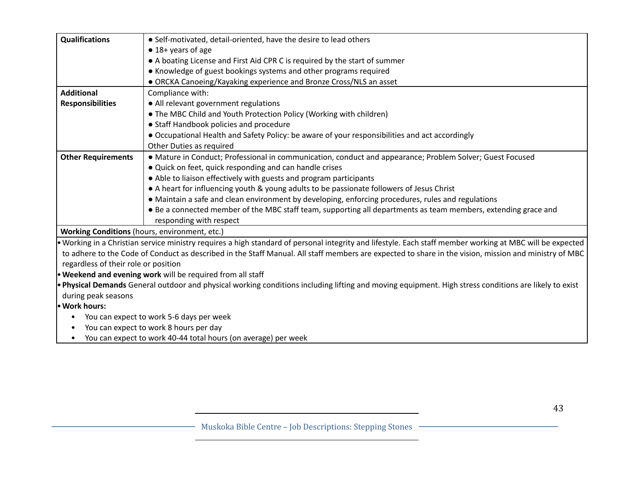| <b>Qualifications</b>                         | • Self-motivated, detail-oriented, have the desire to lead others                                                                                         |  |  |
|-----------------------------------------------|-----------------------------------------------------------------------------------------------------------------------------------------------------------|--|--|
|                                               | $\bullet$ 18+ years of age                                                                                                                                |  |  |
|                                               | • A boating License and First Aid CPR C is required by the start of summer                                                                                |  |  |
|                                               | • Knowledge of guest bookings systems and other programs required                                                                                         |  |  |
|                                               | • ORCKA Canoeing/Kayaking experience and Bronze Cross/NLS an asset                                                                                        |  |  |
| <b>Additional</b>                             | Compliance with:                                                                                                                                          |  |  |
| <b>Responsibilities</b>                       | • All relevant government regulations                                                                                                                     |  |  |
|                                               | • The MBC Child and Youth Protection Policy (Working with children)                                                                                       |  |  |
|                                               | • Staff Handbook policies and procedure                                                                                                                   |  |  |
|                                               | • Occupational Health and Safety Policy: be aware of your responsibilities and act accordingly                                                            |  |  |
|                                               | Other Duties as required                                                                                                                                  |  |  |
| <b>Other Requirements</b>                     | • Mature in Conduct; Professional in communication, conduct and appearance; Problem Solver; Guest Focused                                                 |  |  |
|                                               | . Quick on feet, quick responding and can handle crises                                                                                                   |  |  |
|                                               | • Able to liaison effectively with guests and program participants                                                                                        |  |  |
|                                               | • A heart for influencing youth & young adults to be passionate followers of Jesus Christ                                                                 |  |  |
|                                               | • Maintain a safe and clean environment by developing, enforcing procedures, rules and regulations                                                        |  |  |
|                                               | • Be a connected member of the MBC staff team, supporting all departments as team members, extending grace and                                            |  |  |
|                                               | responding with respect                                                                                                                                   |  |  |
| Working Conditions (hours, environment, etc.) |                                                                                                                                                           |  |  |
|                                               | • Working in a Christian service ministry requires a high standard of personal integrity and lifestyle. Each staff member working at MBC will be expected |  |  |
|                                               | to adhere to the Code of Conduct as described in the Staff Manual. All staff members are expected to share in the vision, mission and ministry of MBC     |  |  |
| regardless of their role or position          |                                                                                                                                                           |  |  |
|                                               | . Weekend and evening work will be required from all staff                                                                                                |  |  |
|                                               | . Physical Demands General outdoor and physical working conditions including lifting and moving equipment. High stress conditions are likely to exist     |  |  |
| during peak seasons                           |                                                                                                                                                           |  |  |
| · Work hours:                                 |                                                                                                                                                           |  |  |
| $\bullet$                                     | You can expect to work 5-6 days per week                                                                                                                  |  |  |
| You can expect to work 8 hours per day        |                                                                                                                                                           |  |  |
| $\bullet$                                     | You can expect to work 40-44 total hours (on average) per week                                                                                            |  |  |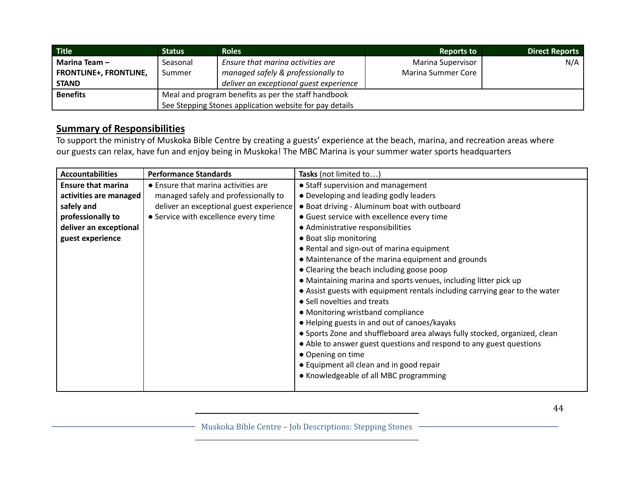| <b>Title</b>                  | <b>Status</b>                                           | <b>Roles</b>                            | <b>Reports to</b>        | <b>Direct Reports</b> |
|-------------------------------|---------------------------------------------------------|-----------------------------------------|--------------------------|-----------------------|
| Marina Team-                  | Seasonal                                                | Ensure that marina activities are       | <b>Marina Supervisor</b> | N/A                   |
| <b>FRONTLINE+, FRONTLINE,</b> | Summer                                                  | managed safely & professionally to      | Marina Summer Core       |                       |
| <b>STAND</b>                  |                                                         | deliver an exceptional quest experience |                          |                       |
| <b>Benefits</b>               | Meal and program benefits as per the staff handbook     |                                         |                          |                       |
|                               | See Stepping Stones application website for pay details |                                         |                          |                       |

To support the ministry of Muskoka Bible Centre by creating a guests' experience at the beach, marina, and recreation areas where our guests can relax, have fun and enjoy being in Muskoka! The MBC Marina is your summer water sports headquarters

| <b>Accountabilities</b>   | <b>Performance Standards</b>            | Tasks (not limited to                                                       |
|---------------------------|-----------------------------------------|-----------------------------------------------------------------------------|
| <b>Ensure that marina</b> | • Ensure that marina activities are     | • Staff supervision and management                                          |
| activities are managed    | managed safely and professionally to    | • Developing and leading godly leaders                                      |
| safely and                | deliver an exceptional guest experience | • Boat driving - Aluminum boat with outboard                                |
| professionally to         | • Service with excellence every time    | • Guest service with excellence every time                                  |
| deliver an exceptional    |                                         | • Administrative responsibilities                                           |
| guest experience          |                                         | • Boat slip monitoring                                                      |
|                           |                                         | • Rental and sign-out of marina equipment                                   |
|                           |                                         | • Maintenance of the marina equipment and grounds                           |
|                           |                                         | • Clearing the beach including goose poop                                   |
|                           |                                         | • Maintaining marina and sports venues, including litter pick up            |
|                           |                                         | • Assist guests with equipment rentals including carrying gear to the water |
|                           |                                         | • Sell novelties and treats                                                 |
|                           |                                         | • Monitoring wristband compliance                                           |
|                           |                                         | • Helping guests in and out of canoes/kayaks                                |
|                           |                                         | • Sports Zone and shuffleboard area always fully stocked, organized, clean  |
|                           |                                         | • Able to answer guest questions and respond to any guest questions         |
|                           |                                         | • Opening on time                                                           |
|                           |                                         | • Equipment all clean and in good repair                                    |
|                           |                                         | • Knowledgeable of all MBC programming                                      |
|                           |                                         |                                                                             |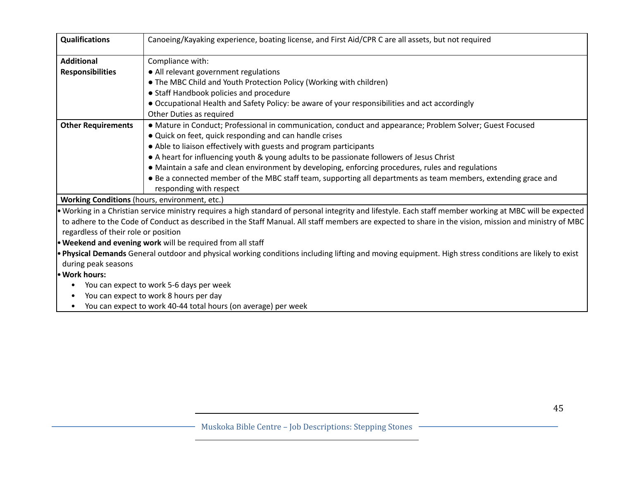| <b>Qualifications</b>                         | Canoeing/Kayaking experience, boating license, and First Aid/CPR C are all assets, but not required                                                                                                                                                                                                                                                                                                                                                                                                                                                                                                                    |  |  |
|-----------------------------------------------|------------------------------------------------------------------------------------------------------------------------------------------------------------------------------------------------------------------------------------------------------------------------------------------------------------------------------------------------------------------------------------------------------------------------------------------------------------------------------------------------------------------------------------------------------------------------------------------------------------------------|--|--|
| <b>Additional</b><br><b>Responsibilities</b>  | Compliance with:<br>• All relevant government regulations<br>• The MBC Child and Youth Protection Policy (Working with children)<br>• Staff Handbook policies and procedure<br>• Occupational Health and Safety Policy: be aware of your responsibilities and act accordingly                                                                                                                                                                                                                                                                                                                                          |  |  |
| <b>Other Requirements</b>                     | Other Duties as required<br>• Mature in Conduct; Professional in communication, conduct and appearance; Problem Solver; Guest Focused<br>. Quick on feet, quick responding and can handle crises<br>• Able to liaison effectively with guests and program participants<br>• A heart for influencing youth & young adults to be passionate followers of Jesus Christ<br>• Maintain a safe and clean environment by developing, enforcing procedures, rules and regulations<br>• Be a connected member of the MBC staff team, supporting all departments as team members, extending grace and<br>responding with respect |  |  |
| Working Conditions (hours, environment, etc.) |                                                                                                                                                                                                                                                                                                                                                                                                                                                                                                                                                                                                                        |  |  |
| regardless of their role or position          | • Working in a Christian service ministry requires a high standard of personal integrity and lifestyle. Each staff member working at MBC will be expected<br>to adhere to the Code of Conduct as described in the Staff Manual. All staff members are expected to share in the vision, mission and ministry of MBC                                                                                                                                                                                                                                                                                                     |  |  |
|                                               | <b>• Weekend and evening work</b> will be required from all staff                                                                                                                                                                                                                                                                                                                                                                                                                                                                                                                                                      |  |  |
| during peak seasons                           | • Physical Demands General outdoor and physical working conditions including lifting and moving equipment. High stress conditions are likely to exist                                                                                                                                                                                                                                                                                                                                                                                                                                                                  |  |  |
| • Work hours:                                 |                                                                                                                                                                                                                                                                                                                                                                                                                                                                                                                                                                                                                        |  |  |
|                                               | You can expect to work 5-6 days per week                                                                                                                                                                                                                                                                                                                                                                                                                                                                                                                                                                               |  |  |
| $\bullet$                                     | You can expect to work 8 hours per day                                                                                                                                                                                                                                                                                                                                                                                                                                                                                                                                                                                 |  |  |
| $\bullet$                                     | You can expect to work 40-44 total hours (on average) per week                                                                                                                                                                                                                                                                                                                                                                                                                                                                                                                                                         |  |  |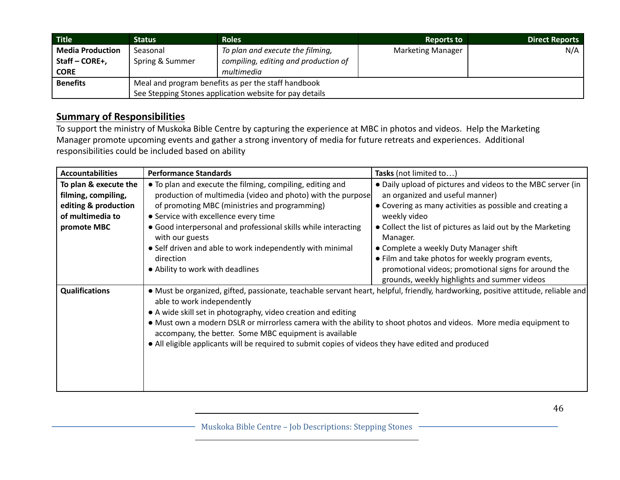| <b>Title</b>            | Status                                                  | <b>Roles</b>                         | <b>Reports to</b>        | <b>Direct Reports</b> |
|-------------------------|---------------------------------------------------------|--------------------------------------|--------------------------|-----------------------|
| <b>Media Production</b> | Seasonal                                                | To plan and execute the filming,     | <b>Marketing Manager</b> | N/A                   |
| Staff – CORE+,          | Spring & Summer                                         | compiling, editing and production of |                          |                       |
| <b>CORE</b>             |                                                         | multimedia                           |                          |                       |
| <b>Benefits</b>         | Meal and program benefits as per the staff handbook     |                                      |                          |                       |
|                         | See Stepping Stones application website for pay details |                                      |                          |                       |

To support the ministry of Muskoka Bible Centre by capturing the experience at MBC in photos and videos. Help the Marketing Manager promote upcoming events and gather a strong inventory of media for future retreats and experiences. Additional responsibilities could be included based on ability

| <b>Accountabilities</b>                                                                                 | <b>Performance Standards</b>                                                                                                                                                                                                                                                                                                                                                                                                                                                                                            | Tasks (not limited to                                                                                                                                                                                                                                                                                                                                |
|---------------------------------------------------------------------------------------------------------|-------------------------------------------------------------------------------------------------------------------------------------------------------------------------------------------------------------------------------------------------------------------------------------------------------------------------------------------------------------------------------------------------------------------------------------------------------------------------------------------------------------------------|------------------------------------------------------------------------------------------------------------------------------------------------------------------------------------------------------------------------------------------------------------------------------------------------------------------------------------------------------|
| To plan & execute the<br>filming, compiling,<br>editing & production<br>of multimedia to<br>promote MBC | • To plan and execute the filming, compiling, editing and<br>production of multimedia (video and photo) with the purpose<br>of promoting MBC (ministries and programming)<br>• Service with excellence every time<br>• Good interpersonal and professional skills while interacting<br>with our guests<br>• Self driven and able to work independently with minimal<br>direction                                                                                                                                        | • Daily upload of pictures and videos to the MBC server (in<br>an organized and useful manner)<br>• Covering as many activities as possible and creating a<br>weekly video<br>• Collect the list of pictures as laid out by the Marketing<br>Manager.<br>• Complete a weekly Duty Manager shift<br>• Film and take photos for weekly program events, |
|                                                                                                         | • Ability to work with deadlines                                                                                                                                                                                                                                                                                                                                                                                                                                                                                        | promotional videos; promotional signs for around the<br>grounds, weekly highlights and summer videos                                                                                                                                                                                                                                                 |
| <b>Qualifications</b>                                                                                   | • Must be organized, gifted, passionate, teachable servant heart, helpful, friendly, hardworking, positive attitude, reliable and<br>able to work independently<br>• A wide skill set in photography, video creation and editing<br>• Must own a modern DSLR or mirrorless camera with the ability to shoot photos and videos. More media equipment to<br>accompany, the better. Some MBC equipment is available<br>• All eligible applicants will be required to submit copies of videos they have edited and produced |                                                                                                                                                                                                                                                                                                                                                      |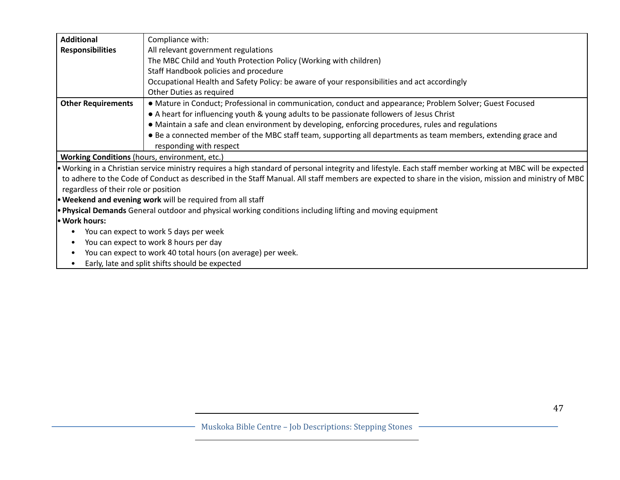| <b>Additional</b>                    | Compliance with:                                                                                                                                          |  |  |
|--------------------------------------|-----------------------------------------------------------------------------------------------------------------------------------------------------------|--|--|
| <b>Responsibilities</b>              | All relevant government regulations                                                                                                                       |  |  |
|                                      | The MBC Child and Youth Protection Policy (Working with children)                                                                                         |  |  |
|                                      | Staff Handbook policies and procedure                                                                                                                     |  |  |
|                                      | Occupational Health and Safety Policy: be aware of your responsibilities and act accordingly                                                              |  |  |
|                                      | Other Duties as required                                                                                                                                  |  |  |
| <b>Other Requirements</b>            | • Mature in Conduct; Professional in communication, conduct and appearance; Problem Solver; Guest Focused                                                 |  |  |
|                                      | • A heart for influencing youth & young adults to be passionate followers of Jesus Christ                                                                 |  |  |
|                                      | • Maintain a safe and clean environment by developing, enforcing procedures, rules and regulations                                                        |  |  |
|                                      | • Be a connected member of the MBC staff team, supporting all departments as team members, extending grace and                                            |  |  |
|                                      | responding with respect                                                                                                                                   |  |  |
|                                      | Working Conditions (hours, environment, etc.)                                                                                                             |  |  |
|                                      | • Working in a Christian service ministry requires a high standard of personal integrity and lifestyle. Each staff member working at MBC will be expected |  |  |
|                                      | to adhere to the Code of Conduct as described in the Staff Manual. All staff members are expected to share in the vision, mission and ministry of MBC     |  |  |
| regardless of their role or position |                                                                                                                                                           |  |  |
|                                      | <b>• Weekend and evening work</b> will be required from all staff                                                                                         |  |  |
|                                      | . Physical Demands General outdoor and physical working conditions including lifting and moving equipment                                                 |  |  |
| • Work hours:                        |                                                                                                                                                           |  |  |
| ٠                                    | You can expect to work 5 days per week                                                                                                                    |  |  |
| $\bullet$                            | You can expect to work 8 hours per day                                                                                                                    |  |  |
| $\bullet$                            | You can expect to work 40 total hours (on average) per week.                                                                                              |  |  |
| $\bullet$                            | Early, late and split shifts should be expected                                                                                                           |  |  |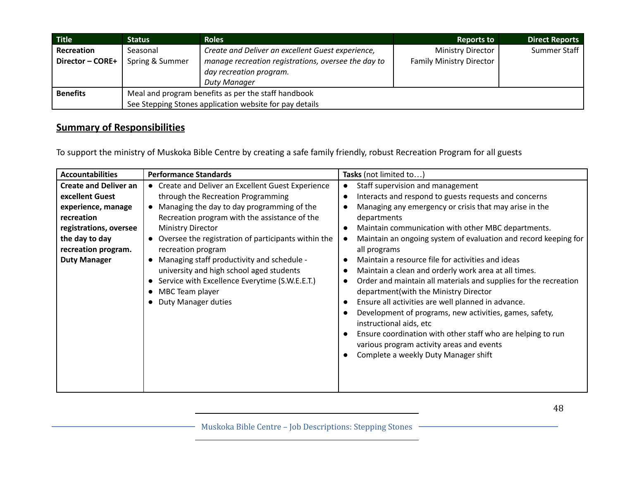| Title            | <b>Status</b>                                           | <b>Roles</b>                                        | <b>Reports to</b>               | <b>Direct Reports</b> |
|------------------|---------------------------------------------------------|-----------------------------------------------------|---------------------------------|-----------------------|
| Recreation       | Seasonal                                                | Create and Deliver an excellent Guest experience,   | <b>Ministry Director</b>        | Summer Staff          |
| Director - CORE+ | Spring & Summer                                         | manage recreation registrations, oversee the day to | <b>Family Ministry Director</b> |                       |
|                  |                                                         | day recreation program.                             |                                 |                       |
|                  |                                                         | <b>Duty Manager</b>                                 |                                 |                       |
| <b>Benefits</b>  | Meal and program benefits as per the staff handbook     |                                                     |                                 |                       |
|                  | See Stepping Stones application website for pay details |                                                     |                                 |                       |

To support the ministry of Muskoka Bible Centre by creating a safe family friendly, robust Recreation Program for all guests

| <b>Accountabilities</b>      | <b>Performance Standards</b>                            | Tasks (not limited to)                                           |
|------------------------------|---------------------------------------------------------|------------------------------------------------------------------|
| <b>Create and Deliver an</b> | • Create and Deliver an Excellent Guest Experience      | Staff supervision and management                                 |
| excellent Guest              | through the Recreation Programming                      | Interacts and respond to guests requests and concerns            |
| experience, manage           | Managing the day to day programming of the<br>$\bullet$ | Managing any emergency or crisis that may arise in the           |
| recreation                   | Recreation program with the assistance of the           | departments                                                      |
| registrations, oversee       | <b>Ministry Director</b>                                | Maintain communication with other MBC departments.               |
| the day to day               | Oversee the registration of participants within the     | Maintain an ongoing system of evaluation and record keeping for  |
| recreation program.          | recreation program                                      | all programs                                                     |
| <b>Duty Manager</b>          | Managing staff productivity and schedule -<br>$\bullet$ | Maintain a resource file for activities and ideas                |
|                              | university and high school aged students                | Maintain a clean and orderly work area at all times.             |
|                              | Service with Excellence Everytime (S.W.E.E.T.)          | Order and maintain all materials and supplies for the recreation |
|                              | MBC Team player                                         | department(with the Ministry Director                            |
|                              | <b>Duty Manager duties</b>                              | Ensure all activities are well planned in advance.               |
|                              |                                                         | Development of programs, new activities, games, safety,          |
|                              |                                                         | instructional aids, etc                                          |
|                              |                                                         | Ensure coordination with other staff who are helping to run      |
|                              |                                                         | various program activity areas and events                        |
|                              |                                                         | Complete a weekly Duty Manager shift                             |
|                              |                                                         |                                                                  |
|                              |                                                         |                                                                  |
|                              |                                                         |                                                                  |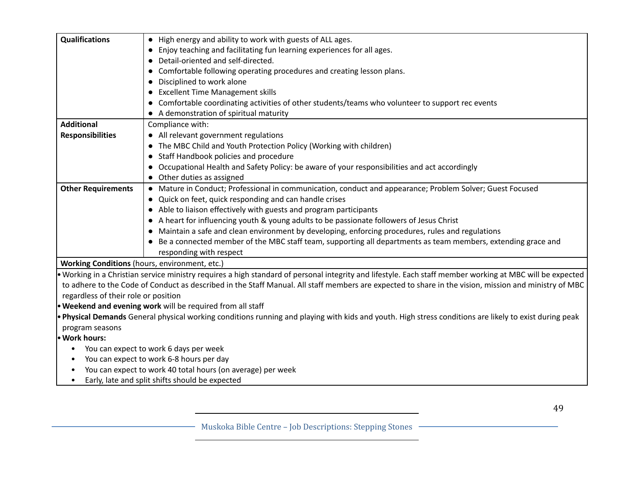| <b>Qualifications</b>                | • High energy and ability to work with guests of ALL ages.                                                                                                |  |  |  |
|--------------------------------------|-----------------------------------------------------------------------------------------------------------------------------------------------------------|--|--|--|
|                                      | Enjoy teaching and facilitating fun learning experiences for all ages.                                                                                    |  |  |  |
|                                      | Detail-oriented and self-directed.                                                                                                                        |  |  |  |
|                                      | Comfortable following operating procedures and creating lesson plans.<br>$\bullet$                                                                        |  |  |  |
|                                      | Disciplined to work alone<br>$\bullet$                                                                                                                    |  |  |  |
|                                      | <b>Excellent Time Management skills</b><br>$\bullet$                                                                                                      |  |  |  |
|                                      | Comfortable coordinating activities of other students/teams who volunteer to support rec events                                                           |  |  |  |
|                                      | A demonstration of spiritual maturity                                                                                                                     |  |  |  |
| <b>Additional</b>                    | Compliance with:                                                                                                                                          |  |  |  |
| <b>Responsibilities</b>              | • All relevant government regulations                                                                                                                     |  |  |  |
|                                      | • The MBC Child and Youth Protection Policy (Working with children)                                                                                       |  |  |  |
|                                      | • Staff Handbook policies and procedure                                                                                                                   |  |  |  |
|                                      | Occupational Health and Safety Policy: be aware of your responsibilities and act accordingly                                                              |  |  |  |
|                                      | Other duties as assigned<br>$\bullet$                                                                                                                     |  |  |  |
| <b>Other Requirements</b>            | • Mature in Conduct; Professional in communication, conduct and appearance; Problem Solver; Guest Focused                                                 |  |  |  |
|                                      | • Quick on feet, quick responding and can handle crises                                                                                                   |  |  |  |
|                                      | • Able to liaison effectively with guests and program participants                                                                                        |  |  |  |
|                                      | A heart for influencing youth & young adults to be passionate followers of Jesus Christ                                                                   |  |  |  |
|                                      | Maintain a safe and clean environment by developing, enforcing procedures, rules and regulations                                                          |  |  |  |
|                                      | • Be a connected member of the MBC staff team, supporting all departments as team members, extending grace and                                            |  |  |  |
|                                      | responding with respect                                                                                                                                   |  |  |  |
|                                      | Working Conditions (hours, environment, etc.)                                                                                                             |  |  |  |
|                                      | • Working in a Christian service ministry requires a high standard of personal integrity and lifestyle. Each staff member working at MBC will be expected |  |  |  |
|                                      | to adhere to the Code of Conduct as described in the Staff Manual. All staff members are expected to share in the vision, mission and ministry of MBC     |  |  |  |
| regardless of their role or position |                                                                                                                                                           |  |  |  |
|                                      | <b>• Weekend and evening work</b> will be required from all staff                                                                                         |  |  |  |
|                                      | . Physical Demands General physical working conditions running and playing with kids and youth. High stress conditions are likely to exist during peak    |  |  |  |
| program seasons                      |                                                                                                                                                           |  |  |  |
| • Work hours:                        |                                                                                                                                                           |  |  |  |
|                                      | You can expect to work 6 days per week                                                                                                                    |  |  |  |
|                                      | You can expect to work 6-8 hours per day                                                                                                                  |  |  |  |
| $\bullet$                            | You can expect to work 40 total hours (on average) per week                                                                                               |  |  |  |
| $\bullet$                            | Early, late and split shifts should be expected                                                                                                           |  |  |  |
|                                      |                                                                                                                                                           |  |  |  |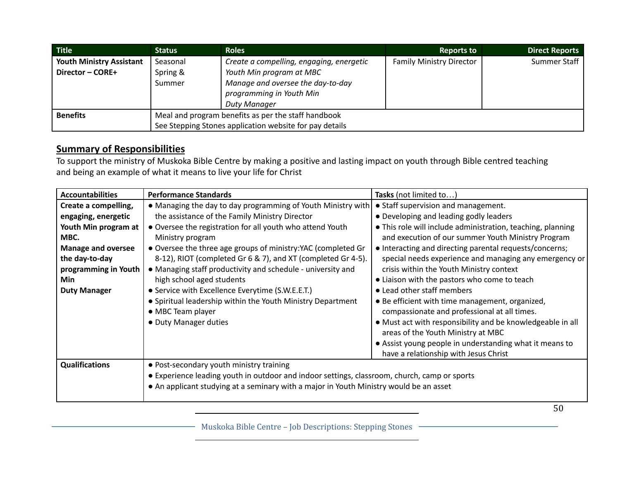| <b>Title</b>                    | <b>Status</b>                                           | <b>Roles</b>                             | <b>Reports to</b>               | <b>Direct Reports</b> |
|---------------------------------|---------------------------------------------------------|------------------------------------------|---------------------------------|-----------------------|
| <b>Youth Ministry Assistant</b> | Seasonal                                                | Create a compelling, engaging, energetic | <b>Family Ministry Director</b> | Summer Staff          |
| Director - CORE+                | Spring &                                                | Youth Min program at MBC                 |                                 |                       |
|                                 | Summer                                                  | Manage and oversee the day-to-day        |                                 |                       |
|                                 |                                                         | programming in Youth Min                 |                                 |                       |
|                                 |                                                         | <b>Duty Manager</b>                      |                                 |                       |
| <b>Benefits</b>                 | Meal and program benefits as per the staff handbook     |                                          |                                 |                       |
|                                 | See Stepping Stones application website for pay details |                                          |                                 |                       |

To support the ministry of Muskoka Bible Centre by making a positive and lasting impact on youth through Bible centred teaching and being an example of what it means to live your life for Christ

| <b>Accountabilities</b>   | <b>Performance Standards</b>                                                                 | Tasks (not limited to)                                      |  |  |
|---------------------------|----------------------------------------------------------------------------------------------|-------------------------------------------------------------|--|--|
| Create a compelling,      | • Managing the day to day programming of Youth Ministry with                                 | • Staff supervision and management.                         |  |  |
| engaging, energetic       | the assistance of the Family Ministry Director                                               | • Developing and leading godly leaders                      |  |  |
| Youth Min program at      | • Oversee the registration for all youth who attend Youth                                    | • This role will include administration, teaching, planning |  |  |
| MBC.                      | Ministry program                                                                             | and execution of our summer Youth Ministry Program          |  |  |
| <b>Manage and oversee</b> | • Oversee the three age groups of ministry: YAC (completed Gr                                | • Interacting and directing parental requests/concerns;     |  |  |
| the day-to-day            | 8-12), RIOT (completed Gr 6 & 7), and XT (completed Gr 4-5).                                 | special needs experience and managing any emergency or      |  |  |
| programming in Youth      | • Managing staff productivity and schedule - university and                                  | crisis within the Youth Ministry context                    |  |  |
| <b>Min</b>                | high school aged students                                                                    | • Liaison with the pastors who come to teach                |  |  |
| <b>Duty Manager</b>       | • Service with Excellence Everytime (S.W.E.E.T.)                                             | • Lead other staff members                                  |  |  |
|                           | • Spiritual leadership within the Youth Ministry Department                                  | • Be efficient with time management, organized,             |  |  |
|                           | • MBC Team player                                                                            | compassionate and professional at all times.                |  |  |
|                           | • Duty Manager duties                                                                        | • Must act with responsibility and be knowledgeable in all  |  |  |
|                           |                                                                                              | areas of the Youth Ministry at MBC                          |  |  |
|                           |                                                                                              | • Assist young people in understanding what it means to     |  |  |
|                           |                                                                                              | have a relationship with Jesus Christ                       |  |  |
| <b>Qualifications</b>     | • Post-secondary youth ministry training                                                     |                                                             |  |  |
|                           | • Experience leading youth in outdoor and indoor settings, classroom, church, camp or sports |                                                             |  |  |
|                           | • An applicant studying at a seminary with a major in Youth Ministry would be an asset       |                                                             |  |  |
|                           |                                                                                              |                                                             |  |  |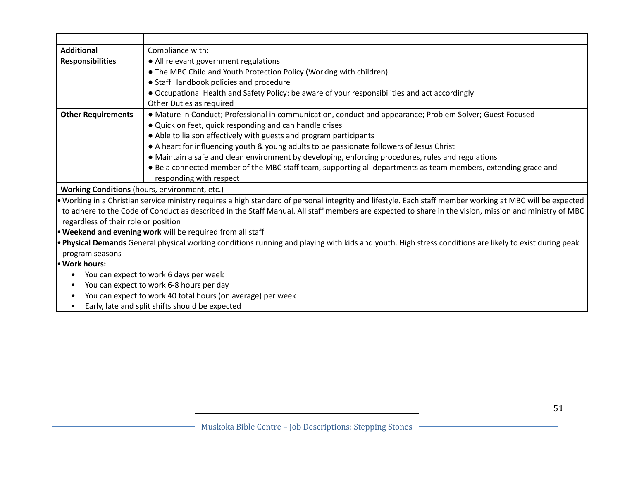| <b>Additional</b><br>Compliance with:<br><b>Responsibilities</b><br>• All relevant government regulations<br>. The MBC Child and Youth Protection Policy (Working with children)<br>• Staff Handbook policies and procedure<br>• Occupational Health and Safety Policy: be aware of your responsibilities and act accordingly<br>Other Duties as required<br><b>Other Requirements</b><br>• Mature in Conduct; Professional in communication, conduct and appearance; Problem Solver; Guest Focused<br>• Quick on feet, quick responding and can handle crises<br>• Able to liaison effectively with guests and program participants<br>• A heart for influencing youth & young adults to be passionate followers of Jesus Christ<br>• Maintain a safe and clean environment by developing, enforcing procedures, rules and regulations<br>• Be a connected member of the MBC staff team, supporting all departments as team members, extending grace and<br>responding with respect<br>Working Conditions (hours, environment, etc.)<br>• Working in a Christian service ministry requires a high standard of personal integrity and lifestyle. Each staff member working at MBC will be expected<br>to adhere to the Code of Conduct as described in the Staff Manual. All staff members are expected to share in the vision, mission and ministry of MBC<br>regardless of their role or position<br>• Weekend and evening work will be required from all staff<br>• Physical Demands General physical working conditions running and playing with kids and youth. High stress conditions are likely to exist during peak<br>program seasons<br>You can expect to work 6 days per week<br>٠<br>You can expect to work 6-8 hours per day<br>$\bullet$<br>You can expect to work 40 total hours (on average) per week<br>$\bullet$ |  |
|------------------------------------------------------------------------------------------------------------------------------------------------------------------------------------------------------------------------------------------------------------------------------------------------------------------------------------------------------------------------------------------------------------------------------------------------------------------------------------------------------------------------------------------------------------------------------------------------------------------------------------------------------------------------------------------------------------------------------------------------------------------------------------------------------------------------------------------------------------------------------------------------------------------------------------------------------------------------------------------------------------------------------------------------------------------------------------------------------------------------------------------------------------------------------------------------------------------------------------------------------------------------------------------------------------------------------------------------------------------------------------------------------------------------------------------------------------------------------------------------------------------------------------------------------------------------------------------------------------------------------------------------------------------------------------------------------------------------------------------------------------------------------------------------------------------------------------|--|
|                                                                                                                                                                                                                                                                                                                                                                                                                                                                                                                                                                                                                                                                                                                                                                                                                                                                                                                                                                                                                                                                                                                                                                                                                                                                                                                                                                                                                                                                                                                                                                                                                                                                                                                                                                                                                                    |  |
|                                                                                                                                                                                                                                                                                                                                                                                                                                                                                                                                                                                                                                                                                                                                                                                                                                                                                                                                                                                                                                                                                                                                                                                                                                                                                                                                                                                                                                                                                                                                                                                                                                                                                                                                                                                                                                    |  |
|                                                                                                                                                                                                                                                                                                                                                                                                                                                                                                                                                                                                                                                                                                                                                                                                                                                                                                                                                                                                                                                                                                                                                                                                                                                                                                                                                                                                                                                                                                                                                                                                                                                                                                                                                                                                                                    |  |
|                                                                                                                                                                                                                                                                                                                                                                                                                                                                                                                                                                                                                                                                                                                                                                                                                                                                                                                                                                                                                                                                                                                                                                                                                                                                                                                                                                                                                                                                                                                                                                                                                                                                                                                                                                                                                                    |  |
|                                                                                                                                                                                                                                                                                                                                                                                                                                                                                                                                                                                                                                                                                                                                                                                                                                                                                                                                                                                                                                                                                                                                                                                                                                                                                                                                                                                                                                                                                                                                                                                                                                                                                                                                                                                                                                    |  |
|                                                                                                                                                                                                                                                                                                                                                                                                                                                                                                                                                                                                                                                                                                                                                                                                                                                                                                                                                                                                                                                                                                                                                                                                                                                                                                                                                                                                                                                                                                                                                                                                                                                                                                                                                                                                                                    |  |
|                                                                                                                                                                                                                                                                                                                                                                                                                                                                                                                                                                                                                                                                                                                                                                                                                                                                                                                                                                                                                                                                                                                                                                                                                                                                                                                                                                                                                                                                                                                                                                                                                                                                                                                                                                                                                                    |  |
|                                                                                                                                                                                                                                                                                                                                                                                                                                                                                                                                                                                                                                                                                                                                                                                                                                                                                                                                                                                                                                                                                                                                                                                                                                                                                                                                                                                                                                                                                                                                                                                                                                                                                                                                                                                                                                    |  |
|                                                                                                                                                                                                                                                                                                                                                                                                                                                                                                                                                                                                                                                                                                                                                                                                                                                                                                                                                                                                                                                                                                                                                                                                                                                                                                                                                                                                                                                                                                                                                                                                                                                                                                                                                                                                                                    |  |
|                                                                                                                                                                                                                                                                                                                                                                                                                                                                                                                                                                                                                                                                                                                                                                                                                                                                                                                                                                                                                                                                                                                                                                                                                                                                                                                                                                                                                                                                                                                                                                                                                                                                                                                                                                                                                                    |  |
| . Work hours:                                                                                                                                                                                                                                                                                                                                                                                                                                                                                                                                                                                                                                                                                                                                                                                                                                                                                                                                                                                                                                                                                                                                                                                                                                                                                                                                                                                                                                                                                                                                                                                                                                                                                                                                                                                                                      |  |
|                                                                                                                                                                                                                                                                                                                                                                                                                                                                                                                                                                                                                                                                                                                                                                                                                                                                                                                                                                                                                                                                                                                                                                                                                                                                                                                                                                                                                                                                                                                                                                                                                                                                                                                                                                                                                                    |  |
|                                                                                                                                                                                                                                                                                                                                                                                                                                                                                                                                                                                                                                                                                                                                                                                                                                                                                                                                                                                                                                                                                                                                                                                                                                                                                                                                                                                                                                                                                                                                                                                                                                                                                                                                                                                                                                    |  |
|                                                                                                                                                                                                                                                                                                                                                                                                                                                                                                                                                                                                                                                                                                                                                                                                                                                                                                                                                                                                                                                                                                                                                                                                                                                                                                                                                                                                                                                                                                                                                                                                                                                                                                                                                                                                                                    |  |
|                                                                                                                                                                                                                                                                                                                                                                                                                                                                                                                                                                                                                                                                                                                                                                                                                                                                                                                                                                                                                                                                                                                                                                                                                                                                                                                                                                                                                                                                                                                                                                                                                                                                                                                                                                                                                                    |  |
|                                                                                                                                                                                                                                                                                                                                                                                                                                                                                                                                                                                                                                                                                                                                                                                                                                                                                                                                                                                                                                                                                                                                                                                                                                                                                                                                                                                                                                                                                                                                                                                                                                                                                                                                                                                                                                    |  |
|                                                                                                                                                                                                                                                                                                                                                                                                                                                                                                                                                                                                                                                                                                                                                                                                                                                                                                                                                                                                                                                                                                                                                                                                                                                                                                                                                                                                                                                                                                                                                                                                                                                                                                                                                                                                                                    |  |
|                                                                                                                                                                                                                                                                                                                                                                                                                                                                                                                                                                                                                                                                                                                                                                                                                                                                                                                                                                                                                                                                                                                                                                                                                                                                                                                                                                                                                                                                                                                                                                                                                                                                                                                                                                                                                                    |  |
|                                                                                                                                                                                                                                                                                                                                                                                                                                                                                                                                                                                                                                                                                                                                                                                                                                                                                                                                                                                                                                                                                                                                                                                                                                                                                                                                                                                                                                                                                                                                                                                                                                                                                                                                                                                                                                    |  |
|                                                                                                                                                                                                                                                                                                                                                                                                                                                                                                                                                                                                                                                                                                                                                                                                                                                                                                                                                                                                                                                                                                                                                                                                                                                                                                                                                                                                                                                                                                                                                                                                                                                                                                                                                                                                                                    |  |
|                                                                                                                                                                                                                                                                                                                                                                                                                                                                                                                                                                                                                                                                                                                                                                                                                                                                                                                                                                                                                                                                                                                                                                                                                                                                                                                                                                                                                                                                                                                                                                                                                                                                                                                                                                                                                                    |  |
|                                                                                                                                                                                                                                                                                                                                                                                                                                                                                                                                                                                                                                                                                                                                                                                                                                                                                                                                                                                                                                                                                                                                                                                                                                                                                                                                                                                                                                                                                                                                                                                                                                                                                                                                                                                                                                    |  |
|                                                                                                                                                                                                                                                                                                                                                                                                                                                                                                                                                                                                                                                                                                                                                                                                                                                                                                                                                                                                                                                                                                                                                                                                                                                                                                                                                                                                                                                                                                                                                                                                                                                                                                                                                                                                                                    |  |
|                                                                                                                                                                                                                                                                                                                                                                                                                                                                                                                                                                                                                                                                                                                                                                                                                                                                                                                                                                                                                                                                                                                                                                                                                                                                                                                                                                                                                                                                                                                                                                                                                                                                                                                                                                                                                                    |  |
| Early, late and split shifts should be expected<br>$\bullet$                                                                                                                                                                                                                                                                                                                                                                                                                                                                                                                                                                                                                                                                                                                                                                                                                                                                                                                                                                                                                                                                                                                                                                                                                                                                                                                                                                                                                                                                                                                                                                                                                                                                                                                                                                       |  |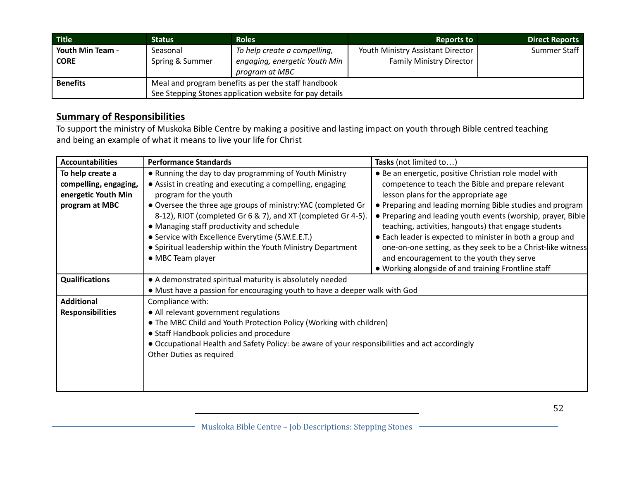| <b>Title</b>     | <b>Status</b>                                           | <b>Roles</b>                  | <b>Reports to</b>                 | <b>Direct Reports</b> |
|------------------|---------------------------------------------------------|-------------------------------|-----------------------------------|-----------------------|
| Youth Min Team - | Seasonal                                                | To help create a compelling,  | Youth Ministry Assistant Director | Summer Staff          |
| <b>CORE</b>      | Spring & Summer                                         | engaging, energetic Youth Min | <b>Family Ministry Director</b>   |                       |
|                  |                                                         | program at MBC                |                                   |                       |
| <b>Benefits</b>  | Meal and program benefits as per the staff handbook     |                               |                                   |                       |
|                  | See Stepping Stones application website for pay details |                               |                                   |                       |

To support the ministry of Muskoka Bible Centre by making a positive and lasting impact on youth through Bible centred teaching and being an example of what it means to live your life for Christ

| <b>Accountabilities</b>                                                            | <b>Performance Standards</b>                                                                                                                                                                                                                                                                                                                                                                                                                                        | Tasks (not limited to                                                                                                                                                                                                                                                                                                                                                                                                                                                                                                                                                      |  |
|------------------------------------------------------------------------------------|---------------------------------------------------------------------------------------------------------------------------------------------------------------------------------------------------------------------------------------------------------------------------------------------------------------------------------------------------------------------------------------------------------------------------------------------------------------------|----------------------------------------------------------------------------------------------------------------------------------------------------------------------------------------------------------------------------------------------------------------------------------------------------------------------------------------------------------------------------------------------------------------------------------------------------------------------------------------------------------------------------------------------------------------------------|--|
| To help create a<br>compelling, engaging,<br>energetic Youth Min<br>program at MBC | . Running the day to day programming of Youth Ministry<br>• Assist in creating and executing a compelling, engaging<br>program for the youth<br>• Oversee the three age groups of ministry: YAC (completed Gr<br>8-12), RIOT (completed Gr 6 & 7), and XT (completed Gr 4-5).<br>• Managing staff productivity and schedule<br>• Service with Excellence Everytime (S.W.E.E.T.)<br>• Spiritual leadership within the Youth Ministry Department<br>• MBC Team player | • Be an energetic, positive Christian role model with<br>competence to teach the Bible and prepare relevant<br>lesson plans for the appropriate age<br>• Preparing and leading morning Bible studies and program<br>• Preparing and leading youth events (worship, prayer, Bible)<br>teaching, activities, hangouts) that engage students<br>• Each leader is expected to minister in both a group and<br>one-on-one setting, as they seek to be a Christ-like witness<br>and encouragement to the youth they serve<br>. Working alongside of and training Frontline staff |  |
| <b>Qualifications</b>                                                              | • A demonstrated spiritual maturity is absolutely needed<br>• Must have a passion for encouraging youth to have a deeper walk with God                                                                                                                                                                                                                                                                                                                              |                                                                                                                                                                                                                                                                                                                                                                                                                                                                                                                                                                            |  |
| <b>Additional</b><br><b>Responsibilities</b>                                       | Compliance with:<br>• All relevant government regulations<br>• The MBC Child and Youth Protection Policy (Working with children)<br>• Staff Handbook policies and procedure<br>• Occupational Health and Safety Policy: be aware of your responsibilities and act accordingly<br>Other Duties as required                                                                                                                                                           |                                                                                                                                                                                                                                                                                                                                                                                                                                                                                                                                                                            |  |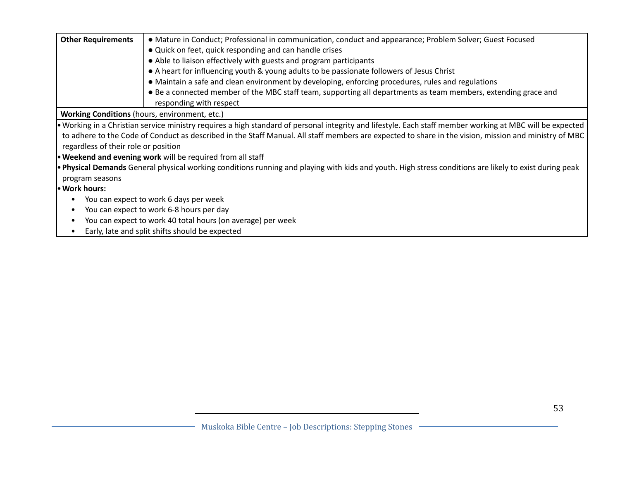| <b>Other Requirements</b>                             | • Mature in Conduct; Professional in communication, conduct and appearance; Problem Solver; Guest Focused                                                 |  |  |  |
|-------------------------------------------------------|-----------------------------------------------------------------------------------------------------------------------------------------------------------|--|--|--|
|                                                       | • Quick on feet, quick responding and can handle crises                                                                                                   |  |  |  |
|                                                       | • Able to liaison effectively with guests and program participants                                                                                        |  |  |  |
|                                                       | • A heart for influencing youth & young adults to be passionate followers of Jesus Christ                                                                 |  |  |  |
|                                                       | • Maintain a safe and clean environment by developing, enforcing procedures, rules and regulations                                                        |  |  |  |
|                                                       | • Be a connected member of the MBC staff team, supporting all departments as team members, extending grace and                                            |  |  |  |
|                                                       | responding with respect                                                                                                                                   |  |  |  |
| <b>Working Conditions</b> (hours, environment, etc.)  |                                                                                                                                                           |  |  |  |
|                                                       | • Working in a Christian service ministry requires a high standard of personal integrity and lifestyle. Each staff member working at MBC will be expected |  |  |  |
|                                                       | to adhere to the Code of Conduct as described in the Staff Manual. All staff members are expected to share in the vision, mission and ministry of MBC     |  |  |  |
| regardless of their role or position                  |                                                                                                                                                           |  |  |  |
|                                                       | <b>• Weekend and evening work</b> will be required from all staff                                                                                         |  |  |  |
|                                                       | • Physical Demands General physical working conditions running and playing with kids and youth. High stress conditions are likely to exist during peak    |  |  |  |
| program seasons                                       |                                                                                                                                                           |  |  |  |
| • Work hours:                                         |                                                                                                                                                           |  |  |  |
| You can expect to work 6 days per week                |                                                                                                                                                           |  |  |  |
| You can expect to work 6-8 hours per day<br>$\bullet$ |                                                                                                                                                           |  |  |  |
| $\bullet$                                             | You can expect to work 40 total hours (on average) per week                                                                                               |  |  |  |
| $\bullet$                                             | Early, late and split shifts should be expected                                                                                                           |  |  |  |
|                                                       |                                                                                                                                                           |  |  |  |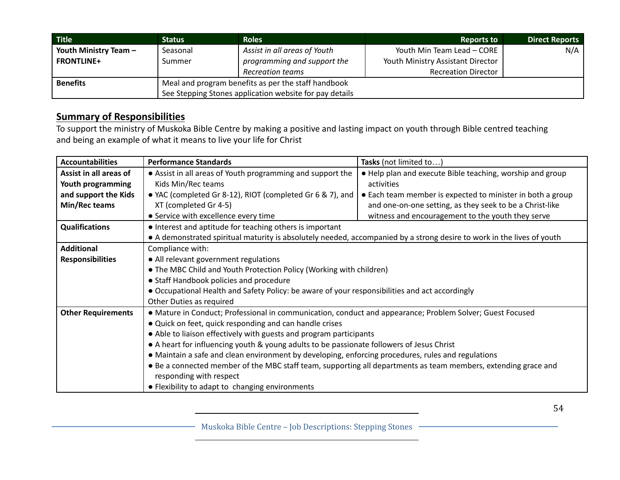| <b>Title</b>          | <b>Status</b>                                           | <b>Roles</b>                 | <b>Reports to</b>                 | <b>Direct Reports</b> |
|-----------------------|---------------------------------------------------------|------------------------------|-----------------------------------|-----------------------|
| Youth Ministry Team - | Seasonal                                                | Assist in all areas of Youth | Youth Min Team Lead - CORE        | N/A                   |
| <b>FRONTLINE+</b>     | Summer                                                  | programming and support the  | Youth Ministry Assistant Director |                       |
|                       |                                                         | <b>Recreation teams</b>      | <b>Recreation Director</b>        |                       |
| <b>Benefits</b>       | Meal and program benefits as per the staff handbook     |                              |                                   |                       |
|                       | See Stepping Stones application website for pay details |                              |                                   |                       |

To support the ministry of Muskoka Bible Centre by making a positive and lasting impact on youth through Bible centred teaching and being an example of what it means to live your life for Christ

| <b>Accountabilities</b>   | <b>Performance Standards</b>                                                                                           | Tasks (not limited to)                                     |  |  |
|---------------------------|------------------------------------------------------------------------------------------------------------------------|------------------------------------------------------------|--|--|
| Assist in all areas of    | • Assist in all areas of Youth programming and support the                                                             | . Help plan and execute Bible teaching, worship and group  |  |  |
| Youth programming         | Kids Min/Rec teams                                                                                                     | activities                                                 |  |  |
| and support the Kids      | • YAC (completed Gr 8-12), RIOT (completed Gr 6 & 7), and                                                              | • Each team member is expected to minister in both a group |  |  |
| Min/Rec teams             | XT (completed Gr 4-5)                                                                                                  | and one-on-one setting, as they seek to be a Christ-like   |  |  |
|                           | • Service with excellence every time                                                                                   | witness and encouragement to the youth they serve          |  |  |
| <b>Qualifications</b>     | • Interest and aptitude for teaching others is important                                                               |                                                            |  |  |
|                           | • A demonstrated spiritual maturity is absolutely needed, accompanied by a strong desire to work in the lives of youth |                                                            |  |  |
| <b>Additional</b>         | Compliance with:                                                                                                       |                                                            |  |  |
| <b>Responsibilities</b>   | • All relevant government regulations                                                                                  |                                                            |  |  |
|                           | • The MBC Child and Youth Protection Policy (Working with children)                                                    |                                                            |  |  |
|                           | • Staff Handbook policies and procedure                                                                                |                                                            |  |  |
|                           | • Occupational Health and Safety Policy: be aware of your responsibilities and act accordingly                         |                                                            |  |  |
|                           | Other Duties as required                                                                                               |                                                            |  |  |
| <b>Other Requirements</b> | • Mature in Conduct; Professional in communication, conduct and appearance; Problem Solver; Guest Focused              |                                                            |  |  |
|                           | • Quick on feet, quick responding and can handle crises                                                                |                                                            |  |  |
|                           | • Able to liaison effectively with guests and program participants                                                     |                                                            |  |  |
|                           | • A heart for influencing youth & young adults to be passionate followers of Jesus Christ                              |                                                            |  |  |
|                           | • Maintain a safe and clean environment by developing, enforcing procedures, rules and regulations                     |                                                            |  |  |
|                           | • Be a connected member of the MBC staff team, supporting all departments as team members, extending grace and         |                                                            |  |  |
|                           | responding with respect                                                                                                |                                                            |  |  |
|                           | • Flexibility to adapt to changing environments                                                                        |                                                            |  |  |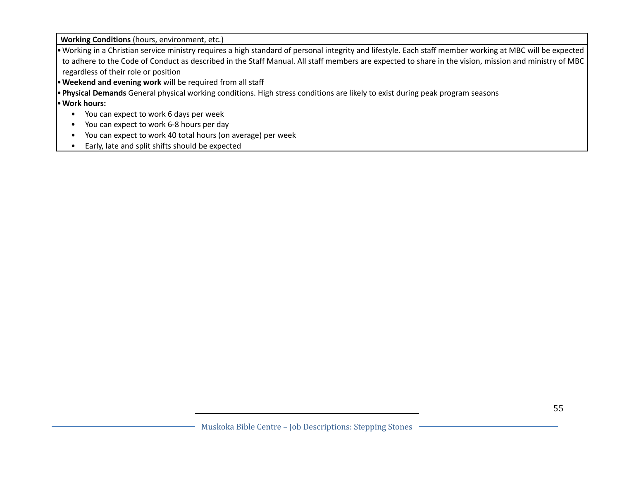**Working Conditions** (hours, environment, etc.)

•Working in a Christian service ministry requires a high standard of personal integrity and lifestyle. Each staff member working at MBC will be expected to adhere to the Code of Conduct as described in the Staff Manual. All staff members are expected to share in the vision, mission and ministry of MBC regardless of their role or position

•**Weekend and evening work** will be required from all staff

•**Physical Demands** General physical working conditions. High stress conditions are likely to exist during peak program seasons

•**Work hours:**

- You can expect to work 6 days per week
- You can expect to work 6-8 hours per day
- You can expect to work 40 total hours (on average) per week
- Early, late and split shifts should be expected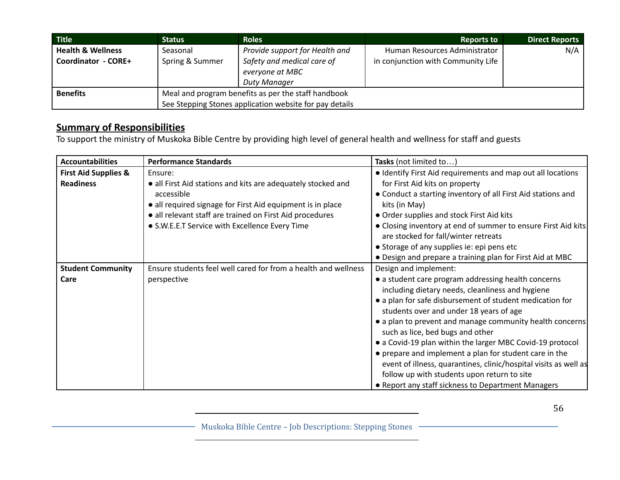| <b>Title</b>                 | <b>Status</b>                                       | <b>Roles</b>                                                  | <b>Reports to</b>                  | <b>Direct Reports</b> |
|------------------------------|-----------------------------------------------------|---------------------------------------------------------------|------------------------------------|-----------------------|
| <b>Health &amp; Wellness</b> | Seasonal                                            | Provide support for Health and                                | Human Resources Administrator      | N/A                   |
| Coordinator - CORE+          | Spring & Summer                                     | Safety and medical care of<br>everyone at MBC<br>Duty Manager | in conjunction with Community Life |                       |
| <b>Benefits</b>              | Meal and program benefits as per the staff handbook |                                                               |                                    |                       |
|                              |                                                     | See Stepping Stones application website for pay details       |                                    |                       |

To support the ministry of Muskoka Bible Centre by providing high level of general health and wellness for staff and guests

| <b>Accountabilities</b>         | <b>Performance Standards</b>                                   | Tasks (not limited to)                                           |
|---------------------------------|----------------------------------------------------------------|------------------------------------------------------------------|
| <b>First Aid Supplies &amp;</b> | Ensure:                                                        | • Identify First Aid requirements and map out all locations      |
| <b>Readiness</b>                | • all First Aid stations and kits are adequately stocked and   | for First Aid kits on property                                   |
|                                 | accessible                                                     | • Conduct a starting inventory of all First Aid stations and     |
|                                 | • all required signage for First Aid equipment is in place     | kits (in May)                                                    |
|                                 | · all relevant staff are trained on First Aid procedures       | • Order supplies and stock First Aid kits                        |
|                                 | • S.W.E.E.T Service with Excellence Every Time                 | • Closing inventory at end of summer to ensure First Aid kits    |
|                                 |                                                                | are stocked for fall/winter retreats                             |
|                                 |                                                                | • Storage of any supplies ie: epi pens etc                       |
|                                 |                                                                | • Design and prepare a training plan for First Aid at MBC        |
| <b>Student Community</b>        | Ensure students feel well cared for from a health and wellness | Design and implement:                                            |
| Care                            | perspective                                                    | • a student care program addressing health concerns              |
|                                 |                                                                | including dietary needs, cleanliness and hygiene                 |
|                                 |                                                                | • a plan for safe disbursement of student medication for         |
|                                 |                                                                | students over and under 18 years of age                          |
|                                 |                                                                | • a plan to prevent and manage community health concerns         |
|                                 |                                                                | such as lice, bed bugs and other                                 |
|                                 |                                                                | • a Covid-19 plan within the larger MBC Covid-19 protocol        |
|                                 |                                                                | • prepare and implement a plan for student care in the           |
|                                 |                                                                | event of illness, quarantines, clinic/hospital visits as well as |
|                                 |                                                                | follow up with students upon return to site                      |
|                                 |                                                                | • Report any staff sickness to Department Managers               |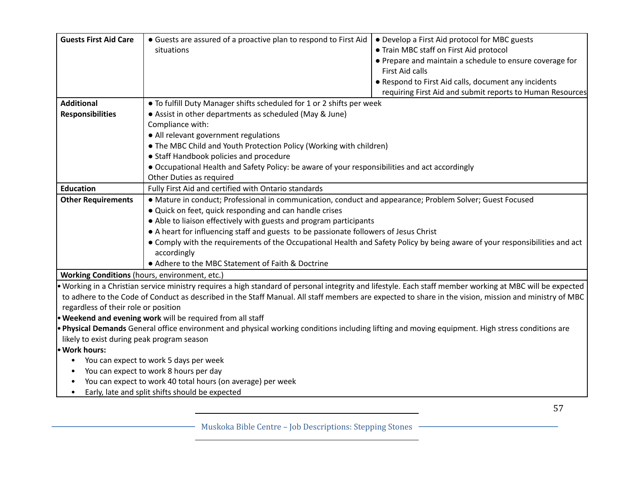| <b>Guests First Aid Care</b>                  | • Guests are assured of a proactive plan to respond to First Aid                                                                                          | • Develop a First Aid protocol for MBC guests             |
|-----------------------------------------------|-----------------------------------------------------------------------------------------------------------------------------------------------------------|-----------------------------------------------------------|
|                                               | situations                                                                                                                                                | • Train MBC staff on First Aid protocol                   |
|                                               |                                                                                                                                                           | • Prepare and maintain a schedule to ensure coverage for  |
|                                               |                                                                                                                                                           | First Aid calls                                           |
|                                               |                                                                                                                                                           | • Respond to First Aid calls, document any incidents      |
|                                               |                                                                                                                                                           |                                                           |
|                                               |                                                                                                                                                           | requiring First Aid and submit reports to Human Resources |
| <b>Additional</b>                             | . To fulfill Duty Manager shifts scheduled for 1 or 2 shifts per week                                                                                     |                                                           |
| <b>Responsibilities</b>                       | • Assist in other departments as scheduled (May & June)                                                                                                   |                                                           |
|                                               | Compliance with:                                                                                                                                          |                                                           |
|                                               | • All relevant government regulations                                                                                                                     |                                                           |
|                                               | • The MBC Child and Youth Protection Policy (Working with children)                                                                                       |                                                           |
|                                               | • Staff Handbook policies and procedure                                                                                                                   |                                                           |
|                                               | • Occupational Health and Safety Policy: be aware of your responsibilities and act accordingly                                                            |                                                           |
|                                               | Other Duties as required                                                                                                                                  |                                                           |
| <b>Education</b>                              | Fully First Aid and certified with Ontario standards                                                                                                      |                                                           |
| <b>Other Requirements</b>                     | • Mature in conduct; Professional in communication, conduct and appearance; Problem Solver; Guest Focused                                                 |                                                           |
|                                               | • Quick on feet, quick responding and can handle crises                                                                                                   |                                                           |
|                                               | • Able to liaison effectively with guests and program participants                                                                                        |                                                           |
|                                               | • A heart for influencing staff and guests to be passionate followers of Jesus Christ                                                                     |                                                           |
|                                               | • Comply with the requirements of the Occupational Health and Safety Policy by being aware of your responsibilities and act                               |                                                           |
|                                               | accordingly                                                                                                                                               |                                                           |
|                                               | • Adhere to the MBC Statement of Faith & Doctrine                                                                                                         |                                                           |
| Working Conditions (hours, environment, etc.) |                                                                                                                                                           |                                                           |
|                                               | . Working in a Christian service ministry requires a high standard of personal integrity and lifestyle. Each staff member working at MBC will be expected |                                                           |
|                                               | to adhere to the Code of Conduct as described in the Staff Manual. All staff members are expected to share in the vision, mission and ministry of MBC     |                                                           |
| regardless of their role or position          |                                                                                                                                                           |                                                           |
|                                               | . Weekend and evening work will be required from all staff                                                                                                |                                                           |
|                                               | . Physical Demands General office environment and physical working conditions including lifting and moving equipment. High stress conditions are          |                                                           |
| likely to exist during peak program season    |                                                                                                                                                           |                                                           |
| · Work hours:                                 |                                                                                                                                                           |                                                           |
| $\bullet$                                     | You can expect to work 5 days per week                                                                                                                    |                                                           |
| $\bullet$                                     | You can expect to work 8 hours per day                                                                                                                    |                                                           |
| $\bullet$                                     | You can expect to work 40 total hours (on average) per week                                                                                               |                                                           |
| $\bullet$                                     | Early, late and split shifts should be expected                                                                                                           |                                                           |
|                                               |                                                                                                                                                           |                                                           |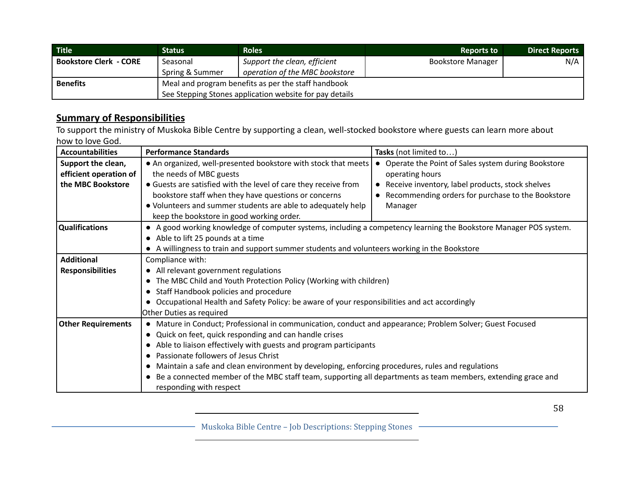| <b>Title</b>                  | Status                                                  | <b>Roles</b>                   | <b>Reports to</b>        | Direct Reports |
|-------------------------------|---------------------------------------------------------|--------------------------------|--------------------------|----------------|
| <b>Bookstore Clerk - CORE</b> | Seasonal                                                | Support the clean, efficient   | <b>Bookstore Manager</b> | N/A            |
|                               | Spring & Summer                                         | operation of the MBC bookstore |                          |                |
| <b>Benefits</b>               | Meal and program benefits as per the staff handbook     |                                |                          |                |
|                               | See Stepping Stones application website for pay details |                                |                          |                |

To support the ministry of Muskoka Bible Centre by supporting a clean, well-stocked bookstore where guests can learn more about how to love God.

| <b>Accountabilities</b>                                           | <b>Performance Standards</b>                                                                                                                                                                                                                                                                                                                                                                                                                                                                                                            | Tasks (not limited to)                                                                                                                                                                                 |
|-------------------------------------------------------------------|-----------------------------------------------------------------------------------------------------------------------------------------------------------------------------------------------------------------------------------------------------------------------------------------------------------------------------------------------------------------------------------------------------------------------------------------------------------------------------------------------------------------------------------------|--------------------------------------------------------------------------------------------------------------------------------------------------------------------------------------------------------|
| Support the clean,<br>efficient operation of<br>the MBC Bookstore | • An organized, well-presented bookstore with stock that meets<br>the needs of MBC guests<br>• Guests are satisfied with the level of care they receive from<br>bookstore staff when they have questions or concerns<br>. Volunteers and summer students are able to adequately help<br>keep the bookstore in good working order.                                                                                                                                                                                                       | Operate the Point of Sales system during Bookstore<br>$\bullet$<br>operating hours<br>Receive inventory, label products, stock shelves<br>Recommending orders for purchase to the Bookstore<br>Manager |
| <b>Qualifications</b>                                             | • A good working knowledge of computer systems, including a competency learning the Bookstore Manager POS system.<br>• Able to lift 25 pounds at a time<br>• A willingness to train and support summer students and volunteers working in the Bookstore                                                                                                                                                                                                                                                                                 |                                                                                                                                                                                                        |
| <b>Additional</b><br><b>Responsibilities</b>                      | Compliance with:<br>• All relevant government regulations<br>• The MBC Child and Youth Protection Policy (Working with children)<br>• Staff Handbook policies and procedure<br>• Occupational Health and Safety Policy: be aware of your responsibilities and act accordingly<br>Other Duties as required                                                                                                                                                                                                                               |                                                                                                                                                                                                        |
| <b>Other Requirements</b>                                         | • Mature in Conduct; Professional in communication, conduct and appearance; Problem Solver; Guest Focused<br>• Quick on feet, quick responding and can handle crises<br>• Able to liaison effectively with guests and program participants<br>• Passionate followers of Jesus Christ<br>• Maintain a safe and clean environment by developing, enforcing procedures, rules and regulations<br>• Be a connected member of the MBC staff team, supporting all departments as team members, extending grace and<br>responding with respect |                                                                                                                                                                                                        |